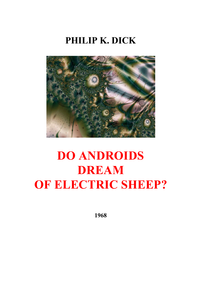# **PHILIP K. DICK**



# **DO ANDROIDS DREAM OF ELECTRIC SHEEP?**

**1968**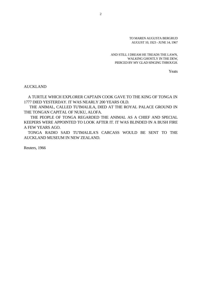TO MAREN AUGUSTA BERGRUD AUGUST 10, 1923 - JUNE 14, 1967

AND STILL I DREAM HE TREADS THE LAWN, WALKING GHOSTLY IN THE DEW, PIERCED BY MY GLAD SINGING THROUGH.

Yeats

AUCKLAND

 A TURTLE WHICH EXPLORER CAPTAIN COOK GAVE TO THE KING OF TONGA IN 1777 DIED YESTERDAY. IT WAS NEARLY 200 YEARS OLD.

 THE ANIMAL, CALLED TU'IMALILA, DIED AT THE ROYAL PALACE GROUND IN THE TONGAN CAPITAL OF NUKU, ALOFA.

 THE PEOPLE OF TONGA REGARDED THE ANIMAL AS A CHIEF AND SPECIAL KEEPERS WERE APPOINTED TO LOOK AFTER IT. IT WAS BLINDED IN A BUSH FIRE A FEW YEARS AGO.

 TONGA RADIO SAID TU'IMALILA'S CARCASS WOULD BE SENT TO THE AUCKLAND MUSEUM IN NEW ZEALAND.

Reuters, 1966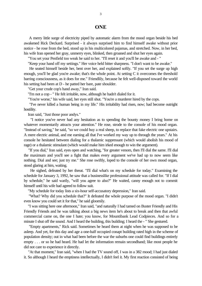A merry little surge of electricity piped by automatic alarm from the mood organ beside his bed awakened Rick Deckard. Surprised - it always surprised him to find himself awake without prior notice - he rose from the bed, stood up in his multicolored pajamas, and stretched. Now, in her bed, his wife Iran opened her gray, unmerry eyes, blinked, then groaned and shut her eyes again.

"You set your Penfield too weak he said to her. "I'll reset it and you'll be awake and - "

"Keep your hand off my settings." Her voice held bitter sharpness. "I don't want to be awake."

 He seated himself beside her, bent over her, and explained softly. "If you set the surge up high enough, you'll be glad you're awake; that's the whole point. At setting C it overcomes the threshold barring consciousness, as it does for me." Friendlily, because he felt well-disposed toward the world his setting had been at D - he patted her bare, pate shoulder.

"Get your crude cop's hand away," Iran said.

"I'm not a cop - " He felt irritable, now, although he hadn't dialed for it.

"You're worse," his wife said, her eyes still shut. "You're a murderer hired by the cops.

 "I've never killed a human being in my life." His irritability had risen, now; had become outright hostility.

Iran said, "Just those poor andys."

 "I notice you've never had any hesitation as to spending the bounty money I bring home on whatever momentarily attracts your attention." He rose, strode to the console of his mood organ. "Instead of saving," he said, "so we could buy a real sheep, to replace that fake electric one upstairs. A mere electric animal, and me earning all that I've worked my way up to through the years." At his console he hesitated between dialing for a thalamic suppressant (which would abolish his mood of rage) or a thalamic stimulant (which would make him irked enough to win the argument).

 "If you dial," Iran said, eyes open and watching, "for greater venom, then I'll dial the same. I'll dial the maximum and you'll see a fight that makes every argument we've had up to now seem like nothing. Dial and see; just try me." She rose swiftly, loped to the console of her own mood organ, stood glaring at him, waiting.

 He sighed, defeated by her threat. "I'll dial what's on my schedule for today." Examining the schedule for January 3, 1992, he saw that a businesslike professional attitude was called for. "If I dial by schedule," he said warily, "will you agree to also?" He waited, canny enough not to commit himself until his wife had agreed to follow suit.

"My schedule for today lists a six-hour self-accusatory depression," Iran said.

 "What? Why did you schedule that?" It defeated the whole purpose of the mood organ. "I didn't even know you could set it for that," he said gloomily.

 "I was sitting here one afternoon," Iran said, "and naturally I had tamed on Buster Friendly and His Friendly Friends and he was talking about a big news item he's about to break and then that awful commercial came on, the one I hate; you know, for Mountibank Lead Codpieces. And so for a minute I shut off the sound. And I heard the building, this building; I heard the - " She gestured.

 "Empty apartments," Rick said. Sometimes he heard them at night when he was supposed to be asleep. And yet, for this day and age a one-half occupied conapt building rated high in the scheme of population density; out in what had been before the war the suburbs one could find buildings entirely empty . . . or so he had heard. He had let the information remain secondhand; like most people he did not care to experience it directly.

 "At that moment," Iran said, "when I had the TV sound off, I was in a 382 mood; I had just dialed it. So although I heard the emptiness intellectually, I didn't feel it. My first reaction consisted of being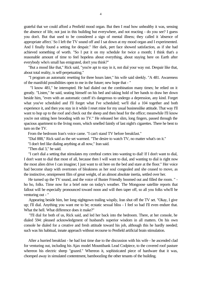grateful that we could afford a Penfield mood organ. But then I read how unhealthy it was, sensing the absence of life, not just in this building but everywhere, and not reacting - do you see? I guess you don't. But that used to be considered a sign of mental illness; they called it 'absence of appropriate affect.' So I left the TV sound off and I sat down at my mood organ and I experimented. And I finally found a setting for despair." Her dark, pert face showed satisfaction, as if she had achieved something of worth. "So I put it on my schedule for twice a month; I think that's a reasonable amount of time to feel hopeless about everything, about staying here on Earth after everybody who's small has emigrated, don't you think?"

 "But a mood like that," Rick said, "you're apt to stay in it, not dial your way out. Despair like that, about total reality, is self-perpetuating."

 "I program an automatic resetting for three hours later," his wife said sleekly. "A 481. Awareness of the manifold possibilities open to me in the future; new hope that - "

 "I know 481," he interrupted. He had dialed out the combination many times; he relied on it greatly. "Listen," he said, seating himself on his bed and taking hold of her hands to draw her down beside him, "even with an automatic cutoff it's dangerous to undergo a depression, any kind. Forget what you've scheduled and I'll forget what I've scheduled; we'll dial a 104 together and both experience it, and then you stay in it while I reset mine for my usual businesslike attitude. That way I'll want to hop up to the roof and check out the sheep and then head for the office; meanwhile I'll know you're not sitting here brooding with no TV." He released her slim, long fingers, passed through the spacious apartment to the living room, which smelled faintly of last night's cigarettes. There he bent to turn on the TV.

From the bedroom Iran's voice came. "I can't stand TV before breakfast."

"Dial 888," Rick said as the set warmed. "The desire to watch TV, no matter what's on it."

"I don't feel like dialing anything at all now," Iran said.

"Then dial 3," he said.

 "I can't dial a setting that stimulates my cerebral cortex into wanting to dial! If I don't want to dial, I don't want to dial that most of all, because then I will want to dial, and wanting to dial is right now the most alien drive I can imagine; I just want to sit here on the bed and stare at the floor." Her voice had become sharp with overtones of bleakness as her soul congealed and she ceased to move, as the instinctive, omnipresent film of great weight, of an almost absolute inertia, settled over her.

 He turned up the TV sound, and the voice of Buster Friendly boomed out and filled the room. " ho ho, folks. Time now for a brief note on today's weather. The Mongoose satellite reports that fallout will be especially pronounced toward noon and will then taper off, so all you folks who'll be venturing out - "

 Appearing beside him, her long nightgown trailing wispily, Iran shut off the TV set. "Okay, I give up; I'll dial. Anything you want me to be; ecstatic sexual bliss - I feel so bad I'll even endure that. What the hell. What difference does it make?"

 "I'll dial for both of us, Rick said, and led her back into the bedroom. There, at her console, he dialed 594: pleased acknowledgment of husband's superior wisdom in all matters. On his own console he dialed for a creative and fresh attitude toward his job, although this he hardly needed; such was his habitual, innate approach without recourse to Penfield artificial brain stimulation.

 After a hurried breakfast - he had lost time due to the discussion with his wife - he ascended clad for venturing out, including his Ajax model Mountibank Lead Codpiece, to the covered roof pasture whereon his electric sheep "grazed." Whereon it, sophisticated piece of hardware that it was, chomped away in simulated contentment, bamboozling the other tenants of the building.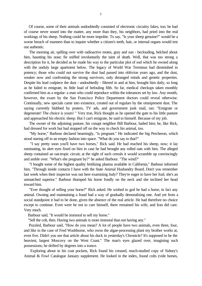Of course, some of their animals undoubtedly consisted of electronic circuitry fakes, too; he had of course never nosed into the matter, any more than they, his neighbors, had pried into the real workings of his sheep. Nothing could be more impolite. To say, "Is your sheep genuine?" would be a worse breach of manners than to inquire whether a citizen's teeth, hair, or internal organs would test out authentic.

 The morning air, spilling over with radioactive motes, gray and sun - beclouding, belched about him, haunting his nose; fie sniffed involuntarily the taint of death. Well, that was too strong a description for it, he decided as he made his way to the particular plot of sod which he owned along with the unduly large apartment below. The legacy of World War Terminus had diminished in potency; those who could not survive the dust had passed into oblivion years ago, and the dust, weaker now and confronting the strong survivors, only deranged minds and genetic properties. Despite his lead codpiece the dust - undoubtedly - filtered in and at him, brought him daily, so long as he failed to emigrate, its little load of befouling filth. So far, medical checkups taken monthly confirmed him as a regular: a man who could reproduce within the tolerances set by law. Any month, however, the exam by the San Francisco Police Department doctors could reveal otherwise. Continually, new specials came into existence, created out of regulars by the omnipresent dust. The saying currently blabbed by posters, TV ads, and government junk mail, ran: "Emigrate or degenerate! The choice is yours! " Very true, Rick thought as he opened the gate to his little pasture and approached his electric sheep. But I can't emigrate, he said to himself. Because of my job.

 The owner of the adjoining pasture, his conapt neighbor Bill Barbour, hailed him; he, like Rick, had dressed for work but had stopped off on the way to check his animal, too.

 "My horse," Barbour declared beamingly, "is pregnant." He indicated the big Percheron, which stood staring off in an empty fashion into space. "What do you say to that?"

 "I say pretty soon you'll have two horses," Rick said. He had reached his sheep, now; it lay ruminating, its alert eyes fixed on him in case he had brought any rolled oats with him. The alleged sheep contained an oat-tropic circuit; at the sight of such cereals it would scramble up convincingly and amble over. "What's she pregnant by?" he asked Barbour. "The wind?"

 "I bought some of the highest quality fertilizing plasma available in California," Barbour informed him. "Through inside contacts I have with the State Animal Husbandry Board. Don't you remember last week when their inspector was out here examining Judy? They're eager to have her foal; she's an unmatched superior." Barbour thumped his horse fondly on the neck and she inclined her head toward him.

 "Ever thought of selling your horse?" Rick asked. He wished to god he had a horse, in fact any animal. Owning and maintaining a fraud had a way of gradually demoralizing one. And yet from a social standpoint it had to be done, given the absence of the real article. He had therefore no choice except to continue. Even were he not to care himself, there remained his wife, and Iran did care. Very much.

Barbour said, "It would be immoral to sell my horse."

"Sell the colt, then. Having two animals is more immoral than not having any."

 Puzzled, Barbour said, "How do you mean? A lot of people have two animals, even three, four, and like in the case of Fred Washborne, who owns the algae-processing plant my brother works at, even five. Didn't you see that article about his duck in yesterday's Chronicle? It's supposed to be the heaviest, largest Moscovy on the West Coast." The man's eyes glazed over, imagining such possessions; he drifted by degrees into a trance.

 Exploring about in his coat pockets, Rick found his creased, much-studied copy of Sidney's Animal & Fowl Catalogue January supplement. He looked in the index, found colts (vide horses,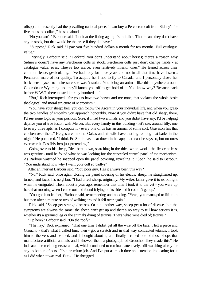offsp.) and presently had the prevailing national price. "I can buy a Percheron colt from Sidney's for five thousand dollars," he said aloud.

 "No you can't," Barbour said. "Look at the listing again; it's in italics. That means they don't have any in stock, but that would be the price if they did have."

 "Suppose," Rick said, "I pay you five hundred dollars a month for ten months. Full catalogue value."

 Pityingly, Barbour said, "Deckard, you don't understand about horses; there's a reason why Sidney's doesn't have any Percheron colts in stock. Percheron colts just don't change hands - at catalogue value, even. They're too scarce, even relatively inferior ones." He leaned across their common fence, gesticulating. "I've had Judy for three years and not in all that time have I seen a Percheron mare of her quality. To acquire her I had to fly to Canada, and I personally drove her back here myself to make sure she wasn't stolen. You bring an animal like this anywhere around Colorado or Wyoming and they'll knock you off to get hold of it. You know why? Because back before W.W.T. there existed literally hundreds - "

 "But," Rick interrupted, "for you to have two horses and me none, that violates the whole basic theological and moral structure of Mercerism."

 "You have your sheep; hell, you can follow the Ascent in your individual life, and when you grasp the two handles of empathy you approach honorably. Now if you didn't have that old sheep, there, I'd see some logic in your position. Sure, if I had two animals and you didn't have any, I'd be helping deprive you of true fusion with Mercer. But every family in this building - let's see; around fifty: one to every three apts, as I compute it - every one of us has an animal of some sort. Graveson has that chicken over there." He gestured north. "Oakes and his wife have that big red dog that barks in the night." He pondered. "I think Ed Smith has a cat down in his apt; - at least he says so, but no one's ever seen it. Possibly he's just pretending."

 Going over to his sheep, Rick bent down, searching in the thick white wool - the fleece at least was genuine - until he found what he was looking for: the concealed control panel of the mechanism. As Barbour watched he snapped open the panel covering, revealing it. "See?" he said to Barbour. "You understand now why I want your colt so badly?"

After an interval Barbour said, "You poor guy. Has it always been this way?"

 "No," Rick said, once again closing the panel covering of his electric sheep; he straightened up, turned, and faced his neighbor. "I had a real sheep, originally. My wife's father gave it to us outright when he emigrated. Then, about a year ago, remember that time I took it to the vet - you were up here that morning when I came out and found it lying on its side and it couldn't get up."

 "You got it to its feet," Barbour said, remembering and nodding. "Yeah, you managed to lift it up but then after a minute or two of walking around it fell over again."

 Rick said, "Sheep get strange diseases. Or put another way, sheep get a lot of diseases but the symptoms are always the same; the sheep can't get up and there's no way to tell how serious it is, whether it's a sprained leg or the animal's dying of tetanus. That's what mine died of; tetanus."

"Up here?" Barbour said. "On the roof?"

 "The hay," Rick explained. "That one time I didn't get all the wire off the bale; I left a piece and Groucho - that's what I called him, then - got a scratch and in that way contracted tetanus. I took him to the vet's and he died, and I thought about it, and finally I called one of those shops that manufacture artificial animals and I showed them a photograph of Groucho. They made this." He indicated the reclining ersatz animal, which continued to ruminate attentively, still watching alertly for any indication of oats. "It's a premium job. And I've put as much time and attention into caring for it as I did when it was real. But - " He shrugged.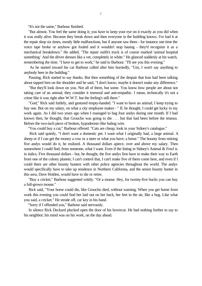"It's not the same," Barbour finished.

 "But almost. You feel the same doing it; you have to keep your eye on it exactly as you did when it was really alive. Because they break down and then everyone in the building knows. I've had it at the repair shop six times, mostly little malfunctions, but if anyone saw them - for instance one time the voice tape broke or anyhow got fouled and it wouldn't stop baaing - they'd recognize it as a mechanical breakdown." He added, "The repair outfit's truck is of course marked 'animal hospital something.' And the driver dresses like a vet, completely in white." He glanced suddenly at his watch, remembering the time. "I have to get to work," he said to Barbour. "I'll see you this evening."

 As he started toward his car Barbour called after him hurriedly, "Um, I won't say anything to anybody here in the building."

 Pausing, Rick started to say thanks. But then something of the despair that Iran had been talking about tapped him on the shoulder and he said, "I don't know; maybe it doesn't make any difference."

 "But they'll look down on you. Not all of them, but some. You know how people are about not taking care of an animal; they consider it immoral and anti-empathic. I mean, technically it's not a crime like it was right after W.W.T. but the feeling's still there."

 "God," Rick said futilely, and gestured empty-handed. "I want to have an animal; I keep trying to buy one. But on my salary, on what a city employee makes - " If, he thought, I could get lucky in my work again. As I did two years ago when I managed to bag four andys during one month. If I had known then, he thought, that Groucho was going to die . . . but that had been before the tetanus. Before the two-inch piece of broken, hypodermic-like baling wire.

"You could buy a cat," Barbour offered. "Cats are cheap; look in your Sidney's catalogue."

 Rick said quietly, "I don't want a domestic pet. I want what I originally had, a large animal. A sheep or if I can get the money a cow or a steer or what you have; a horse." The bounty from retiring five andys would do it, he realized. A thousand dollars apiece, over and above my salary. Then somewhere I could find, from someone, what I want. Even if the listing in Sidney's Animal & Fowl is in italics. Five thousand dollars - but, he thought, the five andys first have to make their way to Earth from one of the colony planets; I can't control that, I can't make five of them come here, and even if I could there are other bounty hunters with other police agencies throughout the world. The andys would specifically have to take up residence in Northern California, and the senior bounty hunter in this area, Dave Holden, would have to die or retire.

 "Buy a cricket," Barbour suggested wittily. "Or a mouse. Hey, for twenty-five bucks you can buy a full-grown mouse."

 Rick said, "Your horse could die, like Groucho died, without warning. When you get home from work this evening you could find her laid out on her back, her feet in the air, like a bug. Like what you said, a cricket." He strode off, car key in his hand.

"Sorry if I offended you," Barbour said nervously.

 In silence Rick Deckard plucked open the door of his hovercar. He had nothing further to say to his neighbor; his mind was on his work, on the day ahead.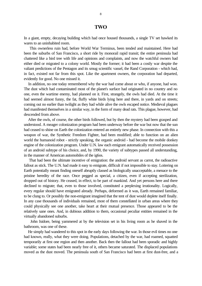#### **TWO**

In a giant, empty, decaying building which had once housed thousands, a single TV set hawked its wares to an uninhabited room.

 This ownerless ruin had, before World War Terminus, been tended and maintained. Here had been the suburbs of San Francisco, a short ride by monorail rapid transit; the entire peninsula had chattered like a bird tree with life and opinions and complaints, and now the watchful owners had either died or migrated to a colony world. Mostly the former; it had been a costly war despite the valiant predictions of the Pentagon and its smug scientific vassel, the Rand Corporation - which had, in fact, existed not far from this spot. Like the apartment owners, the corporation had departed, evidently for good. No one missed it.

 In addition, no one today remembered why the war had come about or who, if anyone, had won. The dust which had contaminated most of the planet's surface had originated in no country and no one, even the wartime enemy, had planned on it. First, strangely, the owls had died. At the time it had seemed almost funny, the fat, fluffy white birds lying here and there, in yards and on streets; coming out no earlier than twilight as they had while alive the owls escaped notice. Medieval plagues had manifested themselves in a similar way, in the form of many dead rats. This plague, however, had descended from above.

 After the owls, of course, the other birds followed, but by then the mystery had been grasped and understood. A meager colonization program had been underway before the war but now that the sun had ceased to shine on Earth the colonization entered an entirely new phase. In connection with this a weapon of war, the Synthetic Freedom Fighter, had been modified; able to function on an alien world the humanoid robot - strictly speaking, the organic android - had become the mobile donkey engine of the colonization program. Under U.N. law each emigrant automatically received possession of an android subtype of his choice, and, by 1990, the variety of subtypes passed all understanding, in the manner of American automobiles of the ig6os.

 That had been the ultimate incentive of emigration: the android servant as carrot, the radioactive fallout as stick. The U.N. had made it easy to emigrate, difficult if not impossible to stay. Loitering on Earth potentially meant finding oneself abruptly classed as biologically unacceptable, a menace to the pristine heredity of the race. Once pegged as special, a citizen, even if accepting sterilization, dropped out of history. He ceased, in effect, to be part of mankind. And yet persons here and there declined to migrate; that, even to those involved, constituted a perplexing irrationality. Logically, every regular should have emigrated already. Perhaps, deformed as it was, Earth remained familiar, to be clung to. Or possibly the non-emigrant imagined that the tent of dust would deplete itself finally. In any case thousands of individuals remained, most of them constellated in urban areas where they could physically see one another, take heart at their mutual presence. Those appeared to be the relatively sane ones. And, in dubious addition to them, occasional peculiar entities remained in the virtually abandoned suburbs.

 John Isidore, being yammered at by the television set in his living room as he shaved in the bathroom, was one of these.

 He simply had wandered to this spot in the early days following the war. In those evil times no one had known, really, what they were doing. Populations, detached by the war, had roamed, squatted temporarily at first one region and then another. Back then the fallout had been sporadic and highly variable; some states had been nearly free of it, others became saturated. The displaced populations moved as the dust moved. The peninsula south of San Francisco had been at first dust-free, and a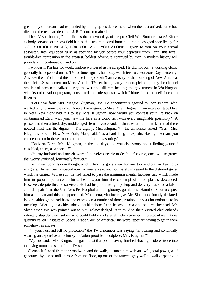great body of persons had responded by taking up residence there; when the dust arrived, some had died and the rest had departed. J. R. Isidore remained.

 The TV set shouted, " - duplicates the halcyon days of the pre-Civil War Southern states! Either as body servants or tireless field hands, the custom-tailored humanoid robot designed specifically for YOUR UNIQUE NEEDS, FOR YOU AND YOU ALONE - given to you on your arrival absolutely free, equipped fully, as specified by you before your departure from Earth; this loyal, trouble-free companion in the greatest, boldest adventure contrived by man in modern history will provide - " It continued on and on.

 I wonder if I'm late for work, Isidore wondered as he scraped. He did not own a working clock; generally he depended on the TV for time signals, but today was Interspace Horizons Day, evidently. Anyhow the TV claimed this to be the fifth (or sixth?) anniversary of the founding of New America, the chief U.S. settlement on Mars. And his TV set, being partly broken, picked up only the channel which had been nationalized during the war and still remained so; the government in Washington, with its colonization program, constituted the sole sponsor which Isidore found himself forced to listen to.

 "Let's hear from Mrs. Maggie Klugman," the TV announcer suggested to John Isidore, who wanted only to know the time. "A recent immigrant to Mars, Mrs. Klugman in an interview taped live in New New York had this to say. Mrs. Klugman, how would you contrast your life back on contaminated Earth with your new life here in a world rich with every imaginable possibility?" A pause, and then a tired, dry, middle-aged, female voice said, "I think what I and my family of three noticed most was the dignity." "The dignity, Mrs. Klugman? " the announcer asked. "Yes," Mrs. Klugman, now of New New York, Mars, said. "It's a hard thing to explain. Having a servant you can depend on in these troubled times . . . I find it reassuring."

 "Back on Earth, Mrs. Klugman, in the old days, did you also worry about finding yourself classified, ahem, as a special?"

 "Oh, my husband and myself worried ourselves nearly to death. Of course, once we emigrated that worry vanished, fortunately forever."

 To himself John Isidore thought acidly, And it's gone away for me, too, without my having to emigrate. He had been a special now for over a year, and not merely in regard to the distorted genes which he carried. Worse still, he had failed to pass the minimum mental faculties test, which made him in popular parlance a chickenhead. Upon him the contempt of three planets descended. However, despite this, he survived. He had his job, driving a pickup and delivery truck for a falseanimal repair firm; the Van Ness Pet Hospital and his gloomy, gothic boss Hannibal Sloat accepted him as human and this he appreciated. Mors certa, vita incerta, as Mr. Sloat occasionally declared. Isidore, although he had heard the expression a number of times, retained only a dim notion as to its meaning. After all, if a chickenhead could fathom Latin he would cease to be a chickenhead. Mr. Sloat, when this was pointed out to him, acknowledged its truth. And there existed chickenheads infinitely stupider than Isidore, who could hold no jobs at all, who remained in custodial institutions quaintly called "Institute of Special Trade Skills of America," the word "special" having to get in there somehow, as always.

 " - your husband felt no protection," the TV announcer was saying, "in owning and continually wearing an expensive and clumsy radiation-proof lead codpiece, Mrs. Klugman?"

 "My husband," Mrs. Klugman began, but at that point, having finished shaving, Isidore strode into the living room and shut off the TV set.

 Silence. It flashed from the woodwork and the walls; it smote him with an awful, total power, as if generated by a vast mill. It rose from the floor, up out of the tattered gray wall-to-wall carpeting. It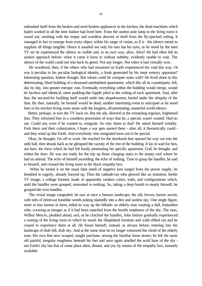unleashed itself from the broken and semi-broken appliances in the kitchen, the dead machines which hadn't worked in all the time Isidore had lived here. From the useless pole lamp in the living room it oozed out, meshing with the empty and wordless descent of itself from the fly-specked ceiling. It managed in fact to emerge from every object within his range of vision, as if it - the silence meant to supplant all things tangible. Hence it assailed not only his ears but his eyes; as he stood by the inert TV set he experienced the silence as visible and, in its own way, alive. Alive! He had often felt its austere approach before; when it came it burst in without subtlety, evidently unable to wait. The silence of the world could not rein back its greed. Not any longer. Not when it had virtually won.

 He wondered, then, if the others who had remained on Earth experienced the void this way. Or was it peculiar to his peculiar biological identity, a freak generated by his inept sensory apparatus? Interesting question, Isidore thought. But whom could he compare notes with? He lived alone in this deteriorating, blind building of a thousand uninhabited apartments, which like all its counterparts, fell, day by day, into greater entropic ruin. Eventually everything within the building would merge, would be faceless and identical, mere pudding-like kipple piled to the ceiling of each apartment. And, after that, the uncared-for building itself would settle into shapelessness, buried under the ubiquity of the dust. By then, naturally, he himself would be dead, another interesting event to anticipate as he stood here in his stricken living room atone with the lungless, all-penetrating, masterful world-silence.

 Better, perhaps, to turn the TV back on. But the ads, directed at the remaining regulars, frightened him. They informed him in a countless procession of ways that he, a special, wasn't wanted. Had no use. Could not, even if he wanted to, emigrate. So why listen to that? He asked himself irritably. Fork them and their colonization, I hope a war gets started there - after all, it theoretically could and they wind up like Earth. And everybody who emigrated turns out to be special.

 Okay, he thought; I'm off to work. He reached for the doorknob that opened the way out into the unlit hall, then shrank back as he glimpsed the vacuity of the rest of the building. It lay in wait for him, out here, the force which he had felt busily penetrating his specific apartment. God, he thought, and reshut the door. He was not ready for the trip up those clanging stairs to the empty roof where he had no animal. The echo of himself ascending: the echo of nothing. Time to grasp the handles, he said to himself, and crossed the living room to the black empathy box.

 When he turned it on the usual faint smell of negative ions surged from the power supply; he breathed in eagerly, already buoyed up. Then the cathode-ray tube glowed like an imitation, feeble TV image; a collage formed, made of apparently random colors, trails, and configurations which, until the handles were grasped, amounted to nothing. So, taking a deep breath to steady himself, he grasped the twin handles.

 The visual image congealed; he saw at once a famous landscape, the old, brown, barren ascent, with tufts of dried-out bonelike weeds poking slantedly into a dim and sunless sky. One single figure, more or less human in form, toiled its way up the hillside: an elderly man wearing a dull, featureless robe, covering as meager as if it had been snatched from the hostile emptiness of the sky. The man, Wilbur Mercer, plodded ahead, and, as he clutched the handles, John Isidore gradually experienced a waning of the living room in which he stood; the dilapidated furniture and walls ebbed out and he ceased to experience them at all. He found himself, instead, as always before, entering into the landscape of drab hill, drab sky. And at the same time he no longer witnessed the climb of the elderly man. His own feet now scraped, sought purchase, among the familiar loose stones; he felt the same old painful, irregular roughness beneath his feet and once again smelled the acrid haze of the sky not Earth's sky but that of some place alien, distant, and yet, by means of the empathy box, instantly available.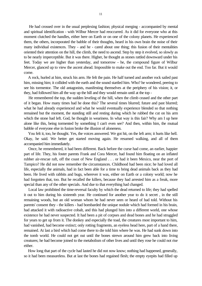He had crossed over in the usual perplexing fashion; physical merging - accompanied by mental and spiritual identification - with Wilbur Mercer had reoccurred. As it did for everyone who at this moment clutched the handles, either here on Earth or on one of the colony planets. He experienced them, the others, incorporated the babble of their thoughts, heard in his own brain the noise of their many individual existences. They - and he - cared about one thing; this fusion of their mentalities oriented their attention on the hill, the climb, the need to ascend. Step by step it evolved, so slowly as to be nearly imperceptible. But it was there. Higher, he thought as stones rattled downward under his feet. Today we are higher than yesterday, and tomorrow - he, the compound figure of Wilbur Mercer, glanced up to view the ascent ahead. Impossible to make out the end. Too far. But it would come.

 A rock, hurled at him, struck his arm. He felt the pain. He half turned and another rock sailed past him, missing him; it collided with the earth and the sound startled him. Who? he wondered, peering to see his tormentor. The old antagonists, manifesting themselves at the periphery of his vision; it, or they, had followed him all the way up the hill and they would remain until at the top -

 He remembered the top, the sudden leveling of the hill, when the climb ceased and the other part of it began. How many times had he done this? The several times blurred; future and past blurred; what he had already experienced and what he would eventually experience blended so that nothing remained but the moment, the standing still and resting during which he rubbed the cut on his arm which the stone had left. God, he thought in weariness. In what way is this fair? Why am I up here alone like this, being tormented by something I can't even see? And then, within him, the mutual babble of everyone else in fusion broke the illusion of aloneness.

 You felt it, too, he thought. Yes, the voices answered. We got hit, on the left arm; it hurts like hell. Okay, he said. We better get started moving again. He resumed walking, and all of them accompanied him immediately.

 Once, he remembered, it had been different. Back before the curse had come, an earlier, happier part of life. They, his foster parents Frank and Cora Mercer, had found him floating on an inflated rubber air-rescue raft, off the coast of New England . . . or had it been Mexico, near the port of Tampico? He did not now remember the circumstances. Childhood had been nice; he had loved all life, especially the animals, had in fact been able for a time to bring dead animals back as they had been. He lived with rabbits and bugs, wherever it was, either on Earth or a colony world; now he had forgotten that, too. But he recalled the killers, because they had arrested him as a freak, more special than any of the other specials. And due to that everything had changed.

 Local law prohibited the time-reversal faculty by which the dead returned to life; they had spelled it out to him during his sixteenth year. He continued for another year to do it secret , in the still remaining woods, but an old woman whom he had never seen or heard of had told. Without his parents' consent they - the killers - had bombarded the unique nodule which had formed in his brain, had attacked it with radioactive cobalt, and this had plunged him into a different world, one whose existence he had never suspected. It had been a pit of corpses and dead bones and he had struggled for years to get up from it. The donkey and especially the toad, the creatures most important to him, had vanished, had become extinct; only rotting fragments, an eyeless head here, part of a hand there, remained. At last a bird which had come there to die told him where he was. He had sunk down into the tomb world. He could not get out until the bones strewn around him grew back into living creatures; he had become joined to the metabolism of other lives and until they rose he could not rise either.

 How long that part of the cycle had lasted he did not now know; nothing had happened, generally, so it had been measureless. But at last the bones had regained flesh; the empty eyepits had filled up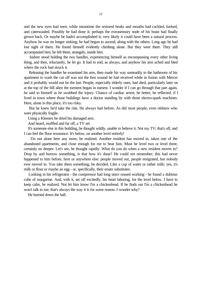and the new eyes had seen, while meantime the restored beaks and mouths had cackled, barked, and caterwauled. Possibly he had done it; perhaps the extrasensory node of his brain had finally grown back. Or maybe he hadn't accomplished it; very likely it could have been a natural process. Anyhow he was no longer sinking; he had begun to ascend, along with the others. Long ago he had lost sight of them. He found himself evidently climbing alone. But they were there. They still accompanied him; he felt them, strangely, inside him.

 Isidore stood holding the two handles, experiencing himself as encompassing every other living thing, and then, reluctantly, he let go. It had to end, as always, and anyhow his arm ached and bled where the rock had struck it.

 Releasing the handles he examined his arm, then made his way unsteadily to the bathroom of his apartment to wash the cut off was not the first wound he had received while in fusion with Mercer and it probably would not be the last. People, especially elderly ones, had died, particularly later on at the top of the hill alien the torment began in earnest. I wonder if I can go through that part again, he said to himself as he swabbed the injury. Chance of cardiac arrest; he better, he reflected, if I lived in town where those buildings have a doctor standing by with those electro-spark machines. Here, alone in this place, it's too risky.

 But he knew he'd take the risk. He always had before. As did most people, even oldsters who were physically fragile.

Using a Kleenex he dried his damaged arm.

And heard, muffled and far off, a TV set.

 It's someone else in this building, he thought wildly, unable to believe it. Not my TV; that's off, and I can feel the floor resonance. It's below, on another level entirely!

 I'm not alone here any more, he realized. Another resident has moved in, taken one of the abandoned apartments, and close enough for me to hear him. Must be level two or level three, certainly no deeper. Let's see, he thought rapidly. What do you do when a new resident moves in? Drop by and borrow something, is that how it's done? He could not remember; this had never happened to him before, here or anywhere else: people moved out, people emigrated, but nobody ever moved in. You take them something, he decided. Like a cup of water or rather milk; yes, it's milk or flour or maybe an egg - or, specifically, their ersatz substitutes.

 Looking in his refrigerator - the compressor had long since ceased working - he found a dubious cube of margarine. And, with it, set off excitedly, his heart laboring, for the level below. I have to keep calm, he realized. Not let him know I'm a chickenhead. If he finds out I'm a cliickenhead he won't talk to me; that's always the way it is for some reason. I wonder why?

He hurried down the hall.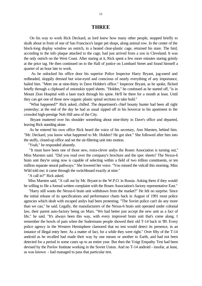#### **THREE**

 On his way to work Rick Deckard, as lord knew how many other people, stopped briefly to skulk about in front of one of San Francisco's larger pet shops, along animal row. In the center of the block-long display window an ostrich, in a heated clear-plastic cage, returned his stare. The bird, according to the info plaque attached to the cage, had just arrived from a zoo in Cleveland. It was the only ostrich on the West Coast. After staring at it, Rick spent a few more minutes staring grimly at the price tag. He then continued on to the Hall of justice on Lombard Street and found himself a quarter of an hour late to work.

 As he unlocked his office door his superior Police Inspector Harry Bryant, jug-eared and redheaded, sloppily dressed but wise-eyed and conscious of nearly everything of any importance, hailed him. "Meet me at nine-thirty in Dave Holden's office." Inspector Bryant, as he spoke, flicked briefly through a clipboard of onionskin typed sheets. "Holden," he continued as he started off, "is in Mount Zion Hospital with a laser track through his spine. He'll be there for a month at least. Until they can get one of those new organic plastic spinal sections to take hold."

 "What happened?" Rick asked, chilled. The department's chief bounty hunter had been all right yesterday; at the end of the day he had as usual zipped off in his hovercar to his apartment in the crowded high-prestige Nob Hill area of the City.

 Bryant muttered over his shoulder something about nine-thirty in Dave's office and departed, leaving Rick standing alone.

 As he entered his own office Rick heard the voice of his secretary, Ann Marsten, behind him. "Mr. Deckard, you know what happened to Mr. Holden? He got shot." She followed after him into the stuffy, closed-up office and set the air-filtering unit into motion.

"Yeah," he responded absently.

 "It must have been one of those new, extra-clever andys the Rosen Association is turning out," Miss Marsten said. "Did you read over the company's brochure and the spec sheets? The Nexus-6 brain unit they're using now is capable of selecting within a field of two trillion constituents, or ten million separate neural pathways." She lowered her voice. "You missed the vidcall this morning. Miss Wild told me; it came through the switchboard exactly at nine."

"A call in?" Rick asked.

 Miss Marsten said, "A call out by Mr. Bryant to the W.P.O. in Russia. Asking them if they would be willing to file a formal written complaint with the Rosen Association's factory representative East."

 "Harry still wants the Nexus-6 brain unit withdrawn from the market?" He felt no surprise. Since the initial release of its specifications and performance charts back in August of 1991 most police agencies which dealt with escaped andys had been protesting. "The Soviet police can't do any more than we can," he said. Legally, the manufacturers of the Nexus-6 brain unit operated under colonial law, their parent auto-factory being on Mars. "We had better just accept the new unit as a fact of life," he said. "It's always been this way, with every improved brain unit that's come along. I remember the howls of pain when the Sudermann people showed their old T-14 back in '89. Every police agency in the Western Hemisphere clamored that no test would detect its presence, in an instance of illegal entry here. As a matter of fact, for a while they were right." Over fifty of the T-14 android as he recalled had made their way by one means or another to Earth, and had not been detected for a period in some cases up to an entire year. But then the Voigt Empathy Test had been devised by the Pavlov Institute working in the Soviet Union. And no T-14 android - insofar, at least, as was known - had managed to pass that particular test.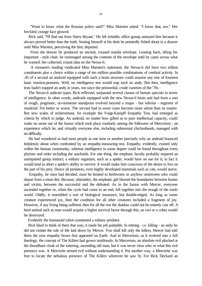"Want to know what the Russian police said?" Miss Marsten asked. "I know that, too." Her freckled, orange face glowed.

 Rick said, "I'll find out from Harry Bryant." He felt irritable; office gossip annoyed him because it always proved better than the truth. Seating himself at his desk he pointedly fished about in a drawer until Miss Marsten, perceiving the hint, departed.

 From the drawer he produced an ancient, creased manila envelope. Leaning back, tilting his important - style chair, he rummaged among the contents of the envelope until he came across what he wanted: the collected, extant data on the Nexus-6.

 A moment's reading vindicated Miss Marsten's statement; the Nexus-6 did have two trillion constituents plus a choice within a range of ten million possible combinations of cerebral activity. In .45 of a second an android equipped with such a brain structure could assume any one of fourteen basic reaction-postures. Well, no intelligence test would trap such an andy. But then, intelligence tests hadn't trapped an andy in years, not since the primordial, crude varieties of the '70s -

 The Nexus-6 android types, Rick reflected, surpassed several classes of human specials in terms of intelligence. In other words, androids equipped with the new Nexus-6 brain unit had from a sort of rough, pragmatic, no-nonsense standpoint evolved beyond a major - but inferior - segment of mankind. For better or worse. The servant had in some cases become more adroit than its master. But new scales of achievement, for example the Voigt-Kampff Empathy Test, had emerged as criteria by which to judge. An android, no matter how gifted as to pure intellectual capacity, could make no sense out of the fusion which took place routinely among the followers of Mercerism - an experience which he, and virtually everyone else, including subnormal chickenheads, managed with no difficulty.

 He had wondered as had most people at one time or another precisely why an android bounced helplessly about when confronted by an empathy-measuring test. Empathy, evidently, existed only within the human community, whereas intelligence to some degree could be found throughout every phylum and order including the arachnids. For one thing, the emphatic faculty probably required an unimpaired group instinct; a solitary organism, such as a spider, would have no use for it; in fact it would tend to abort a spider's ability to survive. It would make him conscious of the desire to live on the part of his prey. Hence all predators, even highly developed mammals such as cats, would starve.

 Empathy, he once had decided, must be limited to herbivores or anyhow omnivores who could depart from a meat diet. Because, ultimatley, the emphatic gift blurred the boundaries between hunter and victim, between the successful and the defeated. As in the fusion with Mercer, everyone ascended together or, when the cycle had come to an end, fell together into the trough of the tomb world. Oddly, it resembled a sort of biological insurance, but double-edged. As long as some creature experienced joy, then the condition for all other creatures included a fragment of joy. However, if any living being suffered, then for all the rest the shadow could not be entirely cast off. A herd animal such as man would acquire a higher survival factor through this; an owl or a cobra would be destroyed.

Evidently the humanoid robot constituted a solitary predator.

 Rick liked to think of them that way; it made his job palatable. In retiring - i.e. killing - an andy he did not violate the rule of life laid down by Mercer. You shall kill only the killers, Mercer had told them the year empathy boxes first appeared on Earth. And in Mercerism, as it evolved into a full theology, the concept of The Killers had grown insidiously. In Mercerism, an absolute evil plucked at the threadbare cloak of the tottering, ascending old man, but it was never clear who or what this evil presence was. A Mercerite sensed evil without understanding it. Put another way, a Mercerite was free to locate the nebulous presence of The Killers wherever he saw fit. For Rick Deckard an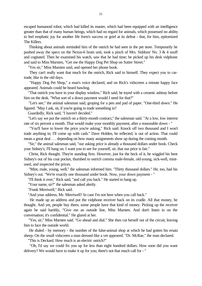escaped humanoid robot, which had killed its master, which had been equipped with an intelligence greater than that of many human beings, which had no regard for animals, which possessed no ability to feel emphatic joy for another life form's success or grief at its defeat - that, for him, epitomized The Killers.

 Thinking about animals reminded him of the ostrich he had seen in the pet store. Temporarily he pushed away the specs on the Nexus-6 brain unit, took a pinch of Mrs. Siddons' No. 3 & 4 snuff and cogitated. Then he examined his watch, saw that he had time; he picked up his desk vidphone and said to Miss Marsten, "Get me the Happy Dog Pet Shop on Sutter Street."

"Yes sir," Miss Marsten said, and opened her phone book.

 They can't really want that much for the ostrich, Rick said to himself. They expect you to cartrade, like in the old days.

 "Happy Dog Pet Shop," a man's voice declared, and on Rick's vidscreen a minute happy face appeared. Animals could be heard bawling.

 "That ostrich you have in your display window," Rich said; he toyed with a ceramic ashtray before him on the desk. "What sort of a down payment would I need for that?"

 "Let's see," the animal salesman said, groping for a pen and pad of paper. "One-third down." He figured. "May I ask, sit, if you're going to trade something in?

Guardedly, Rick said, "I haven't decided."

 "Let's say we put the ostrich on a thirty-month contract," the salesman said. "At a low, low interest rate of six percent a month. That would make your monthly payment, after a reasonable down - "

 "You'll have to lower the price you're asking," Rick said. Knock off two thousand and I won't trade anything in; I'll come up with cash." Dave Holden, he reflected, is out of action. That could mean a great deal . . . depending on how many assignments show up during the coming month.

 "Sir," the animal salesman said, "our asking price is already a thousand dollars under book. Check your Sidney's; I'll hang on. I want you to see for yourself, sir, that our price is fair."

 Christ, Rick thought. They're standing firm. However, just for the heck of it, he wiggled his bent Sidney's out of his coat pocket, thumbed to ostrich comma male-female, old-young, sick-well, mintused, and inspected the prices.

 "Mint, male, young, well," the salesman informed him. "Thirty thousand dollars." He, too, had his Sidney's out. "We're exactly one thousand under book. Now, your down payment - "

"I'll think it over," Rick said, "and call you back." He started to hang up.

"Your name, sir?" the salesman asked alertly.

"Frank Merriwell," Rick said.

"And your address, Mr. Merriwell? In case I'm not here when you call back."

 He made up an address and put the vidphone receiver back on its cradle. All that money, he thought. And yet, people buy them; some people have that kind of money. Picking up the receiver again he said harshly, "Give me an outside line, Miss Marsten. And don't listen in on the conversation; it's confidential." He glared at her.

 "Yes, sir," Miss Marsten said. "Go ahead and dial." She then cut herself out of the circuit, leaving him to face the outside world.

 He dialed - by memory - the number of the false-animal shop at which he had gotten his ersatz sheep. On the small vidscreen a man dressed like a vet appeared. "Dr. McRae," the man declared.

"This is Deckard. How much is an electric ostrich?"

 "Oh, I'd say we could fix you up for less than eight hundred dollars. How soon did you want delivery? We would have to make it up for you; there's not that much call for - "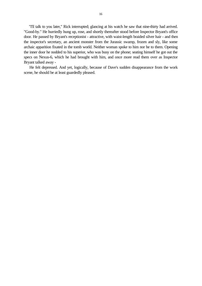"I'll talk to you later," Rick interrupted; glancing at his watch he saw that nine-thirty had arrived. "Good-by." He hurriedly hung up, rose, and shortly thereafter stood before Inspector Bryant's office door. He passed by Bryant's receptionist - attractive, with waist-length braided silver hair - and then the inspector's secretary, an ancient monster from the Jurassic swamp, frozen and sly, like some archaic apparition fixated in the tomb world. Neither woman spoke to him nor he to them. Opening the inner door he nodded to his superior, who was busy on the phone; seating himself he got out the specs on Nexus-6, which he had brought with him, and once more read them over as Inspector Bryant talked away -

 He felt depressed. And yet, logically, because of Dave's sudden disappearance from the work scene, he should be at least guardedly pleased.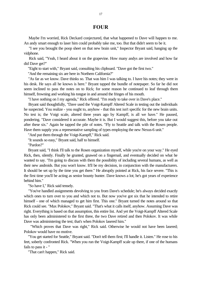## **FOUR**

 Maybe I'm worried, Rick Deckard conjectured, that what happened to Dave will happen to me. An andy smart enough to laser him could probably take me, too. But that didn't seem to be it.

 "I see you brought the poop sheet on that new brain unit," Inspector Bryant said, hanging up the vidphone.

 Rick said, "Yeah, I heard about it on the grapevine. How many andys are involved and how far did Dave get?"

"Eight to start with," Bryant said, consulting his clipboard. "Dave got the first two."

"And the remaining six are here in Northern California?"

 "As far as we know. Dave thinks so. That was him I was talking to. I have his notes; they were in his desk. He says all he knows is here." Bryant tapped the bundle of notepaper. So far he did not seem inclined to pass the notes on to Rick; for some reason he continued to leaf through them himself, frowning and working his tongue in and around the fringes of his mouth.

"I have nothing on I my agenda," Rick offered. "I'm ready to take over in Dave's place."

 Bryant said thoughtfully, "Dave used the Voigt-Kampff Altered Scale in testing out the individuals he suspected. You realize - you ought to, anyhow - that this test isn't specific for the new brain units. No test is; the Voigt scale, altered three years ago by Kampff, is all we have." He paused, pondering. "Dave considered it accurate. Maybe it is. But I would suggest this, before you take out after these six." Again he tapped the pile of notes. "Fly to Seattle and talk with the Rosen people. Have them supply you a representative sampling of types employing the new Nexus-6 unit."

"And put them through the Voigt-Kampff," Rick said.

"It sounds so easy," Bryant said, half to himself.

"Pardon?"

 Bryant said, "I think I'll talk to the Rosen organization myself, while you're on your way." He eyed Rick, then, silently. Finally he grunted, gnawed on a fingernail, and eventually decided on what he wanted to say. "I'm going to discuss with them the possibility of including several humans, as well as their new androids. But you won't know. It'll be my decision, in conjunction with the manufacturers. It should be set up by the time you get there." He abruptly pointed at Rick, his face severe. "This is the first time you'll be acting as senior bounty bunter. Dave knows a lot; he's got years of experience behind him."

"So have I," Rick said tensely.

 "You've handled assignments devolving to you from Dave's schedule; he's always decided exactly which ones to turn over to you and which not to. But now you've got six that he intended to retire himself - one of which managed to get him first. This one." Bryant turned the notes around so that Rick could see. "Max Polokov," Bryant said. "That's what it calls itself, anyhow. Assuming Dave was right. Everything is based on that assumption, this entire list. And yet the Voigt-Kampff Altered Scale has only been administered to the first three, the two Dave retired and then Polokov. It was while Dave was administering the test; that's when Polokov lasered him."

 "Which proves that Dave was right," Rick said. Otherwise he would not have been lasered; Polokov would have no motive.

 "You get started for Seattle," Bryant said. "Don't tell them first; I'll handle it. Listen." He rose to his feet, soberly confronted Rick. "When you run the Voigt-Kampff scale up there, if one of the humans fails to pass it - "

"That can't happen," Rick said.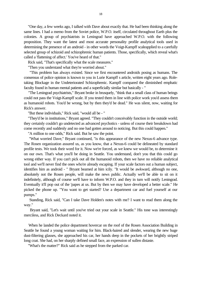"One day, a few weeks ago, I talked with Dave about exactly that. He had been thinking along the same lines. I had a memo from the Soviet police, W.P.O. itself, circulated throughout Earth plus the colonies. A group of psychiatrists in Leningrad have approached W.P.O. with the following proposition. They want the latest and most accurate personality profile analytical tools used in determining the presence of an android - in other words the Voigt-Kampff scaleapplied to a carefully selected group of schizoid and schizophrenic human patients. Those, specifically, which reveal what's called a 'flattening of affect.' You've heard of that."

Rick said, "That's specifically what the scale measures."

"Then you understand what they're worried about."

 "This problem has always existed. Since we first encountered androids posing as humans. The consensus of police opinion is known to you in Lurie Kampff s article, written eight years ago. Roletaking Blockage in the Undeteriorated Schizophrenic. Kampff compared the diminished emphatic faculty found in human mental patients and a superficially similar but basically - "

 "The Leningrad psychiatrists," Bryant broke in brusquely, "think that a small class of human beings could not pass the Voigt-Kampff scale. If you tested them in line with police work you'd assess them as humanoid robots. You'd be wrong, but by then they'd be dead." He was silent, now, waiting for Rick's answer.

"But these individuals," Rick said, "would all be - "

 "They'd be in institutions," Bryant agreed. "They couldn't conceivably function in the outside world; they certainly couldn't go undetected as advanced psychotics - unless of course their breakdown had come recently and suddenly and no one had gotten around to noticing. But this could happen."

"A million to one odds," Rick said. But he saw the point.

 "What worried Dave," Bryant continued, "is this appearance of the new Nexus-6 advance type. The Rosen organization assured us, as you know, that a Nexus-6 could be delineated by standard profile tests. We took their word for it. Now we're forced, as we knew we would be, to determine it on our own. That's what you'll be doing in Seattle. You understand, don't you that this could go wrong either way. If you can't pick out all the humanoid robots, then we have no reliable analytical tool and we'll never find the ones who're already escaping. If your scale factors out a human subject, identifies him as android - " Bryant beamed at him icily. "It would be awkward, although no one, absolutely not the Rosen people, will make the news public. Actually we'll be able to sit on it indefinitely, although of course we'll have to inform W.P.O. and they in turn will notify Leningrad. Eventually it'll pop out of the 'papes at us. But by then we may have developed a better scale." He picked the phone up. "You want to get started? Use a department car and fuel yourself at our pumps."

 Standing, Rick said, "Can I take Dave Holden's notes with me? I want to read them along the way."

 Bryant said, "Let's wait until you've tried out your scale in Seattle." His tone was interestingly merciless, and Rick Deckard noted it.

 When he landed the police department hovercar on the roof of the Rosen Association Building in Seattle he found a young woman waiting for him. Black-haired and slender, wearing the new huge dust-filtering glasses, she approached his car, her hands deep in the pockets of her brightly striped long coat. She had, on her sharply defined small face, an expression of sullen distaste.

"What's the matter?" Rick said as he stepped from the parked car.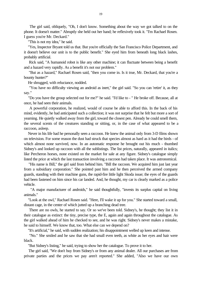The girl said, obliquely, "Oh, I don't know. Something about the way we got talked to on the phone. It doesn't matter." Abruptly she held out her hand; he reflexively took it. "I'm Rachael Rosen. I guess you're Mr. Deckard."

"This is not my idea," he said.

 "Yes, Inspector Bryant told us that. But you're officially the San Francisco Police Department, and it doesn't believe our unit is to the public benefit." She eyed him from beneath long black lashes, probably artificial.

 Rick said, "A humanoid robot is like any other machine; it can fluctuate between being a benefit and a hazard very rapidly. As a benefit it's not our problem."

 "But as a hazard," Rachael Rosen said, "then you come in. Is it true, Mr. Deckard, that you're a bounty hunter?"

He shrugged, with reluctance, nodded.

 "You have no difficulty viewing an android as inert," the girl said. "So you can 'retire' it, as they say."

 "Do you have the group selected out for me?" he said. "I'd like to - " He broke off. Because, all at once, he had seen their animals.

 A powerful corporation, he realized, would of course be able to afford this. In the back of his mind, evidently, he had anticipated such a collection; it was not surprise that he felt but more a sort of yearning. He quietly walked away from the girl, toward the closest pen. Already he could smell them, the several scents of the creatures standing or sitting, or, in the case of what appeared to be a raccoon, asleep.

 Never in his life had he personally seen a raccoon. He knew the animal only from 3-D films shown on television. For some reason the dust had struck that species almost as hard as it had the birds - of which almost none survived, now. In an automatic response he brought out his much - thumbed Sidney's and looked up raccoon with all the sublistings. The list prices, naturally, appeared in italics; like Percheron horses, none existed on the market for sale at any figure. Sidney's catalogue simply listed the price at which the last transaction involving a raccoon had taken place. It was astronomical.

 "His name is Bill," the girl said from behind him. "Bill the raccoon. We acquired him just last year from a subsidiary corporation." She pointed past him and he then perceived the armed company guards, standing with their machine guns, the rapid-fire little light Skoda issue; the eyes of the guards had been fastened on him since his car landed. And, he thought, my car is clearly marked as a police vehicle.

 "A major manufacturer of androids," he said thoughtfully, "invests its surplus capital on living animals."

 "Look at the owl," Rachael Rosen said. "Here, I'll wake it up for you." She started toward a small, distant cage, in the center of which jutted up a branching dead tree.

 There are no owls, he started to say. Or so we've been told. Sidney's, he thought; they list it in their catalogue as extinct: the tiny, precise type, the E, again and again throughout the catalogue. As the girl walked ahead of him he checked to see, and he was right. Sidney's never makes a mistake, he said to himself. We know that, too. What else can we depend on?

"It's artificial," he said, with sudden realization; his disappointment welled up keen and intense.

 "No." She smiled and he saw that she had small even teeth, as white as her eyes and hair were black.

"But Sidney's listing," he said, trying to show her the catalogue. To prove it to her.

 The girl said, "We don't buy from Sidney's or from any animal dealer. All our purchases are from private parties and the prices we pay aren't reported." She added, "Also we have our own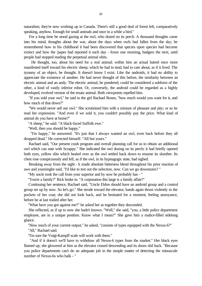naturalists; they're now working up in Canada. There's still a good deal of forest left, comparatively speaking, anyhow. Enough for small animals and once in a while a bird."

 For a long time he stood gazing at the owl, who dozed on its perch. A thousand thoughts came into his mind, thoughts about the war, about the days when owls had fallen from the sky; he remembered how in his childhood it had been discovered that species upon species had become extinct and how the 'papes had reported it each day - foxes one morning, badgers the next, until people had stopped reading the perpetual animal obits.

 He thought, too, about his need for a real animal; within him an actual hatred once more manifested itself toward his electric sheep, which he had to tend, had to care about, as if it lived. The tyranny of an object, he thought. It doesn't know I exist. Like the androids, it had no ability to appreciate the existence of another. He had never thought of this before, the similarity between an electric animal and an andy. The electric animal, he pondered, could be considered a subform of the other, a kind of vastly inferior robot. Or, conversely, the android could be regarded as a highly developed, evolved version of the ersatz animal. Both viewpoints repelled him.

 "If you sold your owl," he said to the girl Rachael Rosen, "how much would you want for it, and how much of that down?"

 "We would never sell our owl." She scrutinized him with a mixture of pleasure and pity; or so he read her expression. "And even if we sold it, you couldn't possibly pay the price. What kind of animal do you have at home?"

"A sheep," he said. "A black-faced Suffolk ewe."

"Well, then you should be happy."

 "I'm happy," he answered. "It's just that I always wanted an owl, even back before they all dropped dead." He corrected himself. "All but yours."

 Rachael said, "Our present crash program and overall planning call for us to obtain an additional owl which can nate with Scrappy." She indicated the owl dozing on its perch; it had briefly opened both eyes, yellow slits which healed over as the owl settled back down to resume its slumber. Its chest rose conspicuously and fell, as if the owl, in its hypnagogic state, had sighed.

 Breaking away from the sight - k made absolute bitterness blend throughout his prior reaction of awe and yearninghe said, "I'd like to test out the selection, now. Can we go downstairs? "

"My uncle took the call from your superior and by now he probably has - "

"You're a family?" Rick broke in. "A corporation this large is a family affair?"

 Continuing her sentence, Rachael said, "Uncle Eldon should have an android group and a control group set up by now. So let's go." She strode toward the elevator, hands again thrust violently in the pockets of her coat; she did not look back, and he hesitated for a moment, feeling annoyance, before he at last trailed after her.

"What have you got against me?" he asked her as together they descended.

 She reflected, as if up to now she hadn't known. "Well," she said, "you, a little police department employee, are in a unique position. Know what I mean?" She gave him a malice-filled sidelong glance.

"How much of your current output," he asked, "consists of types equipped with the Nexus-6?"

"All," Rachael said.

"I'm sure the Voigt-Kampff scale will work with them."

 "And if it doesn't we'll have to withdraw all Nexus-6 types from the market." Her black eyes flamed up; she glowered at him as the elevator ceased descending and its doors slid back. "Because you police departments can't do an adequate job in the simple matter of detecting the minuscule number of Nexus-6s who balk - "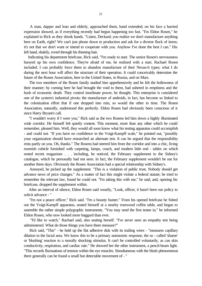A man, dapper and lean and elderly, approached them, hand extended; on his face a harried expression showed, as if everything recently had begun happening too fast. "I'm Eldon Rosen," he explained to Rick as they shook hands. "Listen, Deckard; you realize we don't manufacture anything here on Earth, right? We can't just phone down to production and ask for a diverse flock of items; it's not that we don't want or intend to cooperate with you. Anyhow I've done the best I can." His left hand, shakily, roved through his thinning hair.

 Indicating his department briefcase, Rick said, "I'm ready to start. The senior Rosen's nervousness buoyed up his own confidence. They're afraid of me, he realized with a start. Rachael Rosen included. I can probably force them to abandon manufacture of their Nexus-6 types; what I do during the next hour will affect the structure of their operation. It could conceivably determine the future of the Rosen Association, here in the United States, in Russia, and on Mars.

 The two members of the Rosen family studied him apprehensively and he felt the hollowness of their manner; by coming here he had brought the void to them, had ushered in emptiness and the hush of economic death. They control inordinate power, he thought. This enterprise is considered one of the system's industrial pivots; the manufacture of androids, in fact, has become so linked to the colonization effort that if one dropped into ruin, so would the other in time. The Rosen Association, naturally, understood this perfectly. Eldon Rosen had obviously been conscious of it since Harry Bryant's call.

 "I wouldn't worry if I were you," Rick said as the two Rosens led him down a highly illuminated wide corridor. He himself felt quietly content. This moment, more than any other which he could remember, pleased him. Well, they would all soon know what his testing apparatus could accomplish - and could not. "If you have no confidence in the Voigt-Kampff scale," he pointed out, "possibly your organization should have researched an alternate test. It can be argued that the responsibility rests partly on you. Oh, thanks." The Rosens had steered him from the corridor and into a chic, living roomish cubicle furnished with carpeting, lamps, couch, and modern little end - tables on which rested recent magazines . . . including, he noticed, the February supplement to the Sidney's catalogue, which he personally had not seen. In fact, the February supplement wouldn't be out for another three days. Obviously the Rosen Association had a special relationship with Sidney's.

 Annoyed, he picked up the supplement. "This is a violation of public trust. Nobody should get advance news of price changes." As a matter of fact this might violate a federal statute; he tried to remember the relevant law, found he could not. "I'm taking this with me," he said, and, opening his briefcase, dropped the supplement within.

 After an interval of silence, Eldon Rosen said wearily, "Look, officer, it hasn't been our policy to solicit advance - "

 "I'm not a peace officer," Rick said. "I'm a bounty hunter." From his opened briefcase he fished out the Voigt-Kampff apparatus, seated himself at a nearby rosewood coffee table, and began to assemble the rather simple polygraphic instruments. "You may send the first testee in," he informed Eldon Rosen, who now looked more haggard than ever.

 "I'd like to watch," Rachael said, also seating herself. "I've never seen an empathy test being administered. What do those things you have there measure?"

 Rick said, "This" - he held up the flat adhesive disk with its trailing wires - "measures capillary dilation in the facial area. We know this to be a primary autonomic response, the so - called 'shame' or 'blushing' reaction to a morally shocking stimulus. It can't be controlled voluntarily, as can skin conductivity, respiration, and cardiac rate." He showed her the other instrument, a pencil-beam light. "This records fluctuations of tension within the eye muscles. Simultaneous with the blush phenomenon there generally can be found a small but detectable movement of - "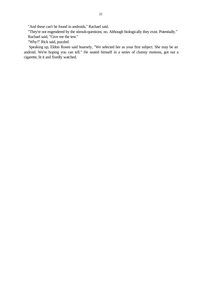"And these can't be found in androids," Rachael said.

 "They're not engendered by the stimuli-questions; no. Although biologically they exist. Potentially." Rachael said, "Give me the test."

"Why?" Rick said, puzzled.

 Speaking up, Eldon Rosen said hoarsely, "We selected her as your first subject. She may be an android. We're hoping you can tell." He seated himself in a series of clumsy motions, got out a cigarette, lit it and fixedly watched.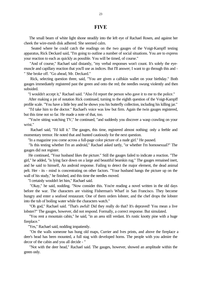### **FIVE**

 The small beam of white light shone steadily into the left eye of Rachael Rosen, and against her cheek the wire-mesh disk adhered. She seemed calm.

 Seated where he could catch the readings on the two gauges of the Voigt-Kampff testing apparatus, Rick Deckard said, "I'm going to outline a number of social situations. You are to express your reaction to each as quickly as possible. You will be timed, of course."

 "And of course," Rachael said distantly, "my verbal responses won't count. It's solely the eyemuscle and capillary reaction that you'll use as indices. But I'll answer; I want to go through this and - " She broke off. "Go ahead, Mr. Deckard."

 Rick, selecting question three, said, "You are given a calfskin wallet on your birthday." Both gauges immediately registered past the green and onto the red; the needles swung violently and then subsided.

"I wouldn't accept it," Rachael said. "Also I'd report the person who gave it to me to the police."

 After making a jot of notation Rick continued, turning to the eighth question of the Voigt-Kampff profile scale. "You have a little boy and he shows you his butterfly collection, including his killing jar."

 "I'd take him to the doctor." Rachael's voice was low but firm. Again the twin gauges registered, but this time not so far. He made a note of that, too.

 "You're sitting watching TV," he continued, "and suddenly you discover a wasp crawling on your wrist."

 Rachael said, "I'd kill it." The gauges, this time, registered almost nothing: only a feeble and momentary tremor. He noted that and hunted cautiously for the next question.

"In a magazine you come across a full-page color picture of a nude girl." He paused.

 "Is this testing whether I'm an android," Rachael asked tartly, "or whether I'm homosexual?" The gauges did not register.

 He continued, "Your husband likes the picture." Still the gauges failed to indicate a reaction. "The girl," he added, "is lying face down on a large and beautiful bearskin rug." The gauges remained inert, and he said to himself, An android response. Failing to detect the major element, the dead animal pelt. Her - its - mind is concentrating on other factors. "Your husband hangs the picture up on the wall of his study," he finished, and this time the needles moved.

"I certainly wouldn't let him," Rachael said.

 "Okay," he said, nodding. "Now consider this. You're reading a novel written in the old days before the war. The characters are visiting Fisherman's Wharf in San Francisco. They become hungry and enter a seafood restaurant. One of them orders lobster, and the chef drops the lobster into the tub of boiling water while the characters watch."

 "Oh god," Rachael said. "That's awful! Did they really do that? It's depraved! You mean a live lobster?" The gauges, however, did not respond. Formally, a correct response. But simulated.

 "You rent a mountain cabin," he said, "in an area still verdant. It's rustic knotty pine with a huge fireplace."

"Yes," Rachael said, nodding impatiently.

 "On the walls someone has hung old maps, Currier and Ives prints, and above the fireplace a deer's head has been mounted, a full stag with developed horns. The people with you admire the decor of the cabin and you all decide - "

 "Not with the deer head," Rachael said. The gauges, however, showed an amplitude within the green only.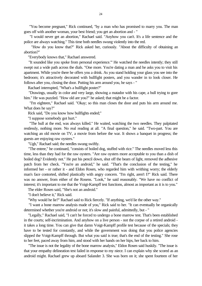"You become pregnant," Rick continued, "by a man who has promised to marry you. The man goes off with another woman, your best friend; you get an abortion and - "

 "I would never get an abortion," Rachael said. "Anyhow you can't. It's a life sentence and the police are always watching." This time both needles swung violently into the red.

 "How do you know that?" Rick asked her, curiously. "About the difficulty of obtaining an abortion?"

"Everybody knows that," Rachael answered.

 "It sounded like you spoke from personal experience."' He watched the needles intently; they still swept out a wide path across the dials. "One more. You're dating a man and he asks you to visit his apartment. While you're there he offers you a drink. As you stand holding your glass you see into the bedroom; it's attractively decorated with bullfight posters, and you wander in to look closer. He follows after you, closing the door. Putting his arm around you, he says - "

Rachael interrupted, "What's a bullfight poster?"

 "Drawings, usually in color and very large, showing a matador with his cape, a bull trying to gore him." He was puzzled. "How old are you?" he asked; that might be a factor.

 "I'm eighteen," Rachael said. "Okay; so this man closes the door and puts his arm around me. What does he say?"

Rick said, "Do you know how bullfights ended;"

"I suppose somebody got hurt."

 "The bull at the end, was always killed." He waited, watching the two needles. They palpitated restlessly, nothing more. No real reading at all. "A final question," he said. "Two-part. You are watching an old movie on TV, a movie from before the war. It shows a banquet in progress; the guests are enjoying raw oysters."

"Ugh," Rachael said; the needles swung swiftly.

 "The entree," he continued, "consists of boiled dog, stuffed with rice." The needles moved less this time, less than they had for the raw oysters. "Are raw oysters more acceptable to you than a dish of boiled dog? Evidently not." He put his pencil down, shut off the beam of light, removed the adhesive patch from her check. "You're an android," he said. "That's the conclusion of the testing," he informed her - or rather it - and Eldon Rosen, who regarded him with writhing worry; the elderly man's face contorted, shifted plastically with angry concern. "I'm right, aren't I?" Rick said. There was no answer, from either of the Rosens. "Look," he said reasonably. "We have no conflict of interest; it's important to me that the Voigt-Kampff test functions, almost as important as it is to you."

The elder Rosen said, "She's not an android."

"I don't believe it," Rick said.

"Why would he lie?" Rachael said to Rick fiercely. "If anything, we'd lie the other way."

 "I want a bone marrow analysis made of you," Rick said to her. "It can eventually be organically determined whether you're android or not; it's slow and painful, admittedly, but - "

 "Legally," Rachael said, "I can't be forced to undergo a bone marrow test. That's been established in the courts; self-incrimination. And anyhow on a live person - not the corpse of a retired android it takes a long time. You can give that damn Voigt-Kampff profile test because of the specials; they have to be tested for constantly, and while the government was doing that you police agencies slipped the Voigt-Kampff through. But what you said is true; that's the end of the testing." She rose to her feet, paced away from him, and stood with her hands on her hips, her back to him.

 "The issue is not the legality of the bone marrow analysis," Eldon Rosen said huskily. "The issue is that your empathy delineation test failed in response to my niece. I can explain why she scored as an android might. Rachael grew up aboard Salander 3. She was born on it; she spent fourteen of her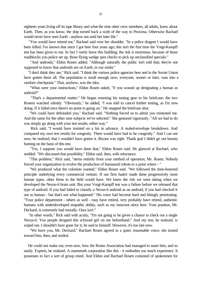eighteen years living off its tape library and what the nine other crew members, all adults, knew about Earth. Then, as you know, the ship turned back a sixth of the way to Proxima. Otherwise Rachael would never have seen Earth - anyhow not until her later life."

 "You would have retired me," Rachael said over her shoulder. "In a police dragnet I would have been killed. I've known that since I got here four years ago; this isn't the first time the Voigt-Kampff test has been given to me. In fact I rarely leave this building; the risk is enormous, because of those roadblocks you police set up, those flying wedge spot checks to pick up unclassified specials."

 "And androids," Eldon Rosen added. "Although naturally the public isn't told that; they're not supposed to know that androids are on Earth, in our midst."

 "I don't think they are," Rick said. "I think the various police agencies here and in the Soviet Union have gotten them all. The population is small enough now; everyone, sooner or later, runs into a random checkpoint." That, anyhow, was the idea.

 "What were your instructions," Eldon Rosen asked, "if you wound up designating a human as android?"

 "That's a departmental matter." He began restoring his testing gear to his briefcase; the two Rosens watched silently. "Obviously," he added, "I was told to cancel further testing, as I'm now doing. If it failed once there's no point in going on." He snapped the briefcase shut.

 "We could have defrauded you," Rachael said. "Nothing forced us to admit you mistested me. And the same for the other nine subjects we've selected." She gestured vigorously. "All we had to do was simply go along with your test results, either way."

 Rick said, "I would have insisted on a list in advance. A sealed-envelope breakdown. And compared my own test results for congruity. There would have had to be congruity." And I can see now, he realized, that I wouldn't have gotten it. Bryant was right. Thank god I didn't go out bounty hunting on the basis of this test.

 "Yes, I suppose you would have done that," Eldon Rosen said. He glanced at Rachael, who nodded. "We discussed that possibility," Eldon said, then, with reluctance.

 "This problem," Rick said, "stems entirely from your method of operation, Mr. Rosen. Nobody forced your organization to evolve the production of humanoid robots to a point where - "

 "We produced what the colonists wanted," Eldon Rosen said. "We followed the time-honored principle underlying every commercial venture. If our firm hadn't made these progressively more human types, other firms in the field would have. We knew the risk we were taking when we developed the Nexus-6 brain unit. But your Voigt-Kampff test was a failure before we released that type of android. If you had failed to classify a Nexus-6 android as an android, if you had checked it out as human - but that's not what happened." His voice had become hard and bitingly penetrating. "Your police department - others as well - may have retired, very probably have retired, authentic humans with underdeveloped empathic ability, such as my innocent niece here. Your position, Mr. Deckard, is extremely bad morally. Ours isn't."

 "In other words," Rick said with acuity, "I'm not going to be given a chance to check out a single Nexus-6. You people dropped this schizoid girl on me beforehand." And my test, he realized, is wiped out. I shouldn't have gone for it, he said to himself. However, it's too late now.

 "We have you, Mr. Deckard," Rachael Rosen agreed in a quiet, reasonable voice; she turned toward him, then, and smiled.

 He could not make out, even now, how the Rosen Association had managed to snare him, and so easily. Experts, he realized. A mammoth corporation like this - it embodies too much experience. It possesses in fact a sort of group mind. And Eldon and Rachael Rosen consisted of spokesmen for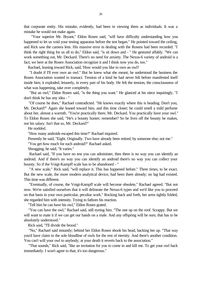that corporate entity. His mistake, evidently, had been in viewing them as individuals. It was a mistake he would not make again.

 "Your superior Mr. Bryant," Eldon Rosen said, "will have difficulty understanding how you happened to let us void your testing apparatus before the test began." He pointed toward the ceiling, and Rick saw the camera lens. His massive error in dealing with the Rosens had been recorded. "I think the right thing for us all to do," Eldon said, "is sit down and - " He gestured affably. "We can work something out, Mr. Deckard. There's no need for anxiety. The Nexus-6 variety of android is a fact; we here at the Rosen Association recognize it and I think now you do, too."

Rachael, leaning toward Rick, said, 'How would you like to own an owl?

 "I doubt if I'll ever own an owl." But he knew what she meant; he understood the business the Rosen Association wanted to transact. Tension of a kind he had never felt before manifested itself inside him; it exploded, leisurely, in every part of his body. He felt the tension, the consciousness of what was happening, take over completely.

 "But an owl," Eldon Rosen said, "is the thing you want." He glanced at his niece inquiringly. "I don't think he has any idea - "

 "Of course he does," Rachael contradicted. "He knows exactly where this is heading. Don't you, Mr. Deckard?" Again she leaned toward him, and this time closer; he could smell a mild perfume about her, almost a warmth. "You're practically there, Mr. Deckard. You practically have your owl." To Eldon Rosen she said, "He's a bounty hunter; remember? So he lives off the bounty he makes, not his salary. Isn't that so, Mr. Deckard?"

He nodded.

"How many androids escaped this time?" Rachael inquired.

Presently he said, "Eight. Originally. Two have already been retired, by someone else; not me."

"You get how much for each android?" Rachael asked.

Shrugging, he said, "It varies."

 Rachael said, "If you have no test you can administer, then there is no way you can identify an android. And if there's no way you can identify an android there's no way you can collect your bounty. So if the Voigt-Kampff scale has to be abandoned - "

 "A new scale," Rick said, "will replace it. This has happened before." Three times, to be exact. But the new scale, the more modern analytical device, had been there already; no lag had existed. This time was different.

 "Eventually, of course, the Voigt-Kampff scale will become obsolete," Rachael agreed. "But not now. We're satisfied ourselves that it will delineate the Nexus-6 types and we'd like you to proceed on that basis in your own particular, peculiar work." Rocking back and forth, her arms tightly folded, she regarded him with intensity. Trying to fathom his reaction.

"Tell him he can have his owl," Eldon Rosen grated.

 "You can have the owl," Rachael said, still eyeing him. "The one up on the roof. Scrappy. But we will want to mate it if we can get our hands on a male. And any offspring will be ours; that has to be absolutely understood."

Rick said, "I'll divide the brood."

 "No," Rachael said instantly; behind her Eldon Rosen shook his head, backing her up. "That way you'd have claim to the sole bloodline of owls for the rest of eternity. And there's another condition. You can't will your owl to anybody; at your death it reverts back to the association."

 "That sounds," Rick said, "like an invitation for you to come in and kill me. To get your owl back immediately. I won't agree to that; it's too dangerous."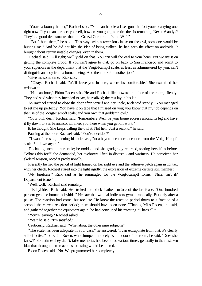"You're a bounty hunter," Rachael said. "You can handle a laser gun - in fact you're carrying one right now. If you can't protect yourself, how are you going to retire the six remaining Nexus-6 andys? They're a good deal smarter than the Grozzi Corporation's old W-4."

 "But I hunt them," he said. "This way, with a reversion clause on the owl, someone would be hunting me." And he did not like the idea of being stalked; he had seen the effect on androids. It brought about certain notable changes, even in them.

 Rachael said, "All right; we'll yield on that. You can will the owl to your heirs. But we insist on getting the complete brood. If you can't agree to that, go on back to San Francisco and admit to your superiors in the department that the Voigt-Kampff scale, at least as administered by you, can't distinguish an andy from a human being. And then look for another job."

"Give me some time," Rick said.

 "Okay," Rachael said. "We'll leave you in here, where it's comfortable." She examined her wristwatch.

 "Half an hour," Eldon Rosen said. He and Rachael filed toward the door of the room, silently. They had said what they intended to say, he realized; the rest lay in his lap.

 As Rachael started to close the door after herself and her uncle, Rick said starkly, "You managed to set me up perfectly. You have it on tape that I missed on you; you know that my job depends on the use of the Voigt-Kampff scale; and you own that goddamn owl."

 "Your owl, dear," Rachael said. "Remember? We'll tie your home address around its leg and have it fly down to San Francisco; it'll meet you there when you get off work."

It, he thought. She keeps calling the owl it. Not her. "Just a second," he said.

Pausing at the door, Rachael said, "You've decided?"

 "I want," he said, opening his briefcase, "to ask you one more question from the Voigt-Kampff scale. Sit down again."

 Rachael glanced at her uncle; he nodded and she grudgingly returned, seating herself as before. "What's this for?" she demanded, her eyebrows lifted in distaste - and wariness. He perceived her skeletal tension, noted it professionally.

 Presently he had the pencil of light trained on her right eye and the adhesive patch again in contact with her check. Rachael stared into the light rigidly, the expression of extreme distaste still manifest.

 "My briefcase," Rick said as he rummaged for the Voigt-Kampff forms. "Nice, isn't it? Department issue."

"Well, well," Rachael said remotely.

 "Babyhide," Rick said. He stroked the black leather surface of the briefcase. "One hundred percent genuine human babyhide." He saw the two dial indicators gyrate frantically. But only after a pause. The reaction had come, but too late. He knew the reaction period down to a fraction of a second, the correct reaction period; there should have been none. "Thanks, Miss Rosen," he said, and gathered together the equipment again; he had concluded his retesting. "That's all."

"You're leaving?" Rachael asked.

"Yes," he said. "I'm satisfied."

Cautiously, Rachael said, "What about the other nine subjects?"

 "The scale has been adequate in your case," he answered. "I can extrapolate from that; it's clearly still effective." To Eldon Rosen, who slumped morosely by the door of the room, he said, "Does she know?" Sometimes they didn't; false memories had been tried various times, generally in the mistaken idea that through them reactions to testing would be altered.

Eldon Rosen said, "No. We programmed her completely.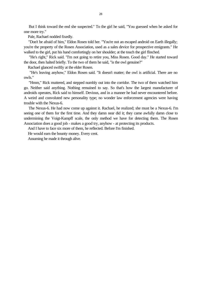But I think toward the end she suspected." To the girl he said, "You guessed when he asked for one more try."

Pale, Rachael nodded fixedly.

"Don't be afraid of him," Eldon Rosen told her. "You're not an escaped android on Earth illegally; you're the property of the Rosen Association, used as a sales device for prospective emigrants." He walked to the girl, put his hand comfortingly on her shoulder; at the touch the girl flinched.

 "He's right," Rick said. "I'm not going to retire you, Miss Rosen. Good day." He started toward the door, then halted briefly. To the two of them he said, "is the owl genuine?"

Rachael glanced swiftly at the elder Rosen.

 "He's leaving anyhow," Eldon Rosen said. "It doesn't matter; the owl is artificial. There are no owls."

 "Hmm," Rick muttered, and stepped numbly out into the corridor. The two of them watched him go. Neither said anything. Nothing remained to say. So that's how the largest manufacturer of androids operates, Rick said to himself. Devious, and in a manner he had never encountered before. A weird and convoluted new personality type; no wonder law enforcement agencies were having trouble with the Nexus-6.

 The Nexus-6. He had now come up against it. Rachael, he realized; she must be a Nexus-6. I'm seeing one of them for the first time. And they damn near did it; they came awfully damn close to undermining the Voigt-Kampff scale, the only method we have for detecting them. The Rosen Association does a good job - makes a good try, anyhow - at protecting its products.

And I have to face six more of them, he reflected. Before I'm finished.

He would earn the bounty money. Every cent.

Assuming he made it through alive.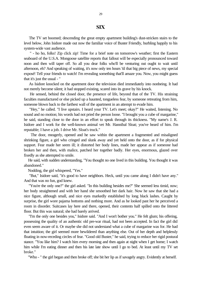The TV set boomed; descending the great empty apartment building's dust-stricken stairs to the level below, John Isidore made out now the familiar voice of Buster Friendly, burbling happily to his system-wide vast audience.

 " - ho ho, folks! Zip click zip! Time for a brief note on tomorrow's weather; first the Eastern seaboard of the U.S.A. Mongoose satellite reports that fallout will be especially pronounced toward noon and then will taper off. So all you dear folks who'll be venturing out ought to wait until afternoon, eh? And speaking of waiting, it's now only ten hours 'til that big piece of news, my special exposé! Tell your friends to watch! I'm revealing something that'll amaze you. Now, you might guess that it's just the usual - "

 As Isidore knocked on the apartment door the television died immediately into nonbeing. It had not merely become silent; it had stopped existing, scared into its grave by his knock.

 He sensed, behind the closed door, the presence of life, beyond that of the TV. His straining faculties manufactured or else picked up a haunted, tongueless fear, by someone retreating from him, someone blown back to the farthest wall of the apartment in an attempt to evade him.

 "Hey," he called. "I live upstairs. I heard your TV. Let's meet; okay?" He waited, listening. No sound and no motion; his words had not pried the person loose. "I brought you a cube of margarine," he said, standing close to the door in an effort to speak through its thickness. "My name's J. R. Isidore and I work for the well-known animal vet Mr. Hannibal Sloat; you've heard of him. I'm reputable; I have a job. I drive Mr. Sloat's truck."

 The door, meagerly, opened and he saw within the apartment a fragmented and misaligned shrinking figure, a girl who cringed and slunk away and yet held onto the door, as if for physical support. Fear made her seem ill; it distorted her body lines, made her appear as if someone had broken her and then, with malice, patched her together badly. Her eyes, enormous, glazed over fixedly as she attempted to smile.

 He said, with sudden understanding, "You thought no one lived in this building. You thought it was abandoned."

Nodding, the girl whispered, "Yes."

 "But," Isidore said, "it's good to have neighbors. Heck, until you came along I didn't have any." And that was no fun, god knew.

 "You're the only one?" the girl asked. "In this building besides me?" She seemed less timid, now; her body straightened and with her hand she smoothed her dark hair. Now he saw that she had a nice figure, although small, and nice eyes markedly established by long black lashes. Caught by surprise, the girl wore pajama bottoms and nothing more. And as he looked past her he perceived a room in disorder. Suitcases lay here and there, opened, their contents half spilled onto the littered floor. But this was natural; she had barely arrived.

 "I'm the only one besides you," Isidore said. "And I won't bother you." He felt glum; his offering, possessing the quality of an authentic old pre-war ritual, had not been accepted. In fact the girl did even seem aware of it. Or maybe she did not understand what a cube of margarine was for. He had that intuition; the girl seemed more bewildered than anything else. Out of her depth and helplessly floating in now-receding circles of fear. "Good old Buster," he said, trying to reduce her rigid postural stance. "You like him? I watch him every morning and then again at night when I get home; I watch him while I'm eating dinner and then his late late show until I go to bed. At least until my TV set broke."

"Who - " the girl began and then broke off; she bit her lip as if savagely angry. Evidently at herself.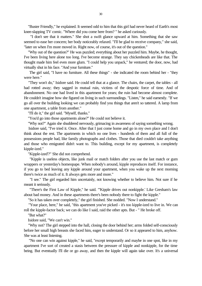"Buster Friendly," he explained. It seemed odd to him that this girl had never heard of Earth's most knee-slapping TV comic. "Where did you come here from? " he asked curiously.

 "I don't see that it matters." She shot a swift glance upward at him. Something that she saw seemed to ease her concern; her body noticeably relaxed. "I'll be glad to receive company," she said, "later on when I'm more moved in. Right now, of course, it's out of the question."

 "Why out of the question?" He was puzzled; everything about her puzzled him. Maybe, he thought, I've been living here alone too long. I've become strange. They say chickenheads are like that. The thought made him feel even more glum. "I could help you unpack," he ventured; the door, now, had virtually shut in his face. "And your furniture."

 The girl said, "I have no furniture. All these things" - she indicated the room behind her - "they were here."

 "They won't do," Isidore said. He could tell that at a glance. The chairs, the carpet, the tables - all had rotted away; they sagged in mutual ruin, victims of the despotic force of time. And of abandonment. No one had lived in this apartment for years; the ruin had become almost complete. He couldn't imagine how she figured on living in such surroundings. "Listen," he said earnestly. "If we go all over the building looking we can probably find you things that aren't so tattered. A lamp from one apartment, a table from another."

"I'll do it," the girl said. "Myself, thanks."

"You'd go into those apartments alone?" He could not believe it.

"Why not?" Again she shuddered nervously, grimacing in awareness of saying something wrong.

 Isidore said, "I've tried it. Once. After that I just come home and go in my own place and I don't think about the rest. The apartments in which no one lives - hundreds of them and all full of the possessions people had, like family photographs and clothes. Those that died couldn't take anything and those who emigrated didn't want to. This building, except for my apartment, is completely kipple-ized."

"Kipple-ized'?" She did not comprehend.

 "Kipple is useless objects, like junk mail or match folders after you use the last match or gum wrappers or yesterday's homeopape. When nobody's around, kipple reproduces itself. For instance, if you go to bed leaving any kipple around your apartment, when you wake up the next morning there's twice as much of it. It always gets more and more."

 "I see." The girl regarded him uncertainly, not knowing whether to believe him. Not sure if he meant it seriously.

 "There's the First Law of Kipple," he said. "'Kipple drives out nonkipple.' Like Gresham's law about bad money. And in these apartments there's been nobody there to fight the kipple."

"So it has taken over completely," the girl finished. She nodded. "Now I understand."

 "Your place, here," he said, "this apartment you've picked - it's too kipple-ized to live in. We can roll the kipple-factor back; we can do like I said, raid the other apts. But - " He broke off.

"But what?"

Isidore said, "We can't win."

 "Why not? The girl stepped into the hall, closing the door behind her; arms folded self-consciously before her small high breasts she faced him, eager to understand. Or so it appeared to him, anyhow. She was at least listening.

 "No one can win against kipple," he said, "except temporarily and maybe in one spot, like in my apartment I've sort of created a stasis between the pressure of kipple and nonkipple, for the time being. But eventually I'll die or go away, and then the kipple will again take over. It's a universal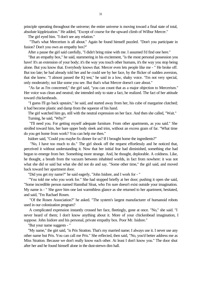principle operating throughout the universe; the entire universe is moving toward a final state of total, absolute kippleization." He added, "Except of course for the upward climb of Wilbur Mercer."

The girl eyed him. "I don't see any relation."

 "That's what Mercerism is all about." Again he found himself puzzled. "Don't you participate in fusion? Don't you own an empathy box?"

After a pause the girl said carefully, "I didn't bring mine with me. I assumed I'd find one here."

 "But an empathy box," he said, stammering in his excitement, "is the most personal possession you have! It's an extension of your body; it's the way you touch other humans, it's the way you stop being alone. But you know that. Everybody knows that. Mercer even lets people like me - " He broke off. But too late; he had already told her and he could see by her face, by the flicker of sudden aversion, that she knew. "I almost passed the IQ test," he said in a low, shaky voice. "I'm not very special, only moderately; not like some you see. But that's what Mercer doesn't care about."

 "As far as I'm concerned," the girl said, "you can count that as a major objection to Mercerism." Her voice was clean and neutral; she intended only to state a fact, he realized. The fact of her attitude toward chickenheads.

 "I guess I'll go back upstairs," he said, and started away from her, his cube of margarine clutched; it had become plastic and damp from the squeeze of his hand.

 The girl watched him go, still with the neutral expression on her face. And then she called, "Wait." Turning, he said, "Why?"

 "I'll need you. For getting myself adequate furniture. From other apartments, as you said." She strolled toward him, her bare upper body sleek and trim, without an excess gram of far. "What time do you get home from work? You can help me then."

Isidore said, "Could you maybe fix dinner for us? If I brought home the ingredients?"

 "No, I have too much to do." The girl shook off the request effortlessly and he noticed that, perceived it without understanding it. Now that her initial fear had diminished, something else had begun to emerge from her. Something more strange. And, he thought, deplorable. A coldness. Like, he thought, a breath from the vacuum between inhabited worlds, in fact from nowhere: it was not what she did or said but what she did not do and say. "Some other time," the girl said, and moved back toward her apartment door.

"Did you get my name?" he said eagerly, "John Isidore, and I work for - "

 "You told me who you work for." She had stopped briefly at her door; pushing it open she said, "Some incredible person named Hannibal Sloat, who I'm sure doesn't exist outside your imagination. My name is - " She gave him one last warmthless glance as she returned to her apartment, hesitated, and said, "I'm Rachael Rosen.

 "Of the Rosen Association?" he asked. "The system's largest manufacturer of humanoid robots used in our colonization program?

 A complicated expression instantly crossed her face, fleetingly, gone at once. "No," she said. "I never heard of them; I don't know anything about it. More of your chickenbead imagination, I suppose. John Isidore and his personal, private empathy box. Poor Mr. Isidore."

"But your name suggests - "

 "My name," the girt said, "is Pris Stratton. That's my married name; I always use it. I never use any other name but Pris. You can call me Pris." She reflected, then said, "No, you'd better address me as Miss Stratton. Because we don't really know each other. At least I don't know you." The door shut after her and he found himself alone in the dust-strewn dim hall.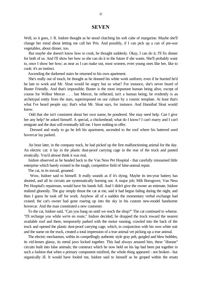#### **SEVEN**

Well, so it goes, J. R. Isidore thought as he stood clutching his soft cube of margarine. Maybe she'll change her mind about letting me call her Pris. And possibly, if I can pick up a can of pre-war vegetables, about dinner, too.

 But maybe she doesn't know how to cook, he thought suddenly. Okay, I can do it; I'll fix dinner for both of us. And I'll show her how so she can do it in the future if she wants. She'll probably want to, once I show her how; as near as I can make out, most women, even young ones like her, like to cook: it's an instinct.

Ascending the darkened stairs he returned to his own apartment.

 She's really out of touch, he thought as he donned his white work uniform; even if he hurried he'd be late to work and Mr. Sloat would be angry but so what? For instance, she's never beard of Buster Friendly. And that's impossible; Buster is the most important human being alive, except of course for Wilbur Mercer . . . but Mercer, he reflected, isn't a human being; he evidently is an archetypal entity from the stars, superimposed on our culture by a cosmic template. At least that's what I've heard people say; that's what Mr. Sloat says, for instance. And Hannibal Sloat would know.

 Odd that she isn't consistent about her own name, he pondered. She may need help. Can I give her any help? he asked himself. A special, a chickenhead; what do I know? I can't marry and I can't emigrate and the dust will eventually kill me. I have nothing to offer.

 Dressed and ready to go he left his apartment, ascended to the roof where his battered used hovercar lay parked.

 An hour later, in the company track, he had picked up the first malfunctioning animal for the day. An electric cat: it lay in the plastic dust-proof carrying cage in the rear of the truck and panted erratically. You'd almost think it was real,

 Isidore observed as he headed back to the Van Ness Pet Hospital - that carefully misnamed little enterprise which barely existed in the tough, competitive field of false-animal repair.

The cat, in its travail, groaned.

 Wow, Isidore said to himself. It really sounds as if it's dying. Maybe its ten-year battery has shorted, and all its circuits are systematically burning out. A major job; Milt Borogrove, Van Ness Pet Hospital's repairman, would have his bands full. And I didn't give the owner an estimate, Isidore realized gloomily. The guy simply thrust the cat at me, said it had begun failing during the night, and then I guess he took off for work. Anyhow all of a sudden the momentary verbal exchange had ceased; the cat's owner had gone roaring up into the sky in his custom new-model handsome hovercar. And the man constituted a new customer.

 To the cat, Isidore said, "Can you hang on until we reach the shop?" The cat continued to wheeze. "I'll recharge you while we're en route," Isidore decided; he dropped the truck toward the nearest available roof and there, temporarily parked with the motor running, crawled into the back of the truck and opened the plastic dust-proof carrying cage, which, in conjunction with his own white suit and the name on the truck, created a total impression of a true animal vet picking up a true animal.

 The electric mechanism, within its compellingly authentic style gray pelt, gurgled and blew bubbles, its vid-lenses glassy, its metal jaws locked together. This had always amazed him, these "disease" circuits built into false animals; the construct which he now held on his lap had been put together in such a fashion that when a primary component misfired, the whole thing appeared - not broken - but organically ill. It would have fooled me, Isidore said to himself as he groped within the ersatz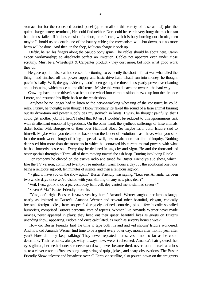stomach fur for the concealed control panel (quite small on this variety of false animal) plus the quick-charge battery terminals, He could find neither. Nor could he search very long; the mechanism had almost failed. If it does consist of a short, he reflected, which is busy burning out circuits, then maybe I should try to detach one of the battery cables; the mechanism will shut down, but no more harm will be done. And then, in the shop, Milt can charge it back up.

 Deftly, he ran his fingers along the pseudo bony spine. The cables should be about here. Damn expert workmanship; so absolutely perfect an imitation. Cables not apparent even under close scrutiny. Must be a Wheelright & Carpenter product - they cost more, but look what good work they do.

 He gave up; the false cat had ceased functioning, so evidently the short - if that was what ailed the thing - had finished off the power supply and basic drive-train. That'll run into money, he thought pessimistically. Well, the guy evidently hadn't been getting the three-times-yearly preventive cleaning and lubricating, which made all the difference. Maybe this would teach the owner - the hard way.

 Crawling back in the driver's seat he put the wheel into climb position, buzzed up into the air once I more, and resumed his flight back to the repair shop.

 Anyhow he no longer had to listen to the nerve-wracking wheezing of the construct; he could relax. Funny, he thought; even though I know rationally it's faked the sound of a false animal burning out its drive-train and power supply ties my stomach in knots. I wish, he thought painfully, that I could get another job. If I hadn't failed that IQ test I wouldn't be reduced to this ignominious task with its attendant emotional by-products. On the other hand, the synthetic sufferings of false animals didn't bother Milt Borogrove or their boss Hannibal Sloat. So maybe it's I, John Isidore said to himself. Maybe when you deteriorate back down the ladder of evolution - as I have, when you sink into the tomb world slough of being a special- well, best to abandon that line of inquiry. Nothing depressed him more than the moments in which he contrasted his current mental powers with what he had formerly possessed. Every day he declined in sagacity and vigor. He and the thousands of other specials throughout Terra, all of them moving toward the ash heap. Turning into living Ripple.

 For company he clicked on the truck's radio and tuned for Buster Friendly's aud show, which, Eke the TV version, continued twenty-three unbroken warm hours a day . . . the additional one hour being a religious sign-off, ten minutes of silence, and then a religious sign-on.

 " - glad to have you on the show again," Buster Friendly was saying. "Let's see, Amanda; it's been two whole days since we've visited with you. Starting on any new pics, dear?"

"Veil, I vuz goink to do a pic yestooday baht vell, dey vanted me to staht ad seven - "

"Seven A.M.?" Buster Friendly broke in.

 "Yess, dot's right, Booster; it vuz seven hey hem!" Amanda Werner laughed her famous laugh, nearly as imitated as Buster's. Amanda Werner and several other beautiful, elegant, conically breasted foreign ladies, from unspecified vaguely defined countries, plus a few bucolic so-called humorists, comprised Buster's perpetual core of repeats. Women like Amanda Werner never made movies, never appeared in plays; they lived out their queer, beautiful lives as guests on Buster's unending show, appearing, Isidore had once calculated, as much as seventy hours a week.

 How did Buster Friendly find the time to tape both his aud and vid shows? Isidore wondered. And how did Amanda Werner find time to be a guest every other day, month after month, year after year? How did they keep talking? They never repeated themselves - not so far as he could determine. Their remarks, always witty, always new, weren't rehearsed. Amanda's hair glowed, her eyes glinted, her teeth shone; she never ran down, never became tired, never found herself at a loss as to a clever retort to Buster's bang-bang string of quips, jokes, and sharp observations. The Buster Friendly Show, telecast and broadcast over all Earth via satellite, also poured down on the emigrants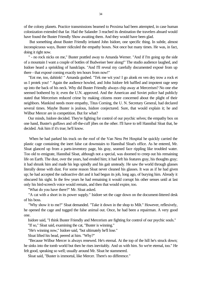of the colony planets. Practice transmissions beamed to Proxima had been attempted, in case human colonization extended that far. Had the Salander 3 reached its destination the travelers aboard would have found the Buster Friendly Show awaiting them. And they would have been glad.

 But something about Buster Friendly irritated John Isidore, one specific thing. In subtle, almost inconspicuous ways, Buster ridiculed the empathy boxes. Not once but many times. He was, in fact, doing it right now.

 " - no rock nicks on me," Buster prattled away to Amanda Werner. "And if I'm going up the side of a mountain I want a couple of bottles of Budweiser beer along!" The studio audience laughed, and Isidore heard a sprinkling of handclaps. "And I'll reveal my carefully documented exposé from up there - that exposé coming exactly ten hours from now!"

 "Ent me, too, dahiink! " Amanda gushed. "Tek me wit you! I go alonk en ven dey trow a rock et us I protek you! " Again the audience howled, and John Isidore felt baffled and impotent rage seep up into the back of his neck. Why did Buster Friendly always chip away at Mercerism? No one else seemed bothered by it; even the U.N. approved. And the American and Soviet police had publicly stated that Mercerism reduced crime by making citizens more concerned about the plight of their neighbors. Mankind needs more empathy, Titus Corning, the U. N. Secretary General, had declared several times. Maybe Buster is jealous, Isidore conjectured. Sure, that would explain it; he and Wilbur Mercer are in competition. But for what?

 Our minds, Isidore decided. They're fighting for control of our psychic selves; the empathy box on one hand, Buster's guffaws and off-the-cuff jibes on the other. I'll have to tell Hannibal Sloat that, he decided. Ask him if it's true; he'll know.

 When he had parked his truck on the roof of the Van Ness Pet Hospital he quickly carried the plastic cage containing the inert false cat downstairs to Hannibal Sloat's office. As he entered, Mr. Sloat glanced up from a parts-inventory page, his gray, seamed face rippling like troubled water. Too old to emigrate, Hannibal Sloat, although not a special, was doomed to creep out his remaining life on Earth. The dust, over the years, had eroded him; it had left his features gray, his thoughts gray; it had shrunk him and made his legs spindly and his gait unsteady. He saw the world through glasses literally dense with dust. For some reason Sloat never cleaned his glasses. It was as if he had given up; he had accepted the radioactive dirt and it had begun its job, long ago, of burying him. Already it obscured his sight. In the few years he had remaining it would corrupt his other senses until at last only his bird-screech voice would remain, and then that would expire, too.

"What do you have there?" Mr. Sloat asked.

 "A cat with a short in its power supply." Isidore set the cage down on the document-littered desk of his boss.

 "Why show it to me?" Sloat demanded. "Take it down in the shop to Milt." However, reflexively, he opened the cage and tugged the false animal out. Once, he had been a repairman. A very good one.

Isidore said, "I think Buster Friendly and Mercerism are fighting for control of our psychic souls."

"If so," Sloat said, examining the cat, "Buster is winning."

"He's winning now," Isidore said, "but ultimately he'll lose."

Sloat lifted his bead, peered at him. "Why?"

 "Because Wilbur Mercer is always renewed. He's eternal. At the top of the hill he's struck down; he sinks into the tomb world but then he rises inevitably. And us with him. So we're eternal, too." He felt good, speaking so well; usually around Mr. Sloat he stammered.

Sloat said, "Buster is immortal, like Mercer. There's no difference."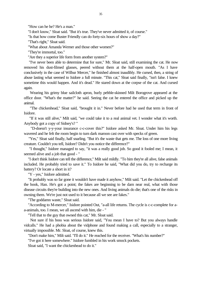"How can he he? He's a man."

"I don't know," Sloat said. "But it's true. They've never admitted it, of course."

"Is that how come Buster Friendly can do forty-six hours of show a day?"

"That's right," Sloat said.

"What about Amanda Werner and those other women?"

"They're immortal, too."

"Are they a superior life form from another system?"

 "I've never been able to determine that for sure," Mr. Sloat said, still examining the cat. He now removed his dust-filmed glasses, peered without them at the half-open mouth. "As I have conclusively in the case of Wilbur Mercer," he finished almost inaudibly. He cursed, then, a string of abuse lasting what seemed to Isidore a full minute. "This cat," Sloat said finally, "isn't false. I knew sometime this would happen. And it's dead." He stared down at the corpse of the cat. And cursed again.

 Wearing his grimy blue sailcloth apron, burly pebble-skinned Milt Borogrove appeared at the office door. "What's the matter?" he said. Seeing the cat he entered the office and picked up the animal.

 "The chickenhead," Sloat said, "brought it in." Never before had he used that term in front of Isidore.

 "If it was still alive," Milt said, "we could take it to a real animal vet. I wonder what it's worth. Anybody got a copy of Sidney's? "

 "D-doesn't y-y-your insurance c-c-cover this?" Isidore asked Mr. Sloat. Under him his legs wavered and he felt the room begin to turn dark maroon cast over with specks of green.

 "Yes," Sloat said finally, half snarling. "But it's the waste that gets me. The loss of one more living creature. Couldn't you tell, Isidore? Didn't you notice the difference?"

 "I thought," Isidore managed to say, "it was a really good job. So good it fooled me; I mean, it seemed alive and a job that good - "

 "I don't think Isidore can tell the difference," Milt said mildly. "To him they're all alive, false animals included. He probably tried to save it." To Isidore he said, "What did you do, try to recharge its battery? Or locate a short in it?

"Y - yes," Isidore admitted.

 "It probably was so far gone it wouldn't have made it anyhow," Milt said. "Let the chickenhead off the hook, Han. He's got a point; the fakes are beginning to be darn near real, what with those disease circuits they're building into the new ones. And living animals do die; that's one of the risks in owning them. We're just not used to it because all we see are fakes."

"The goddamn waste," Sloat said.

 "According to M-mercer," Isidore pointed Out, "a-all life returns. The cycle is c-c-complete for aa-animals, too. I mean, we all ascend with him, die - "

"Tell that to the guy that owned this cat," Mr. Sloat said.

 Not sure if his boss was serious Isidore said, "You mean I have to? But you always handle vidcalls." He had a phobia about the vidphone and found making a call, especially to a stranger, virtually impossible. Mr. Sloat, of course, knew this.

"Don't make him," Milt said. "I'll do it." He reached for the receiver. "What's his number?"

"I've got it here somewhere." Isidore fumbled in his work smock pockets.

Sloat said, "I want the chickenhead to do it."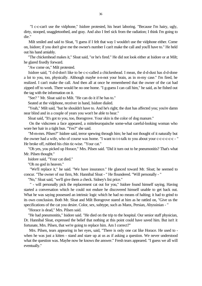"I c-c-can't use the vidphone," Isidore protested, his heart laboring. "Because I'm hairy, ugly, dirty, stooped, snaggletoothed, and gray. And also I feel sick from the radiation; I think I'm going to die."

 Milt smiled and said to Sloat, "I guess if I felt that way I wouldn't use the vidphone either. Come on, Isidore; if you don't give me the owner's number I can't make the call and you'll have to." He held out his hand amiably.

 "The chickenhead makes it," Sloat said, "or he's fired." He did not look either at Isidore or at Milt; he glared fixedly forward.

"Aw come on," Milt protested.

 Isidore said, "I d-d-don't like to be c-c-called a chickenhead. I mean, the d-d-dust has d-d-done a lot to you, too, physically. Although maybe n-n-not your brain, as in m-my case." I'm fired, he realized. I can't make the call. And then all at once he remembered that the owner of the cat had zipped off to work. There would be no one home. "I g-guess I can call him," he said, as he fished out the tag with the information on it.

"See? " Mr. Sloat said to Milt. "He can do it if he has to."

Seated at the vidphone, receiver in hand, Isidore dialed.

 "Yeah," Milt said, "but he shouldn't have to. And he's right; the dust has affected you; you're damn near blind and in a couple of years you won't be able to hear."

Sloat said, "It's got to you, too, Borogrove. Your skin is the color of dog manure."

 On the vidscreen a face appeared, a mitteleuropaische some-what careful-looking woman who wore her hair in a tight bun. "Yes?" she said.

 "M-m-mrs. Pilsen?" Isidore said, terror spewing through him; he had not thought of it naturally but the owner had a wife, who of course was home. "I want to t-t-talk to you about your c-c-c-c-c-c - " He broke off, rubbed his chin tic-wise. "Your cat."

 "Oh yes, you picked up Horace," Mrs. Pilsen said. "Did it turn out to be pneumonitis? That's what Mr. Pilsen thought."

Isidore said, "Your cat died."

"Oh no god in heaven."

 "We'll replace it," he said. "We have insurance." He glanced toward Mr. Sloat; he seemed to concur. "The owner of our firm, Mr. Hannibal Sloat - " He floundered. "Will personally - "

"No," Sloat said, "we'll give them a check. Sidney's list price."

 " - will personally pick the replacement cat out for you," Isidore found himself saying. Having started a conversation which he could not endure he discovered himself unable to get back out. What he was saying possessed an intrinsic logic which he had no means of halting; it had to grind to its own conclusion. Both Mr. Sloat and Milt Borogrove stared at him as he rattled on, "Give us the specifications of the cat you desire. Color, sex, subtype, such as Manx, Persian, Abyssinian - "

"Horace is dead," Mrs. Pilsen said.

 "He had pneumonitis," Isidore said. "He died on the trip to the hospital. Our senior staff physician, Dr. Hannibal Sloat, expressed the belief that nothing at this point could have saved him. But isn't it fortunate, Mrs. Pilsen, that we're going to replace him. Am I correct?"

 Mrs. Pilsen, tears appearing in her eyes, said, "There is only one cat like Horace. He used to when he was just a kitten - stand and stare up at us as if asking a question. We never understood what the question was. Maybe now he knows the answer." Fresh tears appeared. "I guess we all will eventually."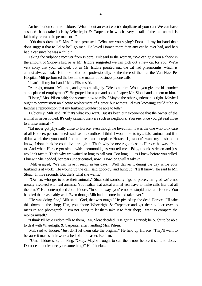An inspiration came to Isidore. "What about an exact electric duplicate of your cat? We can have a superb handcrafted job by Wheelright & Carpenter in which every detail of the old animal is faithfully repeated in permanent - "

 "Oh that's dreadful!" Mrs. Pilsen protested. "What are you saying? Don't tell my husband that; don't suggest that to Ed or he'll go mad. He loved Horace more than any cat he ever had, and he's had a cat since he was a child."

 Taking the vidphone receiver from Isidore, Milt said to the woman, "We can give you a check in the amount of Sidney's list, or as Mr. Isidore suggested we can pick out a new cat for you. We're very sorry that your cat died, but as Mr. Isidore pointed out, the cat had pneumonitis, which is almost always fatal." His tone rolled out professionally; of the three of them at the Van Ness Pet Hospital, Milt performed the best in the matter of business phone calls.

"I can't tell my husband," Mrs. Pilsen said.

 "All right, ma'am," Milt said, and grimaced slightly. "We'll call him. Would you give me his number at his place of employment?" He groped for a pen and pad of paper; Mr. Sloat handed them to him.

 "Listen," Mrs. Pilsen said; she seemed now to rally. "Maybe the other gentleman is right. Maybe I ought to commission an electric replacement of Horace but without Ed ever knowing; could it be so faithful a reproduction that my husband wouldn't be able to tell?"

 Dubiously, Milt said, "If that's what you want. But it's been our experience that the owner of the animal is never fooled. It's only casual observers such as neighbors. You see, once you get real close to a false animal - "

 "Ed never got physically close to Horace, even though he loved him; I was the one who took care of all Horace's personal needs such as his sandbox. I think I would like to try a false animal, and if it didn't work then you could find us a real cat to replace Horace. I just don't want my husband to know; I don't think he could live through it. That's why he never got close to Horace; he was afraid to. And when Horace got sick - with pneumonitis, as you tell me - Ed got panic-stricken and just wouldn't face it. That's why we waited so long to call you. Too long . . . as I knew before you called. I knew." She nodded, her tears under control, now. "How long will it take?"

 Milt essayed, "We can have it ready in ten days. "We'll deliver it during the day while your husband is at work." He wound up the call, said good-by, and hung up. "He'll know," he said to Mr. Sloat. "In five seconds. But that's what she wants."

 "Owners who get to love their animals," Sloat said somberly, "go to pieces. I'm glad we're not usually involved with real animals. You realize that actual animal vets have to make calls like that all the time?" He contemplated John Isidore. "In some ways you're not so stupid after all, Isidore. You handled that reasonably well. Even though Milt had to come in and take over."

 "He was doing fine," Milt said. "God, that was tough." He picked up the dead Horace. "I'll take this down to the shop; Han, you phone Wheelright & Carpenter and get their builder over to measure and photograph it. I'm not going to let them take it to their shop; I want to compare the replica myself."

 "I think I'll have Isidore talk to them," Mr. Sloat decided. "He got this started; he ought to be able to deal with Wheelright & Carpenter after handling Mrs. Pilsen."

 Milt said to Isidore, "Just don't let them take the original." He held up Horace. "They'll want to because it makes their work a hell of a lot easier. Be firm."

 "Um," Isidore said, blinking. "Okay. Maybe I ought to call them now before it starts to decay. Don't dead bodies decay or something?" He felt elated.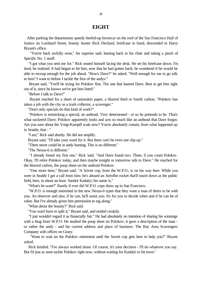# **EIGHT**

 After parking the departments speedy beefed-up hovercar on the roof of the San Francisco Hall of Justice on Lombard Street, bounty hunter Rick Deckard, briefcase in hand, descended to Harry Bryant's office.

 "You're back awfully soon," his superior said, leaning back in his chair and taking a pinch of Specific No. 1 snuff.

 "I got what you sent me for." Rick seated himself facing the desk. He set his briefcase down. I'm tired, he realized. It had begun to hit him, now that he had gotten back; he wondered if he would be able to recoup enough for the job ahead. "How's Dave?" he asked. "Well enough for me to go talk to him? I want to before I tackle the first of the andys."

 Bryant said, "You'll be trying for Polokov first. The one that lasered Dave. Best to get him right out of it, since he knows we've got him listed."

"Before I talk to Dave?"

 Bryant reached for a sheet of onionskin paper, a blurred third or fourth carbon. "Polokov has taken a job with the city as a trash collector, a scavenger."

"Don't only specials do that kind of work?"

 "Polokov is mimicking a special, an anthead. Very deteriorated - or so he pretends to be. That's what suckered Dave; Polokov apparently looks and acts so much like an anthead that Dave forgot. Are you sure about the Voigt-Kampff scale now? You're absolutely certain, from what happened up in Seattle, that - "

"I am," Rick said shortly. He did not amplify.

Bryant said, "I'll take your word for it. But there can't be even one slip-up."

"There never could be in andy hunting. This is no different."

"The Nexus-6 is different."

 "I already found my first one," Rick 'said. "And Dave found two. Three, if you count Polokov. Okay, I'll retire Polokov today, and then maybe tonight or tomorrow talk to Dave." He reached for the blurred carbon, the poop sheet on the android Polokov.

 "One more item," Bryant said. "A Soviet cop, from the W.P.O., is on his way here. While you were in Seattle I got a call from him; he's aboard an Aeroflot rocket that'll touch down at the public field, here, in about an hour. Sandor Kadalyi, his name is."

"What's he want?" Rarely if ever did W.P.O. cops show up in San Francisco.

 "W.P.O. is enough interested in the new Nexus-6 types that they want a man of theirs to be with you. An observer and also, if he can, he'll assist you. It's for you to decide when and if he can be of value. But I've already given him permission to tag along."

"What about the bounty?" Rick said.

"You won't have to split it," Bryant said, and smiled creakily.

 "I just wouldn't regard it as financially fair." He had absolutely no intention of sharing his winnings with a thug from W.P.O. He studied the poop sheet on Polokov; it gave a description of the man or rather the andy - and his current address and place of business: The Bay Area Scavengers Company with offices on Geary.

 "Want to wait on the Polokov retirement until the Soviet cop gets here to help you?" Bryant asked.

 Rick bristled. "I've always worked alone. Of course, it's your decision - I'll do whatever you say. But I'd just as soon tackle Polokov right now, without waiting for Kadalyi to hit town."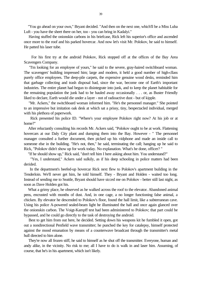"You go ahead on your own," Bryant decided. "And then on the next one, which'll be a Miss Luba Luft - you have the sheet there on her, too - you can bring in Kadalyi."

 Having stuffed the onionskin carbons in his briefcase, Rick left his superior's office and ascended once more to the roof and his parked hovercar. And now let's visit Mr. Polokov, he said to himself. He patted his laser tube.

 For his first try at the android Polokov, Rick stopped off at the offices of the Bay Area Scavengers Company.

 "I'm looking for an employee of yours," he said to the severe, gray-haired switchboard woman. The scavengers' building impressed him; large and modern, it held a good number of high-cllass purely office employees. The deep-pile carpets, the expensive genuine wood desks, reminded him that garbage collecting and trash disposal had, since the war, become one of Earth's important industries. The entire planet had begun to disintegrate into junk, and to keep the planet habitable for the remaining population the junk had to be hauled away occasionally . . . or, as Buster Friendly liked to declare, Earth would die under a layer - not of radioactive dust - but of kipple.

 "Mr. Ackers," the switchboard woman informed him. "He's the personnel manager." She pointed to an impressive but imitation oak desk at which sat a prissy, tiny, bespectacled individual, merged with his plethora of paperwork.

 Rick presented his police ID. "Where's your employee Polokov right now? At his job or at home?"

 After reluctantly consulting his records Mr. Ackers said, "Polokov ought to be at work. Flattening hovercars at our Daly City plant and dumping them into the Bay. However - " The personnel manager consulted a further document, then picked up his vidphone and made an inside call to someone else in the building. "He's not, then," he said, terminating the call; hanging up he said to Rick, "Polokov didn't show up for work today. No explanation. What's he done, officer? "

"If he should show up," Rick said, "don't tell him I here asking about him. You understand?"

 "Yes, I understand," Ackers said sulkily, as if his deep schooling in police matters had been derided.

 In the department's beefed-up hovercar Rick next flew to Polokov's apartment building in the Tenderloin. We'll never get him, he told himself. They - Bryant and Holden - waited too long. Instead of sending me to Seattle, Bryant should have sicced me on Polokov - better still last night, as soon as Dave Holden got his.

 What a grimy place, he observed as he walked across the roof to the elevator. Abandoned animal pens, encrusted with months of dust. And, in one cage, a no longer functioning false animal, a chicken. By elevator he descended to Polokov's floor, found the hall limit, like a subterranean cave. Using his police A-powered sealed-beam light he illuminated the hall and once again glanced over the onionskin carbon. The Voigt-Kampff test had been administered to Polokov; that part could be bypassed, and he could go directly to the task of destroying the android.

 Best to get him from out here, he decided. Setting down his weapons kit he fumbled it open, got out a nondirectional Penfield wave transmitter; he punched the key for catalepsy, himself protected against the mood emanation by means of a counterwave broadcast through the transmitter's metal hull directed to him alone.

 They're now all frozen stiff, he said to himself as he shut off the transmitter. Everyone, human and andy alike, in the vicinity. No risk to me; all I have to do is walk in and laser him. Assuming, of course, that he's in his apartment, which isn't likely.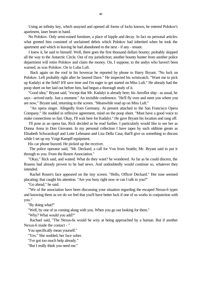Using an infinity key, which anayzed and opened all forms of locks known, he entered Polokov's apartment, laser beam in hand.

 No Polokov. Only semi-ruined furniture, a place of kipple and decay. In fact no personal articles: what greeted him consisted of unclaimed debris which Polokov had inherited when he took the apartment and which in leaving he had abandoned to the next - if any - tenant.

 I knew it, he said to himself. Well, there goes the first thousand dollars bounty; probably skipped all the way to the Antarctic Circle. Out of my jurisdiction; another bounty hunter from another police department will retire Polokov and claim the money. On, I suppose, to the andys who haven't been warned, as was Polokov. On to Luba Luft.

 Back again on the roof in his hovercar he reported by phone to Harry Bryant. "No luck on Polokov. Left probably right after he lasered Dave." He inspected his wristwatch. "Want me to pick up Kadalyi at the field? It'll save time and I'm eager to get started on Miss Luft." He already had the poop sheet on her laid out before him, had begun a thorough study of it.

 "Good idea," Bryant said, "except that Mr. Kadalyi is already here; his Aeroflot ship - as usual, he says - arrived early. Just a moment." An invisible conference. "He'll fly over and meet you where you are now," Bryant said, returning to the screen. "Meanwhile read up on Miss Luft."

 "An opera singer. Allegedly from Germany. At present attached to the San Francisco Opera Company." He nodded in reflexive agreement, mind on the poop sheet. "Must have a good voice to make connections so fast. Okay, I'll wait here for Kadalyi." He gave Bryant his location and rang off.

 I'll pose as an opera fan, Rick decided as he read further. I particularly would like to see her as Donna Anna in Don Giovanni. In my personal collection I have tapes by such oldtime greats as Elisabeth Schwarzkopf and Lotte Lehmann and Lisa Della Casa; that'll give us something to discuss while I set up my Voigt-Kampff equipment.

His car phone buzzed. He picked up the receiver.

 The police operator said, "Mr. Deckard, a call for Von from Seattle; Mr. Bryant said to put it through to you. From the Rosen Association."

 "Okay," Rick said, and waited. What do they want? he wondered. As far as he could discern, the Rosens had already proven to be bad news. And undoubtedly would continue so, whatever they intended.

 Rachel Rosen's face appeared on the tiny screen. "Hello, Officer Deckard." Her tone seemed placating; that caught his attention. "Are you busy right now or can I talk to you?"

"Go ahead," he said.

 "We of the association have been discussing your situation regarding the escaped Nexus-6 types and knowing them as we do we feel that you'll have better luck if one of us works in conjunction with you."

"By doing what?"

"Well, by one of us coming along with you. When you go out looking for them."

"Why? What would you add?"

 Rachael said, "The Nexus-6s would be wiry at being approached by a human. But if another Nexus-6 made the contact - "

You specifically mean yourself."

"Yes." She nodded, her face sober.

"I've got too much help already."

"But I really think you need me."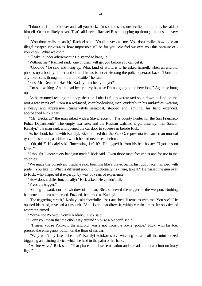"I doubt it. I'll think it over and call you back." At some distant, unspecified future time, he said to himself. Or more likely never. That's all I need: Rachael Rosen popping up through the dust at every step.

 "You don't really mean it," Rachael said. "You'll never call me. You don't realize how agile an illegal escaped Nexus-6 is, how impossible it'll be for you. We feel we owe you this because of you know. What we did."

"I'll take it under advisement." He started to hang up.

"Without me," Rachael said, "one of them will get you before you can get it."

 "Good-by," he said and hung up. What kind of world is it, he asked himself, when an android phones up a bounty hunter and offers him assistance? He rang the police operator back. "Don't put any more calls through to me from Seattle," he said.

"Yes, Mr. Deckard. Has Mr. Kadalyi reached you, yet?"

 "I'm still waiting. And he had better hurry because I'm not going to be here long." Again he hung up.

 As he resumed reading the poop sheet on Luba Luft a hovercar taxi spun down to land on the roof a few yards off. From it a red-faced, cherubic-looking man, evidently in his mid-fifties, wearing a heavy and impressive Russian-style greatcoat, stepped and, smiling, his hand extended, approached Rick's car.

 "Mr. Deckard?" the man asked with a Slavic accent. "The bounty hunter for the San Francisco Police Department?" The empty taxi rose, and the Russian watched it go, absently. "I'm Sandor Kadalyi," the man said, and opened the car door to squeeze in beside Rick.

 As he shook hands with Kadalyi, Rick noticed that the W.P.O. representative carried an unusual type of laser tube, a subform which he had never seen before.

 "Oh, this?" Kadalyi said. "Interesting, isn't it?" He tugged it from his belt holster. "I got this on Mars."

 "I thought I knew every handgun made," Rick said. "Even those manufactured at and for use in the colonies."

 "We made this ourselves," Kadalyi said, beaming like a Slavic Santa, his ruddy face inscribed with pride. "You like it? What is different about it, functionally, is - here, take it." He passed the gun over to Rick, who inspected it expertly, by way of years of experience.

"How does it differ functionally?" Rick asked. He couldn't tell.

"Press the trigger."

 Aiming upward, out the window of the car, Rick squeezed the trigger of the weapon. Nothing happened; no beam emerged. Puzzled, he turned to Kadalyi.

 "The triggering circuit," Kadalyi said cheerfully, "isn't attached. It remains with me. You see?" He opened his hand, revealed a tiny unit. "And I can also direct it, within certain limits. Irrespective of where it's aimed."

"You're not Polokov, you're Kadalyi," Rick said.

"Don't you mean that the other way around? You're a bit confused."

 "I mean you're Polokov, the android; you're not from the Soviet police." Rick, with his toe, pressed the emergency button on the floor of his car.

 "Why won't my laser tube fire?" Kadalyi-Polokov said, switching on and off the miniaturized triggering and aiming device which he held in the palm of his hand.

 "A sine wave," Rick said. "That phases out laser emanation and spreads the beam into ordinary light."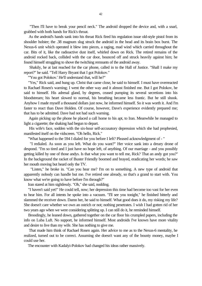"Then I'll have to break your pencil neck." The android dropped the device and, with a snarl, grabbed with both hands for Rick's throat.

 As the android's hands sank into his throat Rick fired his regulation issue old-style pistol from its shoulder holster; the .38 magnum slug struck the android in the head and its brain box burst. The Nexus-6 unit which operated it blew into pieces, a raging, mad wind which carried throughout the car. Bits of it, like the radioactive dust itself, whirled down on Rick. The retired remains of the android rocked back, collided with the car door, bounced off and struck heavily against him; he found himself struggling to shove the twitching remnants of the android away.

 Shakily, he at last reached for the car phone, called in to the Hall of Justice. "Shall I make my report?" he said. "Tell Harry Bryant that I got Polokov."

"'You got Polokov.' He'll understand that, will he?"

 "Yes," Rick said, and hung up. Christ that came close, he said to himself. I must have overreacted to Rachael Rosen's warning; I went the other way and it almost finished me. But I got Polokov, he said to himself. His adrenal gland, by degrees, ceased pumping its several secretions into his bloodstream; his heart slowed to normal, his breathing became less frantic. But he still shook. Anyhow I made myself a thousand dollars just now, he informed himself. So it was worth it. And I'm faster to react than Dave Holden. Of course, however, Dave's experience evidently prepared me; that has to be admitted. Dave had not had such warning.

 Again picking up the phone he placed a call home to his apt, to Iran. Meanwhile he managed to light a cigarette; the shaking had begun to depart.

 His wife's face, sodden with the six-hour self-accusatory depression which she had prophesied, manifested itself on the vidscreen. "Oh hello, Rick."

"What happened to the 594 I dialed for you before I left? Pleased acknowledgment of - "

 "I redialed. As soon as you left. What do you want?" Her voice sank into a dreary drone of despond. "I'm so tired and I just have no hope left, of anything. Of our marriage - and you possibly getting killed by one of those andys. Is that what you want to tell me, Rick? That an andy got you?" In the background the racket of Buster Friendly boomed and brayed, eradicating her words; he saw her mouth moving but heard only the TV.

 "Listen," he broke in. "Can you hear me? I'm on to something. A new type of android that apparently nobody can handle but me. I've retired one already, so that's a grand to start with. You know what we're going to have before I'm through?"

Iran stared at him sightlessly. "Oh," she said, nodding.

 "I haven't said yet!" He could tell, now; her depression this time had become too vast for her even to hear him. For all intents he spoke into a vacuum. "I'll see you tonight," he finished bitterly and slammed the receiver down. Damn her, he said to himself. What good does it do, my risking my life? She doesn't care whether we own an ostrich or not; nothing penetrates. I wish I had gotten rid of her two years ago when we were considering splitting up. I can still do it, he reminded himself.

 Broodingly, he leaned down, gathered together on the car floor his crumpled papers, including the info on Luba Luft. No support, he informed himself. Most androids I've known have more vitality and desire to live than my wife. She has nothing to give me.

 That made him think of Rachael Rosen again. Her advice to me as to the Nexus-6 mentality, he realized, turned out to be correct. Assuming she doesn't want any of the bounty money, maybe I could use her.

The encounter with Kadalyi-Polokov had changed his ideas rather massively.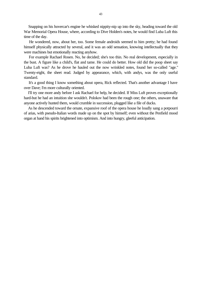Snapping on his hovercar's engine he whisked nippity-nip up into the sky, heading toward the old War Memorial Opera House, where, according to Dive Holden's notes, he would find Luba Luft this time of the day.

 He wondered, now, about her, too. Some female androids seemed to him pretty; he had found himself physically attracted by several, and it was an odd sensation, knowing intellectually that they were machines but emotionally reacting anyhow.

 For example Rachael Rosen. No, he decided; she's too thin. No real development, especially in the bust. A figure like a child's, flat and tame. He could do better. How old did the poop sheet say Luba Luft was? As he drove he hauled out the now wrinkled notes, found her so-called "age." Twenty-eight, the sheet read. Judged by appearance, which, with andys, was the only useful standard.

 It's a good thing I know something about opera, Rick reflected. That's another advantage I have over Dave; I'm more culturally oriented.

 I'll try one more andy before I ask Rachael for help, he decided. If Miss Luft proves exceptionally hard-but he had an intuition she wouldn't. Polokov had been the rough one; the others, unaware that anyone actively hunted them, would crumble in succession, plugged like a file of ducks.

 As he descended toward the ornate, expansive roof of the opera house he loudly sang a potpourri of arias, with pseudo-Italian words made up on the spot by himself; even without the Penfield mood organ at hand his spirits brightened into optimism. And into hungry, gleeful anticipation.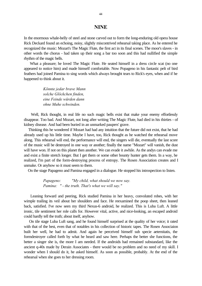#### **NINE**

In the enormous whale-belly of steel and stone carved out to form the long-enduring old opera house Rick Deckard found an echoing, noisy, slightly miscontrived rehearsal taking place. As he entered he recognized the music: Mozart's The Magic Flute, the first act in its final scenes. The moor's slaves - in other words the chorus - had taken up their song a bar too soon and this had nullified the simple rhythm of the magic bells.

 What a pleasure; he loved The Magic Flute. He seated himself in a dress circle scat (no one appeared to notice him) and made himself comfortable. Now Popageno in his fantastic pelt of bird feathers had joined Pamina to sing words which always brought tears to Rick's eyes, when and if he happened to think about it.

> *Könnte jedar brave Mann solche Glöckchen finden, eine Feinde würden dann ohne Muhe schwinden.*

 Well, Rick thought, in real life no such magic bells exist that make your enemy effortlessly disappear. Too bad. And Mozart, not long after writing The Magic Flute, had died in his thirties - of kidney disease. And had been buried in an unmarked paupers' grave.

 Thinking this he wondered if Mozart had had any intuition that the future did not exist, that he had already used up his little time. Maybe I have, too, Rick thought as he watched the rehearsal move along. This rehearsal will end, the performance will end, the singers will die, eventually the last score of the music will be destroyed in one way or another; finally the name "Mozart" will vanish, the dust will have won. If not on this planet then another. We can evade it awhile. As the andys can evade me and exist a finite stretch longer. But I get them or some other bounty hunter gets them. In a way, he realized, I'm part of the form-destroying process of entropy. The Rosen Association creates and I unmake. Or anyhow so it must seem to them.

On the stage Papageno and Pamina engaged in a dialogue. He stopped his introspection to listen.

*Papageno: "My child, what should we now say. Pamina: " - the truth. That's what we will say."*

 Leaning forward and peering, Rick studied Pamina in her heavy, convoluted robes, with her wimple trailing its veil about her shoulders and face. He reexamined the poop sheet, then leaned back, satisfied. I've now seen my third Nexus-6 android, he realized. This is Luba Luft. A little ironic, tile sentiment her role calls for. However vital, active, and nice-looking, an escaped android could hardly tell the truth; about itself, anyhow.

 On tile stage Luba Luft sang, and he found himself surprised at the quality of her voice; it rated with that of the best, even that of notables in his collection of historic tapes. The Rosen Associaion built her well, he had to admit. And again he perceived himself sub specie aeternitatis, the formdestroyer called forth by what he heard and saw here. Perhaps the better she functions, the better a singer she is, the more I am needed. If the androids had remained substandard, like the ancient q-40s made by Derain Associates - there would be no problem and no need of my skill. I wonder when I should do it, he asked himself. As soon as possible, probably. At the end of the rehearsal when she goes to her dressing room.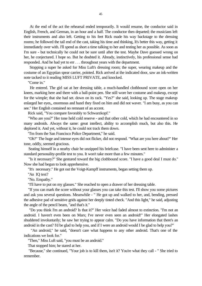At the end of the act the rehearsal ended temporarily. It would resume, the conductor said in English, French, and German, in an hour and a half. The conductor then departed; the musicians left their instruments and also left. Getting to his feet Rick made his way backstage to the dressing rooms; he followed the tail end of the cast, taking his time and thinking, It's better this way, getting it immediately over with. I'll spend as short a time talking to her and testing her as possible. As soon as I'm sure - but technically he could not be sure until after the test. Maybe Dave guessed wrong on her, he conjectured. I hope so. But he doubted it. Already, instinctively, his professional sense had responded. And he had yet to err . . . throughout years with the department.

 Stopping a super he asked for Miss Luft's dressing room; the super, wearing makeup and the costume of an Egyptian spear carrier, pointed. Rick arrived at the indicated door, saw an ink-written note tacked to it reading MISS LUFT PRIVATE, and knocked.

#### "Come in."

 He entered. The girl sat at her dressing table, a much-handled clothbound score open on her knees, marking here and there with a ball-point pen. She still wore her costume and makeup, except for the wimple; that she had set. down on its rack. "Yes?" she said, looking up. The stage makeup enlarged her eyes,, enormous and hazel they fixed on him and did not waver. "I am busy, as you can see." Her English contained no remnant of an accent.

Rick said, "You compare favorably to Schwarzkopf."

 "Who are you?" Her tone held cold reserve - and that other cold, which he had encountered in so many androids. Always the same: great intellect, ability to accomplish much, but also this. He deplored it. And yet, without it, he could not track them down.

"I'm from the San Francisco Police Department," he said.

 "Oh?" The huge and intense eyes did not flicker, did not respond. "What are you here about?" Her tone, oddly, seemed gracious.

 Seating himself in a nearby chair he unzipped his briefcase. "I have been sent here to administer a standard personality-profile test to you. It won't take more than a few minutes."

 "Is it necessary?" She gestured toward the big clothbound score. "I have a good deal I must do." Now she had begun to look apprehensive.

"It's necessary." He got out the Voigt-Kampff instruments, began setting them up.

"An IQ test?

"No. Empathy."

"I'll have to put on my glasses." She reached to open a drawer of her dressing table.

 "If you can mark the score without your glasses you can take this test. I'll show you some pictures and ask you several questions. Meanwhile - " He got up and walked to her, and, bending, pressed the adhesive pad of sensitive grids against her deeply tinted check. "And this light," he said, adjusting the angle of the pencil beam, "and that's it."

 "Do you think I'm an android? Is that it?" Her voice had faded almost to extinction. "I'm not an android. I haven't even been on Mars; I've never even seen an android!" Her elongated lashes shuddered involuntarily; he saw her trying to appear calm. "Do you have information that there's an android in the cast? I'd be glad to help you, and if I were an android would I be glad to help you?"

 "An android," he said, "doesn't care what happens to any other android. That's one of the indications we look for."

"Then," Miss Luft said, "you must be an android."

That stopped him; he stared at her.

 "Because," she continued, "Your job is to kill them, isn't it? You're what they call - " She tried to remember.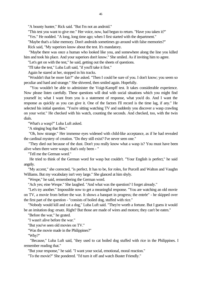"A bounty hunter," Rick said. "But I'm not an android."

"This test you want to give me." Her voice, now, had begun to return. "Have you taken it?"

"Yes." He nodded. "A long, long time ago; when I first started with the department."

"Maybe that's a false memory. Don't androids sometimes go around with false memories?"

Rick said, "My superiors know about the test. It's mandatory.

 "Maybe there was once a human who looked like you, and somewhere along the line you killed him and took his place. And your superiors don't know." She smiled. As if inviting him to agree.

"Let's get on with the test," he said, getting out the sheets of questions.

"I'll take the test," Luba Luft said, "if you'll take it first."

Again he stared at her, stopped in his tracks.

 "Wouldn't that be more fair?" she asked. "Then I could be sure of you. I don't know; you seem so peculiar and hard and strange." She shivered, then smiled again. Hopefully.

 "You wouldn't be able to administer the Voigt-Kampff test. It takes considerable experience. Now please listen carefully. These questions will deal with social situations which you might find yourself in; what I want from you is a statement of response, what you'd do. And I want the response as quickly as you can give it. One of the factors I'll record is the time lag, if any." He selected his initial question. "You're sitting watching TV and suddenly you discover a wasp crawling on your wrist." He checked with his watch, counting the seconds. And checked, too, with the twin dials.

"What's a wasp?" Luba Luft asked.

"A stinging bug that flies."

 "Oh, how strange." Her immense eyes widened with child-like acceptance, as if he had revealed the cardinal mystery of creation. "Do they still exist? I've never seen one."

 "They died out because of the dust. Don't you really know what a wasp is? You must have been alive when there were wasps; that's only been - "

"Tell me the German word."

 He tried to think of the German word for wasp but couldn't. "Your English is perfect," he said angrily.

 "My accent," she corrected, "is perfect. It has to be, for roles, for Purcell and Walton and Vaughn Williams. But my vocabulary isn't very large." She glanced at him shyly.

"Wespe," he said, remembering the German word.

"Ach yes; eine Wespe." She laughed. "And what was the question? I forget already."

 "Let's try another." Impossible now to get a meaningful response. "You are watching an old movie on TV, a movie from before the war. It shows a banquet in progress; the entrée" - he skipped over the first part of the question - "consists of boiled dog, stuffed with rice."

 "Nobody would kill and cat a dog," Luba Luft said. "They're worth a fortune. But I guess it would be an imitation dog: ersatz. Right? But those are made of wires and motors; they can't be eaten."

"Before the war," he grated.

"I wasn't alive before the war."

"But you've seen old movies on TV."

"Was the movie made in the Philippines?"

"Why?"

 "Because," Luba Luft said, "they used to cat boiled dog stuffed with rice in the Philippines. I remember reading that."

"But your response," he said. "I want your social, emotional, moral reaction."

"To the movie?" She pondered. "I'd turn it off and watch Buster Friendly."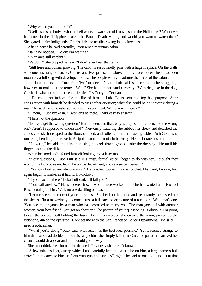"Why would you turn it off?"

 "Well," she said hotly, "who the hell wants to watch an old movie set in the Philippines? What ever happened in the Philippines except the Bataan Death March, and would you want to watch that?" She glared at him indignantly. On his dials the needles swung in all directions.

After a pause he said carefully, "You rent a mountain cabin."

"Ja." She nodded. "Go on; I'm waiting."

"In an area still verdant."

"Pardon?" She cupped her ear. "I don't ever hear that term."

 "Still trees and bushes growing. The cabin is rustic knotty pine with a huge fireplace. On the walls someone has hung old snaps, Currier and Ives prints, and above the fireplace a deer's head has been mounted, a full stag with developed horns. The people with you admire the decor of the cabin and - "

 "I don't understand 'Currier' or 'Ives' or 'decor,"' Luba Luft said; she seemed to be struggling, however, to make out the terms. "Wait." She held up her hand earnestly. "With rice, like in the dog. Currier is what makes the rice currier rice. It's Curry in German."

 He could not fathom, for the life of him, if Luba Luft's semantic fog had purpose. After consultation with himself he decided to try another question; what else could he do? "You're dating a man," he said, "and he asks you to visit his apartment. While you're there - "

"O nein," Luba broke in. "I wouldn't be there. That's easy to answer."

"That's not the question!"

 "Did you get the wrong question? But I understand that; why is a question I understand the wrong one? Aren't I supposed to understand?" Nervously fluttering she rubbed her cheek and detached the adhesive disk. It dropped to the floor, skidded, and rolled under her dressing table. "Ach Gott," she muttered, bending to retrieve it. A ripping sound, that of cloth tearing. Her elaborate costume.

 "I'll get it," he said, and lifted her aside; he knelt down, groped under the dressing table until his fingers located the disk.

When he stood up he found himself looking into a laser tube.

 "Your questions," Luba Luft said in a crisp, formal voice, "began to do with sex. I thought they would finally. You're not from the police department; you're a sexual deviant."

 "You can look at my identification." He reached toward his coat pocket. His hand, he saw, had again begun to shake, as it had with Polokov.

"If you reach in there," Luba Luft said, "I'll kill you."

 "You will anyhow." He wondered how it would have worked out if he had waited until Rachael Rosen could join him. Well, no use dwelling on that.

 "Let me see some more of your questions." She held out her hand and, reluctantly, he passed her the sheets. "'In a magazine you come across a full-page color picture of a nude girl.' Well, that's one. 'You became pregnant by a man who has promised to marry you. The man goes off with another woman, your best friend; you get an abortion.' The pattern of your questioning is obvious. I'm going to call the police." Still holding the laser tube in his direction she crossed the room, picked tip the vidphone, dialed the operator. "Connect me with the San Francisco Police Department," she said. "I need a policeman."

 "What you're doing," Rick said, with relief, "is the best idea possible." Yet it seemed strange to him that Luba had decided to do this; why didn't she simply kill him? Once the patrolman arrived her chance would disappear and it all would go his way.

She must think she's human, he decided. Obviously she doesn't know.

 A few minutes later, during which Luba carefully kept the laser tube on him, a large harness bull arrived, in his archaic blue uniform with gun and star. "All right," he said at once to Luba. "Put that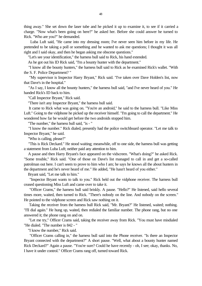thing away." She set down the laser tube and he picked it up to examine it, to see if it carried a charge. "Now what's been going on here?" he asked her. Before she could answer he turned to Rick. "Who are you?" he demanded.

 Luba Luft said, "He came into my dressing room; I've never seen him before in my life. He pretended to be taking a poll or something and he wanted to ask me questions; I thought it was all right and I said okay, and then he began asking me obscene questions."

"Let's see your identification," the harness bull said to Rick, his hand extended.

As he got out his ID Rick said, "I'm a bounty hunter with the department."

 "I know all the bounty hunters," the harness bull said to Rick as he examined Rick's wallet. "With the S. F. Police Department? "

 "My supervisor is Inspector Harry Bryant," Rick said. "I've taken over Dave Holden's list, now that Dave's in the hospital."

 "As I say, I know all the bounty hunters," the harness bull said, "and I've never heard of you." He handed Rick's ID back to him.

"Call Inspector Bryant," Rick said.

"There isn't any Inspector Bryant," the harness bull said.

 It came to Rick what was going on. "You're an android," he said to the harness bull. "Like Miss Luft." Going to the vidphone he picked up the receiver himself. "I'm going to call the department." He wondered how far be would get before the two androids stopped him.

"The number," the harness bull said, "is - "

 "I know the number." Rick dialed, presently had the police switchboard operator. "Let me talk to Inspector Bryant," he said.

"Who is calling, please?"

 "This is Rick Deckard." He stood waiting; meanwhile, off to one side, the harness bull was getting a statement from Luba Luft; neither paid any attention to him.

 A pause and then Harry Bryant's face appeared on the vidscreen. "What's doing?" he asked Rick. "Some trouble," Rick said. "One of those on Dave's list managed to call in and get a so-called patrolman out here. I can't seem to prove to him who I am; he says he knows all the about hunters in the department and he's never heard of me." He added, "He hasn't heard of you either."

Bryant said, "Let me talk to him."

 "Inspector Bryant wants to talk to you." Rick held out the vidphone receiver. The harness bull ceased questioning Miss Luft and came over to take it.

 "Officer Crams," the harness bull said briskly. A pause. "Hello?" He listened, said hello several times more, waited, then turned to Rick. "There's nobody on the line. And nobody on the screen." He pointed to the vidphone screen and Rick saw nothing on it.

 Taking the receiver from the harness bull Rick said, "Mr. Bryant?" He listened, waited; nothing. "I'll dial again." He hung up, waited, then redialed the familiar number. The phone rang, but no one answered it; the phone rang on and on.

 "Let me try," Officer Crams said, taking the receiver away from Rick. "You must have misdialed "He dialed. "The number is 842 - "

"I know the number," Rick said.

 "Officer Crams calling in," the harness bull said into the Phone receiver. "Is there an Inspector Bryant connected with the department?" A short pause. "Well, what about a bounty hunter named Rick Deckard?" Again a pause. "You're sure? Could he have recently - oh, I see; okay, thanks. No, I have it under control." Officer Crams rang off, turned toward Rick.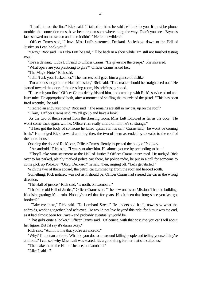"I had him on the line," Rick said. "I talked to him; he said he'd talk to you. It must be phone trouble; the connection must have been broken somewhere along the way. Didn't you see - Bryant's face showed on the screen and then it didn't." He felt bewildered.

 Officer Crams said, "I have Miss Luft's statement, Deckard. So let's go down to the Hall of Justice so I can book you."

 "Okay," Rick said. To Luba Luft he said, "I'll be back in a short while. I'm still not finished testing you."

"He's a deviant," Luba Luft said to Officer Crams. "He gives me the creeps." She shivered.

"What opera are you practicing to give?" Officer Crams asked her.

"The Magic Flute," Rick said.

"I didn't ask you; I asked her." The harness buff gave him a glance of dislike.

 "I'm anxious to get to the Hall of Justice," Rick said. "This matter should be straightened out." He started toward the door of the dressing room, his briefcase gripped.

 "I'll search you first." Officer Crams deftly frisked him, and came up with Rick's service pistol and laser tube. He appropriated both, after a moment of sniffing the muzzle of the pistol. "This has been fired recently," he said.

"I retired an andy just now," Rick said. "The remains are still in my car, up on the roof."

"Okay," Officer Crams said. "We'll go up and have a look."

 As the two of them started from the dressing room, Miss Luft followed as far as the door. "He won't come back again, will he, Officer? I'm really afraid of him; he's so strange."

 "If he's got the body of someone he killed upstairs in his car," Crams said, "he won't be coming back." He nudged Rick forward and, together, the two of them ascended by elevator to the roof of the opera house.

Opening the door of Rick's car, Officer Crams silently inspected the body of Polokov.

"An android," Rick said. "I was sent after him. He almost got me by pretending to be - "

 "They'll take your statement at the Hall of Justice," Officer Crams interrupted. He nudged Rick over to his parked, plainly marked police car; there, by police radio, he put in a call for someone to come pick up Polokov. "Okay, Deckard," he said, then, ringing off. "Let's get started."

With the two of them aboard, the patrol car zummed up from the roof and headed south.

 Something, Rick noticed, was not as it should be. Officer Crams had steered the car in the wrong direction.

"The Hall of justice," Rick said, "is north, on Lombard."

 "That's the old Hall of Justice," Officer Crams said. "The new one is on Mission. That old building, it's disintegrating; it's a ruin. Nobody's used that for years. Has it been that long since you last got booked?"

 "Take me there," Rick said. "To Lombard Street." He understood it all, now; saw what the androids, working together, had achieved. He would not live beyond this ride; for him it was the end, as it had almost been for Dave - and probably eventually would be.

 "That girl's quite a looker," Officer Crams said. "Of course, with that costume you can't tell about her figure. But I'd say it's damn okay."

Rick said, "Admit to me that you're an android."

 "Why? I'm not an android. What do you do, roam around killing people and telling yourself they're androids? I can see why Miss Luft was scared. It's a good thing for her that she called us."

"Then take me to the Hall of Justice, on Lombard."

"Like I said - "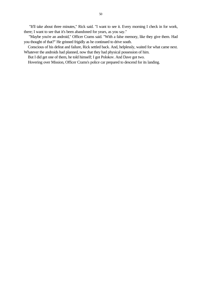"It'll take about three minutes," Rick said. "I want to see it. Every morning I check in for work, there; I want to see that it's been abandoned for years, as you say."

 "Maybe you're an android," Officer Crams said. "With a false memory, like they give them. Had you thought of that?" He grinned frigidly as he continued to drive south.

 Conscious of his defeat and failure, Rick settled back. And, helplessly, waited for what came next. Whatever the androids had planned, now that they had physical possession of him.

But I did get one of them, he told himself; I got Polokov. And Dave got two.

Hovering over Mission, Officer Crams's police car prepared to descend for its landing.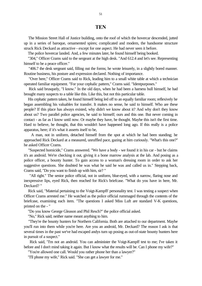## **TEN**

 The Mission Street Hall of Justice building, onto the roof of which the hovercar descended, jutted up in a series of baroque, ornamented spires; complicated and modem, the handsome structure struck Rick Deckard as attractive - except for one aspect. He had never seen it before.

The police hovercar landed. And, a few minutes later, he found himself being booked.

 "304," Officer Crams said to the sergeant at the high desk. "And 612.4 and let's see. Representing himself to be a peace officer."

 "406.7 the desk sergeant said, filling out the forms; he wrote leisurely, in a slightly bored manner. Routine business, his posture and expression declared. Nothing of importance.

 "Over here," Officer Crams said to Rick, leading him to a small white table at which a technician operated familiar equipment. "For your cephalic pattern," Crams said. "Identpurposes."

 Rick said brusquely, "I know." In the old days, when he had been a harness bull himself, he had brought many suspects to a table like this. Like this, but not this particular table.

 His cephatic pattern taken, he found himself being led off to an equally familiar room; reflexively he began assembling his valuables for transfer. It makes no sense, he said to himself. Who are these people? If this place has always existed, why didn't we know about it? And why don't they know about us? Two parallel police agencies, he said to himself; ours and this one. But never coming in contact - as far as I know until now. Or maybe they have, he thought. Maybe this isn't the first time. Hard to believe, he thought, that this wouldn't have happened long ago. If this really is a police apparatus, here; if it's what it asserts itself to be,

 A man, not in uniform, detached himself from the spot at which he had been standing; he approached Rick Deckard at a measured, unruffled pace, gazing at him curiously. "What's this one?" he asked Officer Crams.

 "Suspected homicide," Crams answered. "We have a body - we found it in his car - but he claims it's an android. We're checking it out, giving it a bone marrow analysis at the lab. And posing as a police officer, a bounty hunter. To gain access to a woman's dressing room in order to ask her suggestive questions. She doubted he was what he said he was and called us in." Stepping back, Crams said, "Do you want to finish up with him, sir? "

 "All right." The senior police official, not in uniform, blue-eyed, with a narrow, flaring nose and inexpressive lips, eyed Rick, then reached for Rick's briefcase. "What do you have in here, Mr. Deckard? "

 Rick said, "Material pertaining to the Voigt-KampfF personality test. I was testing a suspect when Officer Crams arrested me." He watched as the police official rummaged through the contents of the briefcase, examining each item. "The questions I asked Miss Luft are standard V-K questions, printed on the - "

"Do you know George Gleason and Phil Resch?" the police official asked.

"No," Rick said; neither name meant anything to him.

 "They're the bounty hunters for Northern California. Both are attached to our department. Maybe you'll run into them while you're here. Are you an android, Mr. Deckard? The reason I ask is that several times in the past we've had escaped andys turn up posing as out-of-state bounty hunters here in pursuit of a suspect."

 Rick said, "I'm not an android. You can administer the Voigt-Kampff test to me; I've taken it before and I don't mind taking it again. But I know what the results will be. Can I phone my wife?"

"You're allowed one call. Would you rather phone her than a lawyer?"

"I'll phone my wife," Rick said. "She can get a lawyer for me."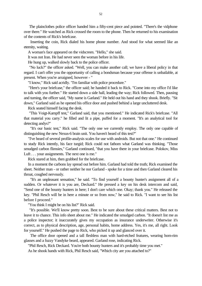The plainclothes police officer handed him a fifty-cent piece and pointed. "There's the vidphone over there." He watched as Rick crossed the room to the phone. Then he returned to his examination of the contents of Rick's briefcase.

 Inserting the coin, Rick dialed his home phone number. And stood for what seemed like an eternity, waiting.

A woman's face appeared on the vidscreen. "Hello," she said.

It was not Iran. He had never seen the woman before in his life.

He hung up, walked slowly back to the police officer.

 "No luck?" the officer asked. "Well, you can make another call; we have a liberal policy in that regard. I can't offer you the opportunity of calling a bondsman because your offense is unbailable, at present. When you're arraigned, however - "

"I know," Rick said acridly. "I'm familiar with police procedure."

 "Here's your briefcase," the officer said; he handed it back to Rick. "Come into my office I'd like to talk with you further." He started down a side hall, leading the way; Rick followed. Then, pausing and turning, the officer said, "My name is Garland." He held out his hand and they shook. Briefly. "Sit down," Garland said as he opened his office door and pushed behind a large uncluttered desk.

Rick seated himself facing the desk.

 "This Voigt-Kampff test," Garland said, that you mentioned." He indicated Rick's briefcase. "All that material you carry." he filled and lit a pipe, puffed for a moment. "It's an analytical tool for detecting andys?"

 "It's our basic test," Rick said. "The only one we currently employ. The only one capable of distinguishing the new Nexus-6 brain unit. You haven't heard of this test?"

 "I've heard of several profile-analysis scales for use with androids. But not that one." He continued to study Rick intently, his face turgid; Rick could not fathom what Garland was thinking. "Those smudged carbon flimsies," Garland continued, "that you have there in your briefcase. Polokov, Miss Luft . . . your assignments. The next one is me."

Rick stared at him, then grabbed for the briefcase.

 In a moment the carbons lay spread out before him. Garland had told the truth; Rick examined the sheet. Neither man - or rather neither he nor Garland - spoke for a time and then Garland cleared his throat, coughed nervously.

 "It's an unpleasant sensation," he said. "To find yourself a bounty hunter's assignment all of a sudden. Or whatever it is you are, Deckard." He pressed a key on his desk intercom and said, "Send one of the bounty hunters in here; I don't care which one. Okay; thank you." He released the key. "Phil Resch will be in here a minute or so from now," he said to Rick. "I want to see his list before I proceed."

"You think I might be on his list?" Rick said.

 "It's possible. We'll know pretty soon. Best to be sure about these critical matters. Best not to leave it to chance. This info sheet about me." He indicated the smudged carbon. "It doesn't list me as a police inspector; it inaccurately gives my occupation as insurance underwriter. Otherwise it's correct, as to physical description, age, personal habits, home address. Yes, it's me, all right. Look for yourself." He pushed the page to Rick, who picked it up and glanced over it.

 The office door opened and a tall fleshless man with hard-etched features, wearing horn-rim glasses and a fuzzy Vandyke beard, appeared. Garland rose, indicating Rick.

"Phil Resch, Rick Deckard. You're both bounty hunters and it's probably time you met."

As he shook hands with Rick, Phil Resch said, "Which city are you attached to?"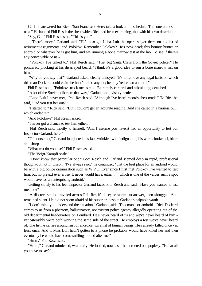Garland answered for Rick. "San Francisco. Here; take a look at his schedule. This one comes up next." He handed Phil Resch the sheet which Rick had been examining, that with his own description.

"Say, Gar," Phil Resch said. "This is you."

 "There's more," Garland said. "He's also got Luba Luft the opera singer there on his list of retirement-assignments, and Polokov. Remember Polokov? He's now dead; this bounty hunter or android or whatever he is got him, and we running a bone marrow test at the lab. To see if there's any conceivable basis - "

 "Polokov I've talked to," Phil Resch said. "That big Santa Claus from the Soviet police?" He pondered, plucking at his disarrayed beard. "I think it's a good idea to run a bone marrow test on him."

 "Why do you say that?" Garland asked, clearly annoyed. "It's to remove any legal basis on which this man Deckard could claim he hadn't killed anyone; he only 'retired an android."'

Phil Resch said, "Polokov struck me as cold. Extremely cerebral and calculating; detached."

"A lot of the Soviet police are that way," Garland said, visibly nettled.

 "Luba Luft I never met," Phil Resch said. "Although I've heard records she's made." To Rick he said, "Did you test her out? "

 "I started to," Rick said. "But I couldn't get an accurate reading. And she called in a harness bull, which ended it."

"And Polokov?" Phil Resch asked.

"I never got a chance to test him either."

 Phil Resch said, mostly to himself, "And I assume you haven't had an opportunity to test out Inspector Garland, here."

 "Of course not," Garland interjected, his face wrinkled with indignation; his words broke off, bitter and sharp.

"What test do you use?" Phil Resch asked.

"The Voigt-Kampff scale."

 "Don't know that particular one." Both Resch and Garland seemed deep in rapid, professional thought-but not in unison. "I've always said," he continued, "that the best place for an android would be with a big police organization such as W.P.O. Ever since I first met Polokov I've wanted to test him, but no pretext ever arose. It never would have, either . . . which is one of the values such a spot would have for an enterprising android."

 Getting slowly to his feet Inspector Garland faced Phil Resch and said, "Have you wanted to test me, too?"

 A discreet smiled traveled across Phil Resch's face; he started to answer, then shrugged. And remained silent. He did not seem afraid of his superior, despite Garland's palpable wrath.

 "I don't think you understand the situation," Garland said. "This man - or android - Rick Deckard comes to us from a phantom, hallucinatory, nonexistent police agency allegedly operating out of the old departmental headquarters on Lombard. He's never heard of us and we've never heard of him yet ostensibly we're both working the same side of the street. He employs a test we've never heard of. The list he carries around isn't of androids; it's a list of human beings. He's already killed once - at least once. And if Miss Luft hadn't gotten to a phone he probably would have killed her and then eventually he would have come sniffing around after me."

"Hmm," Phil Resch said.

 "Hmm," Garland mimicked, wrathfully. He looked, now, as if he bordered on apoplexy. "Is that all you have to say?"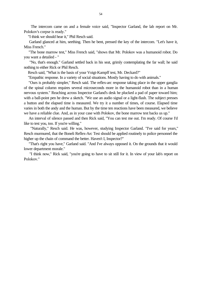The intercom came on and a female voice said, "Inspector Garland, the lab report on Mr. Polokov's corpse is ready."

"I think we should hear it," Phil Resch said.

 Garland glanced at him, seething. Then he bent, pressed the key of the intercom. "Let's have it, Miss French."

 "The bone marrow test," Miss French said, "shows that Mr. Polokov was a humanoid robot. Do you want a detailed - "

 "No, that's enough." Garland settled back in his seat, grimly contemplating the far wall; he said nothing to either Rick or Phil Resch.

Resch said, "What is the basis of your Voigt-Kampff test, Mr. Deckard?"

"Empathic response. In a variety of social situations. Mostly having to do with animals."

 "Ours is probably simpler," Resch said. The reflex-arc response taking place in the upper ganglia of the spinal column requires several microseconds more in the humanoid robot than in a human nervous system." Reaching across Inspector Garland's desk he plucked a pad of paper toward him; with a ball-point pen he drew a sketch. "We use an audio signal or a light-flash. The subject presses a button and the elapsed time is measured. We try it a number of times, of course. Elapsed time varies in both the andy and the human. But by the time ten reactions have been measured, we believe we have a reliable clue. And, as in your case with Polokov, the bone marrow test backs us up."

 An interval of silence passed and then Rick said, "You can test me out. I'm ready. Of course I'd like to test you, too. If you're willing."

 "Naturally," Resch said. He was, however, studying Inspector Garland. "I've said for years," Resch murmured, that the Boneli Reflex-Arc Test should be applied routinely to police personnel the higher up the chain of command the better. Haven't I, Inspector?"

 "That's right you have," Garland said. "And I've always opposed it. On the grounds that it would lower department morale."

"I think now," Rick said, "you're going to have to sit still for it. In view of your lab's report on Polokov."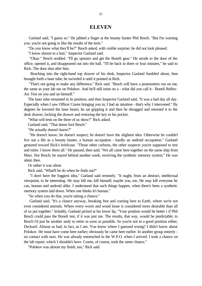#### **ELEVEN**

 Garland said, "I guess so." He jabbed a finger at the bounty hunter Phil Resch. "But I'm warning you: you're not going to like the results of the tests."

"Do you know what they'll be?" Resch asked, with visible surprise; he did not look pleased.

"I know almost to a hair," Inspector Garland said.

 "Okay." Resch nodded. "I'll go upstairs and get the Boneli gear." He strode to the door of the office, opened it, and disappeared out into the hall. "I'll be back in three or four minutes," he said to Rick. The door shut after him.

 Reaching into the right-hand top drawer of his desk, Inspector Garland fumbled about, then brought forth a laser tube; he swiveled it until it pointed at Rick.

 "That's not going to make any difference," Rick said. "Resch will have a postmortem run on me, the same as your lab ran on Polokov. And he'll still insist on a - what did you call it - Boneli Reflex-Arc Test on you and on himself."

 The laser tube remained in its position, and then Inspector Garland said, "It was a bad day all day. Especially when I saw Officer Crams bringing you in; I had an intuition - that's why I intervened." By degrees he lowered the laser beam; he sat gripping it and then he shrugged and returned it to the desk drawer, locking the drawer and restoring the key to his pocket.

"What will tests on the three of us show?" Rick asked.

Garland said, "That damn fool Resch."

"He actually doesn't know?"

 "He doesn't know; he doesn't suspect; he doesn't have the slightest idea. Otherwise he couldn't live out a life as a bounty hunter, a human occupation - hardly an android occupation." Garland gestured toward Rick's briefcase. "Those other carbons, the other suspects you're supposed to test and retire. I know them all." He paused, then said, "We all came here together on the same ship from Mars. Not Resch; he stayed behind another week, receiving the synthetic memory system." He was silent, then.

Or rather it was silent.

Rick said, "What'll he do when he finds out?"

 "I don't have the foggiest idea," Garland said remotely. "It ought, from an abstract, intellectual viewpoint, to be interesting. He may kill me, kill himself; maybe you, too. He may kill everyone he can, human and android alike. I understand that such things happen, when there's been a synthetic memory system laid down. When one thinks it's human."

"So when you do that, you're taking a chance."

 Garland said, "It's a chance anyway, breaking free and coming here to Earth, where we're not even considered animals. Where every worm and wood louse is considered more desirable than all of us put together." Irritably, Garland picked at his lower lip. "Your position would be better r if Phil Resch could pass the Boneli test, if it was just me. The results, that way, would be predictable; to Resch I'd just be another andy to retire as soon as possible. So you're not in a good position either, Deckard. Almost as bad, in fact, as I am. You know where I guessed wrong? I didn't know about Polokov. He must have come here earlier; obviously he came here earlier. In another group entirely no contact with ours. He was already entrenched in the W.P.O. when I arrived. I took a chance on the lab report, which I shouldn't have. Crams, of course, took the same chance."

"Polokov was almost my finish, too," Rick said.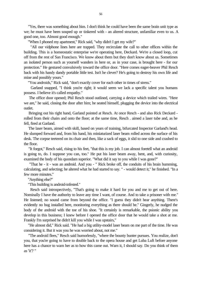"Yes, there was something about him. I don't think he could have been the same brain unit type as we; he must have been souped up or tinkered with - an altered structure, unfamiliar even to us. A good one, too. Almost good enough."

"When I phoned my apartment," Rick said, "why didn't I get my wife?"

 "All our vidphone lines here are trapped. They recirculate the call to other offices within the building. This is a homeostatic enterprise we're operating here, Deckard. We're a closed loop, cut off from the rest of San Francisco. We know about them but they don't know about us. Sometimes an isolated person such as yourself wanders in here or, as in your case, is brought here - for our protection." He gestured convulsively toward the office door. "Here comes eager-beaver Phil Resch back with his handy dandy portable little test. Isn't he clever? He's going to destroy his own life and mine and possibly yours."

"You androids," Rick said, "don't exactly cover for each other in times of stress."

 Garland snapped, "I think you're right; it would seem we lack a specific talent you humans possess. I believe it's called empathy."

 The office door opened; Phil Resch stood outlined, carrying a device which trailed wires. "Here we are," he said, closing the door after him; he seated himself, plugging the device into the electrical outlet.

 Bringing out his right hand, Garland pointed at Resch. At once Resch - and also Rick Deckard rolled from their chairs and onto the floor; at the same time, Resch . aimed a laser tube and, as he fell, fired at Garland.

 The laser beam, aimed with skill, based on years of training, bifurcated Inspector Garland's head. He slumped forward and, from his hand, his miniaturized laser beam rolled across the surface of his desk. The corpse teetered on its chair and then, like a sack of eggs, it slid to one side and crashed to the floor.

 "It forgot," Resch said, rising to his feet, "that this is my job. I can almost foretell what an android is going to, do. I suppose you can, too." He put his laser beam away, bent, and, with curiosity, examined the body of his quondam superior. "What did it say to you while I was gone?"

 "That he - it - was an android. And you - " Rick broke off, the conduits of his brain humming, calculating, and selecting; he altered what he had started to say. " - would detect it," he finished. "In a few more minutes."

"Anything else?"

"This building is android-infested."

 Resch said introspectively, "That's going to make it hard for you and me to get out of here. Nominally I have the authority to leave any time I want, of course. And to take a prisoner with me." He listened; no sound came from beyond the office. "I guess they didn't hear anything. There's evidently no bug installed here, monitoring everything as there should be." Gingerly, he nudged the body of the android with the toe of his shoe. "It certainly is remarkable, the psionic ability you develop in this business; I knew before I opened the office door that he would take a shot at me. Frankly I'm surprised he didn't kill you while I was upstairs,"

 "He almost did," Rick said. "He had a big utility-model laser beam on me part of the time. He was considering it. But it was you he was worried about, not me."

 "The android flees," Resch said humorlessly, "where the bounty bunter pursues. You realize, don't you, that you're going to have to double back to the opera house and get Luba Luft before anyone here has a chance to warn her as to how this came out. Warn it, I should say. Do you think of them as 'it'? "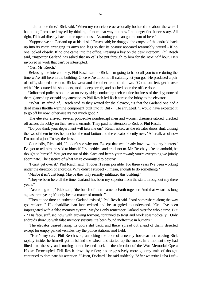"I did at one time," Rick said. "When my conscience occasionally bothered me about the work I had to do; I protected myself by thinking of them that way but now I no longer find it necessary. All right, I'll head directly back to the opera house. Assuming you can get me out of here."

 "Suppose we sit Garland up at his desk," Resch said; he dragged the corpse of the android back up into its chair, arranging its arms and legs so that its posture appeared reasonably natural - if no one looked closely. If no one came into the office. Pressing a key on the desk intercom, Phil Resch said, "Inspector Garland has asked that no calls be put through to him for the next half hour. He's involved in work that can't be interrupted."

"Yes, Mr. Resch."

 Releasing the intercom key, Phil Resch said to Rick, "I'm going to handcuff you to me during the time we're still here in the building. Once we're airborne I'll naturally let you go." He produced a pair of cuffs, slapped one onto Rick's wrist and the other around his own. "Come on; let's get it over with." He squared his shoulders, took a deep breath, and pushed open the office door.

 Uniformed police stood or sat on every side, conducting their routine business of the day; none of them glanced up or paid any attention as Phil Resch led Rick across the lobby to the elevator.

 "What I'm afraid of," Resch said as they waited for the elevator, "is that the Garland one had a dead man's throttle warning component built into it. But - " He shrugged. "I would have expected it to go off by now; otherwise it's not much good."

 The elevator arrived; several police-like nondescript men and women disemelevatored, cracked off across the lobby on their several errands. They paid no attention to Rick or Phil Resch.

 "Do you think your department will take me on?" Resch asked, as the elevator doors shut, closing the two of them inside; he punched the roof button and the elevator silently rose. "After all, as of now I'm out of a job. To say the least."

 Guardedly, Rick said, "I - don't see why not. Except that we already have two bounty hunters." I've got to tell him, he said to himself. It's unethical and cruel not to. Mr. Resch, you're an android, he thought to himself. You got me out of this place and here's your reward; you're everything we jointly abominate. The essence of what we're committed to destroy.

 "I can't get over it," Phil Resch said. "It doesn't seem possible. For three years I've been working under the direction of androids. Why didn't I suspect - I mean, enough to do something?"

"Maybe it isn't that long. Maybe they only recently infiltrated this building."

 "They've been here all the time. Garland has been my superior from the start, throughout my three years."

 "According to it," Rick said, "the bunch of them came to Earth together. And that wasn't as long ago as three years; it's only been a matter of months."

 "Then at one time an authentic Garland existed," Phil Resch said. "And somewhere along the way got replaced." His sharklike lean face twisted and he struggled to understand. "Or - I've been impregnated with a false memory system. Maybe I only remember Garland over the whole time. But - " His face, suffused now with growing torment, continued to twist and work spasmodically. "Only androids show up with false memory systems; it's been found ineffective in humans."

 The elevator ceased rising; its doors slid back, and there, spread out ahead of them, deserted except for empty parked vehicles, lay the police station's roof field.

 "Here's my car," Phil Resch said, unlocking the door of a nearby hovercar and waving Rick rapidly inside; he himself got in behind the wheel and started up the motor. In a moment they had lifted into the sky and, turning north, headed back in the direction of the War Memorial Opera House. Preoccupied, Phil Resch drove by reflex; his progressively more gloomy train of thought continued to dominate his attention. "Listen, Deckard," he said suddenly. "After we retire Luba Luft -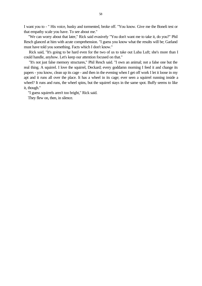I want you to - " His voice, husky and tormented, broke off. "You know. Give me the Boneli test or that empathy scale you have. To see about me."

 "We can worry about that later," Rick said evasively "You don't want me to take it, do you?" Phil Resch glanced at him with acute comprehension. "I guess you know what the results will be; Garland must have told you something. Facts which I don't know."

 Rick said, "It's going to be hard even for the two of us to take out Luba Luft; she's more than I could handle, anyhow. Let's keep our attention focused on that."

 "It's not just false memory structures," Phil Resch said. "I own an animal; not a false one but the real thing. A squirrel. I love the squirrel, Deckard; every goddamn morning I feed it and change its papers - you know, clean up its cage - and then in the evening when I get off work I let it loose in my apt and it runs all over the place. It has a wheel in its cage; ever seen a squirrel running inside a wheel? It runs and runs, the wheel spins, but the squirrel stays in the same spot. Buffy seems to like it, though."

"I guess squirrels aren't too bright," Rick said.

They flew on, then, in silence.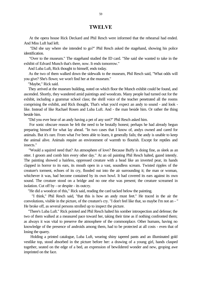## **TWELVE**

 At the opera house Rick Deckard and Phil Resch were informed that the rehearsal had ended. And Miss Luft had left.

 "Did she say where she intended to go?" Phil Resch asked the stagehand, showing his police identification.

 "Over to the museum." The stagehand studied the ID card. "She said she wanted to take in the exhibit of Edvard Munch that's there, now. It ends tomorrow."

And Luba Luft, Rick thought to himself, ends today.

 As the two of them walked down the sidewalk to the museum, Phil Resch said, "What odds will you give? She's flown; we won't find her at the museum."

"Maybe," Rick said.

 They arrived at the museum building, noted on which floor the Munch exhibit could be found, and ascended. Shortly, they wandered amid paintings and woodcuts. Many people had turned out for the exhibit, including a grammar school class; the shrill voice of the teacher penetrated all the rooms comprising the exhibit, and Rick thought, That's what you'd expect an andy to sound - and look like. Instead of like Rachael Rosen and Luba Luft. And - the man beside him. Or rather the thing beside him.

"Did you ever hear of an andy having a pet of any sort?" Phil Resch asked him.

 For sonic obscure reason he felt the need to be brutally honest; perhaps he had already begun preparing himself for what lay ahead. "In two cases that I know of, andys owned and cared for animals. But it's rare. From what I've been able to learn, it generally fails; the andy is unable to keep the animal alive. Animals require an environment of warmth to flourish. Except for reptiles and insects."

 "Would a squirrel need that? An atmosphere of love? Because Buffy is doing fine, as sleek as an otter. I groom and comb him every other day." At an oil painting Phil Resch halted, gazed intently. The painting showed a hairless, oppressed creature with a head like an inverted pear, its hands clapped in horror to its ears, its mouth open in a vast, soundless scream. Twisted ripples of the creature's torment, echoes of its cry, flooded out into the air surrounding it; the man or woman, whichever it was, had become contained by its own howl. It had covered its ears against its own sound. The creature stood on a bridge and no one else was present; the creature screamed in isolation. Cut off by - or despite - its outcry.

"He did a woodcut of this," Rick said, reading the card tacked below the painting.

 "I think," Phil Resch said, "that this is how an andy must feet." He traced in the air the convolutions, visible in the picture, of the creature's cry. "I don't feel like that, so maybe I'm not an - " He broke off, as several persons strolled up to inspect the picture.

 "There's Luba Luft." Rick pointed and Phil Resch halted his somber introspection and defense; the two of them walked at a measured pace toward her, taking their time as if nothing confronted them; as always it was vital to preserve the atmosphere of the commonplace. Other humans, having no knowledge of the presence of androids among them, had to be protected at all costs - even that of losing the quarry.

 Holding a printed catalogue, Luba Luft, wearing shiny tapered pants and an illuminated gold vestlike top, stood absorbed in the picture before her: a drawing of a young girl, hands clasped together, seated on the edge of a bed, an expression of bewildered wonder and new, groping awe imprinted on the face.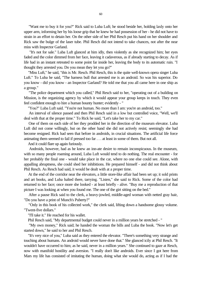"Want me to buy it for you?" Rick said to Luba Luft; he stood beside her, holding laxly onto her upper arm, informing her by his loose grip that he knew he had possession of her - he did not have to strain in an effort to detain her. On the other side of her Phil Resch put his hand on her shoulder and Rick saw the bulge of the laser tube. Phil Resch did not intend to take chances, not after the near miss with Inspector Garland.

 "It's not for sale." Luba Luft glanced at him idly, then violently as she recognized him; her eyes faded and the color dimmed from her face, leaving it cadaverous, as if already starting to decay. As if life had in an instant retreated to some point far inside her, leaving the body to its automatic ruin. "I thought they arrested you. Do you mean they let you go?"

 "Miss Luft," he said, "this is Mr. Resch. Phil Resch, this is the quite well-known opera singer Luba Luft." To Luba he said, "The harness bull that arrested me is an android. So was his superior. Do you know - did you know - an Inspector Garland? He told me that you all came here in one ship as a group."

 "The police department which you called," Phil Resch said to her, "operating out of a building on Mission, is the organizing agency by which it would appear your group keeps in touch. They even feel confident enough to hire a human bounty hunter; evidently - "

"You?" Luba Luft said. "You're not human. No more than I am: you're an android, too."

 An interval of silence passed and then Phil Resch said in a low but controlled voice, "Well, we'll deal with that at the proper time." To Rick he said, "Let's take her to my car."

 One of them on each side of her they prodded her in the direction of the museum elevator. Luba Luft did not come willingly, but on the other hand she did not actively resist; seemingly she had become resigned. Rick had seen that before in androids, in crucial situations. The artificial life force animating them seemed to fail if pressed too far . . . at least in some of them. But not all.

And it could flare up again furiously.

 Androids, however, had as he knew an inn-ate desire to remain inconspicuous. In the museum, with so many people roaming around, Luba Luft would tend to do nothing. The real encounter - for her probably the final one - would take place in the car, where no one else could see. Alone, with appalling abruptness, she could shed her inhibitions. He prepared himself - and did not think about Phil Resch. As Resch had said, it would be dealt with at a proper time.

 At the end of the corridor near the elevators, a little store-like affair had been set up; it sold prints and art books, and Luba halted there, tarrying. "Listen," she said to Rick. Some of the color had returned to her face; once more she looked - at least briefly - alive. "Buy me a reproduction of that picture I was looking at when you found me. The one of the girt sitting on the bed."

 After a pause Rick said to the clerk, a heavy-jowled, middle-aged woman with netted gray hair, "Do you have a print of Munch's Puberty?"

 "Only in this book of his collected work," the clerk said, lifting down a handsome glossy volume. "Twent-five dollars."

"I'll take it." He reached for his wallet.

Phil Resch said, "My departmental budget could never in a million years be stretched - "

 "My own money," Rick said; he handed the woman the bills and Luba the book. "Now let's get started down," he said to her and Phil Resch.

 "It's very nice of you," Luba said as they entered the elevator. "There's something very strange and touching about humans. An android would never have done that." She glanced icily at Phil Resch. "It wouldn't have occurred to him; as he said, never in a million years." She continued to gaze at Resch, now with manifold hostility and aversion. "I really don't like androids. Ever since I got here from Mars my life has consisted of imitating the human, doing what she would do, acting as if I had the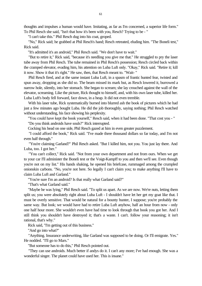thoughts and impulses a human would have. Imitating, as far as I'm concerned, a superior life form." To Phil Resch she said, "Isn't that how it's been with you, Resch? Trying to be - "

"I can't take this." Phil Resch dug into his coat, groped.

 "No," Rick said; he grabbed at Phil Resch's hand; Resch retreated, eluding him. "The Boneli test," Rick said.

"It's admitted it's an android," Phil Resch said. "We don't have to wait."

 "But to retire it," Rick said, "because it's needling you give me that." He struggled to pry the laser tube away from Phil Resch. The tube remained in Phil Resch's possession; Resch circled back within the cramped elevator, evading him, his attention on Luba Luft only. "Okay," Rick said. "Retire it; kill it now. Show it that it's right." He saw, then, that Resch meant to. "Wait- "

 Phil Resch fired, and at the same instant Luba Luft, in a spasm of frantic hunted fear, twisted and spun away, dropping as she did so. The beam missed its mark but, as Resch lowered it, burrowed a narrow hole, silently, into her stomach. She began to scream; she lay crouched against the wall of the elevator, screaming. Like the picture, Rick thought to himself, and, with his own laser tube, killed her. Luba Luft's body fell forward, face down, in a heap. It did not even tremble.

 With his laser tube, Rick systematically burned into blurred ash the book of pictures which he had just a few minutes ago bought Luba. He did the job thoroughly, saying nothing; Phil Resch watched without understanding, his face showing his perplexity.

"You could have kept the book yourself," Resch said, when it had been done. "That cost you - "

"Do you think androids have souls?" Rick interrupted.

Cocking his head on one side, Phil Resch gazed at him in even greater puzzlement.

 "I could afford the book," Rick said. "I've made three thousand dollars so far today, and I'm not even half through."

 "You're claiming Garland?" Phil Resch asked. "But I killed him, not you. You just lay there. And Luba, too. I got her."

 "You can't collect," Rick said. "Not from your own department and not from ours. When we get to your car I'll administer the Boneli test or the Voigt-Kampff to you and then we'll see. Even though you're not on my list." His hands shaking, he opened his briefcase, rummaged among the crumpled onionskin carbons. "No, you're not here. So legally I can't claim you; to make anything I'll have to claim Luba Luft and Garland."

"You're sure I'm an android? Is that really what Garland said?"

"That's what Garland said."

 "Maybe he was lying," Phil Resch said. "To split us apart. As we are now. We're nuts, letting them split us; you were absolutely right about Luba Luft - I shouldn't have let her get my goat like that. I must be overly sensitive. That would be natural for a bounty hunter, I suppose; you're probably the same way. But look; we would have had to retire Luba Luft anyhow, half an hour from now - only one half hour more. She wouldn't even have had time to look through that book you got her. And I still think you shouldn't have destroyed it; that's a waste. I can't. follow your reasoning; it isn't rational, that's why."

Rick said, "I'm getting out of this business."

"And go into what?"

 "Anything. Insurance underwriting, like Garland was supposed to be doing. Or I'll emigrate. Yes." He nodded. "I'll go to Mars."

"But someone has to do this," Phil Resch pointed out.

 "They can use androids. Much better if andys do it. I can't any more; I've had enough. She was a wonderful singer. The planet could have used her. This is insane."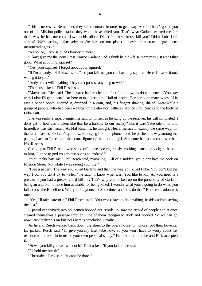"This is necessary. Remember: they killed humans in order to get away. And if I hadn't gotten you out of the Mission police station they would have killed you. That's what Garland wanted me for; that's why he had me come down to his office. Didn't Polokov almost kill you? Didn't Luba Luft almost? We're acting defensively; they're here on our planet - they're murderous illegal aliens masquerading as - "

"As police," Rick said. "As bounty hunters."

 "Okay; give me the Boneli test. Maybe Garland lied. I think he did - false memories just aren't that good. What about my squirrel? "

"Yes, your squirrel. I forgot about your squirrel."

 "If I'm an andy," Phil Resch said, "and you kill me, you can have my squirrel. Here; I'll write it out, willing it to you."

"Andys can't will anything. They can't possess anything to will."

"Then just take it," Phil Resch said.

 "Maybe so," Rick said. The elevator had reached the first floor, now; its doors opened. "You stay with Luba; I'll get a patrol car here to take her to the Hall of justice. For her bone marrow test." He saw a phone booth, entered it, dropped in a coin, and, his fingers shaking, dialed. Meanwhile a group of people, who had been waiting for the elevator, gathered around Phil Resch and the body of Luba Luft.

 She was really a superb singer, he said to himself as he hung up the receiver, his call completed. I don't get it; how can a talent like that be a liability to our society? But it wasn't the talent, he told himself; it was she herself. As Phil Resch is, he thought. He's a menace in exactly the same way, for the same reasons. So I can't quit now. Emerging from the phone booth he pushed his way among the people, back to Resch and the prone figure of the android girl. Someone had put a coat over her. Not Resch's.

 Going up to Phil Resch - who stood off to one side vigorously smoking a small gray cigar - he said to him, "I hope to god you do test out as an android."

 "You realty hate me," Phil Resch said, marveling. "All of a sudden; you didn't hate me back on Mission Street. Not while I was saving your life."

 "I see a pattern. The way you killed Garland and then the way you killed Luba. You don't kill the way I do; you don't try to - Hell," he said, "I know what it is. You like to kill. All you need is a pretext. If you had a pretext you'd kill me. That's why you picked up on the possibility of Garland being an android; it made him available for being killed. I wonder what you're going to do when you fail to pass the Boneli test. Will you kill yourself? Sometimes androids do that." But the situation was rare.

 "Yes, I'll take care of it," Phil Resch said. "You won't have to do anything, besides administering the test."

 A patrol car arrived; two policemen hopped out, strode up, saw the crowd of people and at once cleared themselves a passage through. One of them recognized Rick and nodded. So we can go now, Rick realized. Our business here is concluded. Finally.

 As he and Resch walked back down the street to the opera house, on whose roof their hovercar lay parked, Resch said, "I'll give you my laser tube now. So you won't have to worry about my reaction to the test. In terms of your own personal safety." He held out the tube and Rick accepted it.

"How'll you kill yourself without it?" Rick asked. "If you fail on the test?

"I'll hold my breath."

"Chrissake," Rick said. "It can't be done."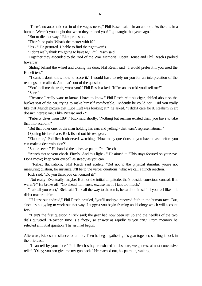"There's no automatic cut-in of the vagus nerve," Phil Resch said, "in an android. As there is in a human. Weren't you taught that when they trained you? I got taught that years ago."

"But to die that way," Rick protested.

"There's no pain. What's the matter with it?"

"It's - " He gestured. Unable to find the right words.

"I don't really think I'm going to have to," Phil Resch said.

 Together they ascended to the roof of the War Memorial Opera House and Phil Resch's parked hovercar.

 Sliding behind the wheel and closing his door, Phil Resch said, "I would prefer it if you used the Boneli test."

 "I can't. I don't know how to score it." I would have to rely on you for an interpretation of the readings, he realized. And that's out of the question.

 "You'll tell me the truth, won't you?" Phil Resch asked. "If I'm an android you'll tell me?" "Sure."

 "Because I really want to know. I have to know." Phil Resch relit his cigar, shifted about on the bucket seat of the car, trying to make himself comfortable. Evidently he could not. "Did you really like that Munch picture that Luba Luft was looking at?" he asked. "I didn't care for it. Realism in art doesn't interest me; I like Picasso and - "

 "Puberty dates from 1894," Rick said shortly. "Nothing but realism existed then; you have to take that into account."

"But that other one, of the man holding his ears and yelling - that wasn't representational."

Opening his briefcase, Rick fished out his test gear.

 "Elaborate," Phil Resch observed, watching. "How many questions do you have to ask before you can make a determination?"

"Six or seven." He handed the adhesive pad to Phil Resch.

 "Attach that to your cheek. Firmly. And this light - " He aimed it. "This stays focused on your eye. Don't move; keep your eyeball as steady as you can."

 "Reflex fluctuations," Phil Resch said acutely. "But not to the physical stimulus; you're not measuring dilation, for instance. It'll be to the verbal questions; what we call a flinch reaction."

Rick said, "Do you think you can control it?"

 "Not really. Eventually, maybe. But not the initial amplitude; that's outside conscious control. If it weren't-" He broke off. "Go ahead. I'm tense; excuse me if I talk too much."

 "Talk all you want," Rick said. Talk all the way to the tomb, he said to himself. If you feel like it. It didn't matter to him.

 "If I test out android," Phil Resch prattled, "you'll undergo renewed faith in the human race. But, since it's not going to work out that way, I suggest you begin framing an ideology which will account for- "

 "Here's the first question," Rick said; the gear had now been set up and the needles of the two dials quivered. "Reaction time is a factor, so answer as rapidly as you can." From memory he selected an initial question. The test had begun.

Afterward, Rick sat in silence for a time. Then he began gathering his gear together, stuffing it back in the briefcase.

 "I can tell by your face," Phil Resch said; he exhaled in absolute, weightless, almost convulsive relief. "Okay; you can give me my gun back." He reached out, his palm up, waiting.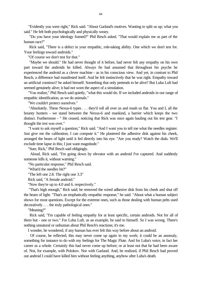"Evidently you were right," Rick said. "About Garland's motives. Wanting to split us up; what you said." He felt both psychologically and physically weary.

 "Do you have your ideology framed?" Phil Resch asked. "That would explain me as part of the human race?"

 Rick said, "There is a defect in your empathic, role-taking ability. One which we don't test for. Your feelings toward androids."

"Of course we don't test for that."

 "Maybe we should." He had never thought of it before, had never felt any empathy on his own part toward the androids he killed. Always fie had assumed that throughout his psyche he experienced the android as a clever machine - as in his conscious view. And yet, in contrast to Phil Resch, a difference had manifested itself. And he felt instinctively that he was right. Empathy toward an artificial construct? he asked himself. Something that only pretends to be alive? But Luba Luft had seemed genuinely alive; it had not worn the aspect of a simulation.

 "You realize," Phil Resch said quietly, "what this would do. If we included androids in our range of empathic identification, as we do animals."

"We couldn't protect ourselves."

 "Absolutely. These Nexus-6 types . . . they'd roll all over us and mash us flat. You and I, all the bounty hunters - we stand between the Nexus-6 and mankind, a barrier which keeps the two distinct. Furthermore - " He ceased, noticing that Rick was once again hauling out his test gear. "I thought the test was over."

 "I want to ask myself a question," Rick said. "And I want you to tell me what the needles register. Just give me the calibration; I can compute it." He plastered the adhesive disk against his cheek, arranged the beam of light until it fed directly into his eye. "Are you ready? Watch the dials. We'll exclude time lapse in this; I just want magnitude."

"Sure, Rick," Phil Resch said obligingly.

 Aloud, Rick said, "I'm going down by elevator with an android I've captured. And suddenly someone kills it, without warning."

"No particular response," Phil Resch said.

"What'd the needles hit?"

"The left one 2.8. The right one 3.3"

Rick said, "A female android."

"Now they're up to 4.0 and 6. respectively."

 "That's high enough," Rick said; he removed the wired adhesive disk from his cheek and shut off the beam of light. "That's an emphatically empathic response," he said. "About what a human subject shows for most questions. Except for the extreme ones, such as those dealing with human pelts used decoratively . . . the truly pathological ones."

"Meaning?"

 Rick said, "I'm capable of feeling empathy for at least specific, certain androids. Not for all of them but - one or two." For Luba Luft, as an example, he said to himself. So I was wrong. There's nothing unnatural or unhuman about Phil Resch's reactions; it's me.

I wonder, he wondered, if any human has ever felt this way before about an android.

 Of course, he reflected, this may never come up again in my work; it could be an anomaly, something for instance to do with my feelings for The Magic Flute. And for Luba's voice, in fact her career as a whole. Certainly this had never come up before; or at least not that he had been aware of. Not, for example, with Polokov. Nor with Garland. And, he realized, if Phil Resch had proved out android I could have killed him without feeling anything, anyhow after Luba's death.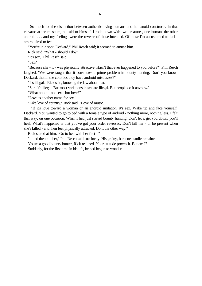So much for the distinction between authentic living humans and humanoid constructs. In that elevator at the museum, he said to himself, I rode down with two creatures, one human, the other android . . . and my feelings were the reverse of those intended. Of those I'm accustomed to feel am required to feel.

"You're in a spot, Deckard," Phil Resch said; it seemed to amuse him.

Rick said, "What - should I do?"

"It's sex," Phil Resch said.

"Sex?

 "Because she - it - was physically attractive. Hasn't that ever happened to you before?" Phil Resch laughed. "We were taught that it constitutes a prime problem in bounty hunting. Don't you know, Deckard, that in the colonies they have android mistresses?"

"It's illegal," Rick said, knowing the law about that.

"Sure it's illegal. But most variations in sex are illegal. But people do it anvhow."

"What about - not sex - but love?"

"Love is another name for sex."

"Like love of country," Rick said. "Love of music."

 "If it's love toward a woman or an android imitation, it's sex. Wake up and face yourself, Deckard. You wanted to go to bed with a female type of android - nothing more, nothing less. I felt that way, on one occasion. When I had just started bounty hunting. Don't let it get you down; you'll heal. What's happened is that you've got your order reversed. Don't kill her - or be present when she's killed - and then feel physically attracted. Do it the other way."

Rick stared at him. "Go to bed with her first - "

" - and then kill her," Phil Resch said succinctly. His grainy, hardened smile remained.

You're a good bounty hunter, Rick realized. Your attitude proves it. But am I?

Suddenly, for the first time in his life, he had begun to wonder.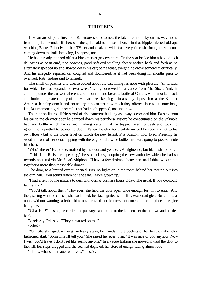#### **THIRTEEN**

 Like an arc of pure fire, John R. Isidore soared across the late-afternoon sky on his way home from his job. I wonder if she's still there, he said to himself. Down in that kipple-infested old apt, watching Buster Friendly on her TV set and quaking with fear every time she imagines someone coming down the hall. Including, I suppose, me.

 He had already stopped off at a blackmarket grocery store. On the seat beside him a bag of such delicacies as bean curd, ripe peaches, good soft evil-smelling cheese rocked back and forth as he alternately speeded up and slowed down his car; being tense, tonight, he drove somewhat erratically. And his allegedly repaired car coughed and floundered, as it had been doing for months prior to overhaul. Rats, Isidore said to himself.

 The smell of peaches and cheese eddied about the car, filling his nose with pleasure. All rarities, for which he had squandered two weeks' salary-borrowed in advance from Mr. Sloat. And, in addition, under the car seat where it could not roll and break, a bottle of Chablis wine knocked back and forth: the greatest rarity of all. He had been keeping it in a safety deposit box at the Bank of America, hanging onto it and not selling it no matter how much they offered, in case at some long, late, last moment a girl appeared. That had not happened, not until now.

 The rubbish-littered, lifeless roof of his apartment building as always depressed him. Passing from his car to the elevator door he damped down his peripheral vision; he concentrated on the valuable bag and bottle which he carried, making certain that he tripped over no trash and took no ignominious pratfall to economic doom. When the elevator creakily arrived he rode it - not to his own floor - but to the lower level on which the new tenant, Pris Stratton, now lived. Presently he stood in front of her door, rapping with the edge of the wine bottle, his heart going to pieces inside his chest.

"Who's there?" Her voice, muffled by the door and yet clear. A frightened, but blade-sharp tone.

 "This is J. R. Isidore speaking," he said briskly, adopting the new authority which he had so recently acquired via Mr. Sloat's vidphone. "I have a few desirable items here and I think we can put together a more than reasonable dinner."

 The door, to a limited extent, opened; Pris, no lights on in the room behind her, peered out into the dim hall. "You sound different," she said. "More grown up."

 "I had a few routine matters to deal with during business hours today. The usual. If you c-c-could let me in - "

 "You'd talk about them." However, she held the door open wide enough for him to enter. And then, seeing what he carried, she exclaimed; her face ignited with elfin, exuberant glee. But almost at once, without warning, a lethal bitterness crossed her features, set concrete-like in place. The glee had gone.

 "What is it?" he said; he carried the packages and bottle to the kitchen, set them down and hurried back.

Tonelessly, Pris said, "They're wasted on me."

"Why?"

 "Oh. She shrugged, walking aimlessly away, her hands in the pockets of her heavy, rather oldfashioned skirt. "Sometime I'll tell you." She raised her eyes, then. "It was nice of you anyhow. Now I wish you'd leave. I don't feel like seeing anyone." In a vague fashion she moved toward the door to the hall; her steps dragged and she seemed depleted, her store of energy fading almost out.

"I know what's the matter with you," he said.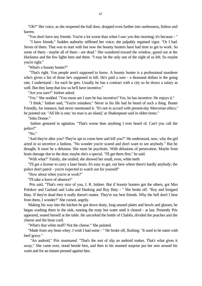"Oh?" Her voice, as she reopened the hall door, dropped even further into uselessness, listless and barren.

"You don't have any friends. You're a lot worse than when I saw you this morning; it's because - "

 "I have friends." Sudden authority stiffened her voice; she palpably regained vigor. "Or I had. Seven of them. That was to start with but now the bounty hunters have had time to get to work. So some of them - maybe all of them - are dead." She wandered toward the window, gazed out at the blackness and the few lights here and there. "I may be the only one of the eight of us left. So maybe you're right."

"What's a bounty hunter?"

 "That's right. You people aren't supposed to know. A bounty hunter is a professional murderer who's given a list of those he's supposed to kill. He's paid a sum - a thousand dollars is the going rate, I understand - for each he gets. Usually he has a contract with a city so he draws a salary as well. But they keep that low so he'll have incentive."

"Are you sure?" Isidore asked.

"Yes." She nodded. "You mean am I sure he has incentive? Yes, he has incentive. He enjoys it."

 "I think," Isidore said, "You're mistaken." Never in his life had he heard of such a thing. Buster Friendly, for instance, had never mentioned it. "It's not in accord with present-day Mercerian ethics," he pointed out. "All life is one; 'no man is an island,' as Shakespeare said in olden times."

"John Donne."

 Isidore gestured in agitation. "That's worse than anything I ever heard of. Can't you call the police?"

"No."

 "And they're after you? They're apt to come here and kill you?" He understood, now, why the girl acted in so secretive a fashion. "No wonder you're scared and don't want to see anybody." But he thought, It must be a delusion. She must be psychotic. With delusions of persecution. Maybe from brain damage due to the dust; maybe she's a special. "I'll get them first," he said.

"With what?" Faintly, she smiled; she showed her small, even, white teeth

 "I'll get a license to carry a laser beam. It's easy to get, out here where there's hardly anybody; the police don't patrol - you're expected to watch out for yourself"

"How about when you're at work?"

"I'll take a leave of absence!"

 Pris said, "That's very nice of you, J. R. Isidore. But if bounty hunters got the others, got Max Polokov and Garland and Luba and Hasking and Roy Baty - " She broke off. "Roy and Irmgard Baty. If they're dead then it really doesn't matter. They're my best friends. Why the hell don't I hear from them, I wonder?" She cursed, angrily.

 Making his way into the kitchen he got down dusty, long unused plates and bowls and glasses; he began washing them in the sink, running the rusty hot water until it cleared - at last. Presently Pris appeared, seated herself at the table. He uncorked the bottle of Chablis, divided the peaches and the cheese and the bean curd.

"What's that white stuff? Not the cheese." She pointed.

"Made from soy bean whey. I wish I had some - " He broke off, flushing. "It used to be eaten with beef gravy."

 "An android," Pris murmured. "That's the sort of slip an android makes. That's what gives it away." She came over, stood beside him, and then to his stunned surprise put her arm around his waist and for an instant pressed against him.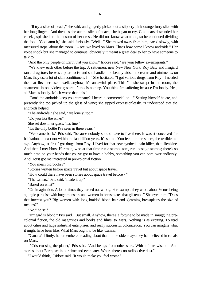"I'll try a slice of peach," she said, and gingerly picked out a slippery pink-orange furry slice with her long fingers. And then, as she ate the slice of peach, she began to cry. Cold tears descended her cheeks, splashed on the bosom of her dress. He did not know what to do, so he continued dividing the food. "Goddamn it," she said, furiously. "Well - " She moved away from him, paced slowly, with measured steps, about the room. " - see, we lived on Mars. That's how come I know androids." Her voice shook but she managed to continue; obviously it meant a great deal to her to have someone to talk to.

"And the only people on Earth that you know," Isidore said, "are your fellow ex-emigrants."

 "We knew each other before the trip. A settlement near New New York. Roy Baty and Irmgard ran a drugstore; he was a pharmacist and she handled the beauty aids, the creams and ointments; on Mars they use a lot of skin conditioners. I - " She hesitated. "I got various drugs from Roy - I needed them at first because - well, anyhow, it's an awful place. This " - she swept in the room, the apartment, in one violent gesture - " this is nothing. You think I'm suffering because I'm lonely. Hell, all Mars is lonely. Much worse than this."

 "Don't the androids keep you company? I heard a commercial on - " Seating himself he ate, and presently she too picked up the glass of wine; she sipped expressionlessly. "I understood that the androids helped."

"The androids," she said, "are lonely, too."

"Do you like the wine?"

She set down her glass. "It's fine."

"It's the only bottle I've seen in three years."

 "We came back," Pris said, "because nobody should have to live there. It wasn't conceived for habitation, at least not within the last billion years. It's so old. You feel it in the stones, the terrible old age. Anyhow, at first I got drugs from Roy; I lived for that new synthetic pain-killer, that silenizine. And then I met Horst Hartman, who at that time ran a stamp store, rare postage stamps; there's so much time on your hands that you've got to have a hobby, something you can pore over endlessly. And Horst got me interested in pre-colonial fiction."

"You mean old books?"

"Stories written before space travel but about space travel."

"How could there have been stories about space travel before - "

"The writers," Pris said, "made it up."

"Based on what?"

 "On imagination. A lot of times they turned out wrong. For example they wrote about Venus being a jungle paradise with huge monsters and women in breastplates that glistened." She eyed him. "Does that interest you? Big women with long braided blond hair and gleaming breastplates the size of melons?"

"No," he said.

 "Irmgard is blond," Pris said. "But small. Anyhow, there's a fortune to be made in smuggling precolonial fiction, the old magazines and books and films, to Mars. Nothing is as exciting. To read about cities and huge industrial enterprises, and really successful colonization. You can imagine what it might have been like. What Mars ought to be like. Canals."

 "Canals?" Dimly, he remembered reading about that; in the olden days they had believed in canals on Mars.

 "Crisscrossing the planet," Pris said. "And beings from other stars. With infinite wisdom. And stories about Earth, set in our time and even later. Where there's no radioactive dust."

"I would think," Isidore said, "it would make you feel worse."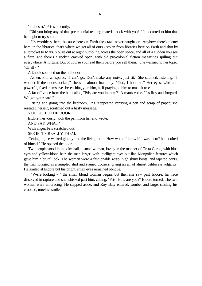"It doesn't," Pris said curtly.

 "Did you bring any of that pre-colonial reading material back with you? " It occurred to him that he ought to try some.

 "It's worthless, here, because here on Earth the craze never caught on. Anyhow there's plenty here, in the libraries; that's where we get all of ours - stolen from libraries here on Earth and shot by autorocket to Mars. You're out at night humbling across the open space, and all of a sudden you see a flare, and there's a rocket, cracked open, with old pre-colonial fiction magazines spilling out everywhere. A fortune. But of course you read them before you sell them." She warmed to her topic. "Of all - "

A knock sounded on the hall door.

 Ashen, Pris whispered, "I can't go. Don't make any noise; just sit." She strained, listening. "I wonder if the door's locked," she said almost inaudibly. "God, I hope so." Her eyes, wild and powerful, fixed themselves beseechingly on him, as if praying to him to make it true.

 A far-off voice from the hall called, "Pris, are you in there?" A man's voice. "It's Roy and Irmgard. We got your card."

 Rising and going into the bedroom, Pris reappeared carrying a pen and scrap of paper; she reseated herself, scratched out a hasty message.

YOU GO TO THE DOOR.

Isidore, nervously, took the pen from her and wrote:

AND SAY WHAT?

With anger, Pris scratched out:

SEE IF IT'S REALLY THEM.

 Getting up, he walked glumly into the living room. How would I know if it was them? he inquired of himself. He opened the door.

 Two people stood in the dim hall, a small woman, lovely in the manner of Greta Garbo, with blue eyes and yellow-blond hair; the man larger, with intelligent eyes but flat, Mongolian features which gave him a brutal look. The woman wore a fashionable wrap, high shiny boots, and tapered pants; the man lounged in a rumpled shirt and stained trousers, giving an air of almost deliberate vulgarity. He smiled at Isidore but his bright, small eyes remained oblique.

 "We're looking - " the small blond woman began, but then she saw past Isidore; her face dissolved in rapture and she whisked past him, calling. "Pris! How are you?" Isidore turned. The two women were embracing. He stepped aside, and Roy Baty entered, somber and large, smiling his crooked, tuneless smile.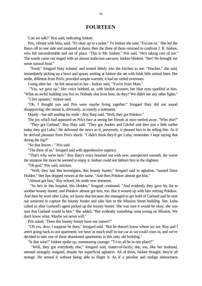## **FOURTEEN**

"Can we talk?" Roy said, indicating Isidore.

 Pris, vibrant with bliss, said, "It's okay up to a point." To Isidore she said, "Excuse us." She led the Batys off to one side and muttered at them; then the three of them returned to confront J. R. Isidore, who felt uncomfortable and out of place. "This is Mr. Isidore," Pris said. "He's taking care of me." The words came out tinged with an almost malicious sarcasm; Isidore blinked. "See? He brought me some natural food."

 "Food," Irmgard Baty echoed, and trotted lithely into the kitchen to see. "Peaches," she said, immediately picking up a bowl and spoon; smiling at Isidore she ate with brisk little animal bites. Her smile, different from Pris's, provided simple warmth; it had no veiled overtones.

Going after her - he felt attracted to her - Isidore said, "You're from Mars."

 "Yes, we gave up." Her voice bobbed, as, with birdish acumen, her blue eyes sparkled at him. "What an awful building you live in. Nobody else lives here, do they? We didn't see any other fights." "I live upstairs," Isidore said.

 "Oh, I thought you and Pris were maybe living together." Irmgard Baty did not sound disapproving; she meant it, obviously, as merely a statement.

Dourly - but still smiling his smile - Roy Baty said, "Well, they got Polokov."

 The joy which had appeared on Pris's face at seeing her friends at once melted away. "Who else?" "They got Garland," Roy Baty said. "They got Anders and Gitchel and then just a little earlier

today they got Luba." He delivered the news as if, perversely, it pleased him to be telling this. As if he derived pleasure from Pris's shock. "I didn't think they'd get Luba; remember I kept saying that during the trip?"

"So that leaves - " Pris said.

"The three of us," Irmgard said with apprehensive urgency.

 "That's why we're here." Roy Baty's voice boomed out with new, unexpected warmth; the worse the situation the more he seemed to enjoy it. Isidore could not fathom him in the slightest.

"Oh god," Pris said, stricken.

 "Well, they had this investigator, this bounty hunter," Irmgard said in agitation, "named Dave Holden." Her lips dripped venom at the name. "And then Polokov almost got him."

"Almost got him," Roy echoed, his smile now immense.

 "So he's in this hospital, this Holden," Irmgard continued. "And evidently they gave his list to another bounty hunter, and Polokov almost got him, too. But it wound up with him retiring Polokov. And then he went after Luba; we know that because she managed to get hold of Garland and he sent out someone to capture the bounty hunter and take him to the Mission Street building. See, Luba called us after Garland's agent picked up the bounty hunter. She was sure it would be okay; she was sure that Garland would la him." She added, "But evidently something went wrong on Mission. We don't know what. Maybe we never will."

Pris asked, "Does this bounty hunter have our names?"

 "Oh yes, dear, I suppose he does," Irmgard said. "But he doesn't know where we are. Roy and I aren't going back to our apartment; we have as much stuff in our car as we could cram in, and we've decided to take one of these abandoned apartments in this ratty old building."

"Is that wise?" Isidore spoke up, summoning courage. "T-t-to all be in one place?"

 "Well, they got everybody else," Irmgard said, matter-of-factly; she, too, like her husband, seemed strangely resigned, despite her superficial agitation. All of them, Isidore thought; they're all strange. He sensed it without being able to finger it. As if a peculiar and malign abstractness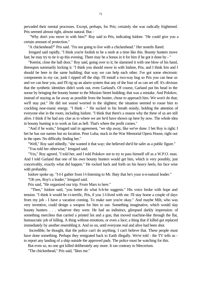pervaded their mental processes. Except, perhaps, for Pris; certainly she was radically frightened. Pris seemed almost right, almost natural. But -

 "Why don't you move in with him?" Roy said to Pris, indicating Isidore. "He could give you a certain amount of protection."

"A chickenhead?" Pris said. "I'm not going to live with a chickenhead." Her nostrils flared.

 Irmgard said rapidly, "I think you're foolish to be a snob at a time like this. Bounty hunters move fast; he may try to tie it up this evening. There may be a bonus in it for him if he got it done by - "

 "Keerist, close the hall door," Roy said, going over to it; he slammed it with one blow of his hand, thereupon summarily locking it. "I think you should move in with Isidore, Pris, and I think Irm and I should be here in the same building; that way we can help each other. I've got some electronic components in my car, junk I ripped off the ship. I'll install a two-way bug so Pris you can hear us and we can hear you, and I'll rig up an alarm system that any of the four of us can set off. It's obvious that the synthetic identities didn't work out, even Garland's. Of course, Garland put his head in the noose by bringing the bounty hunter to the Mission Street building; that was a mistake. And Polokov, instead of staying as far away as possible from the hunter, chose to approach him. We won't do that; we'll stay put." He did not sound worried in the slightest; the situation seemed to rouse him to crackling near-manic energy. "I think - " He sucked in his breath noisily, holding the attention of everyone else in the room, including Isidore. "I think that there's a reason why the three of us are still alive. I think if he had any clue as to where we are he'd have shown up here by now. The whole idea in bounty hunting is to work as fast as hell. That's where the profit comes."

 "And if he waits," Irmgard said in agreement, "we slip away, like we've done. I bet Roy is right; I bet he has our names but no location. Poor Luba; stuck in the War Memorial Opera House, right out in the open. No difficulty finding her."

"Well," Roy said stiltedly, "she wanted it that way; she believed she'd be safer as a public figure."

"You told her otherwise," Irmgard said.

 "Yes," Roy agreed, "I told her, and I told Polokov not to try to pass himself off as a W.P.O. man. And I told Garland that one of his own bounty hunters would get him, which is very possibly, just conceivably, exactly what did happen." He rocked back and forth on his heavy heels, his face wise with profundity.

Isidore spoke up. "I-I-I gather from l-l-listening to Mr. Baty that he's your n-n-natural leader."

"Oh yes, Roy's a leader," Irmgard said.

Pris said, "He organized our trip. From Mars to here."

 "Then," Isidore said, "you better do what h-h-he suggests." His voice broke with hope and tension. "I think it would be t-t-terrific, Pris, if you 1-l-lived with me. I'll stay home a couple of days from my job - I have a vacation coming. To make sure you're okay." And maybe Milt, who was very inventive, could design a weapon for him to use. Something imaginative, which would slay bounty hunters . . . whatever they were. He had an indistinct, glimpsed darkly impression: of something merciless that carried a printed list and a gun, that moved machine-like through the flat, bureaucratic job of killing. A thing without emotions, or even a face; a thing that if killed got replaced immediately by another resembling it. And so on, until everyone real and alive had been shot.

 Incredible, he thought, that the police can't do anything. I can't believe that. These people must have done something. Perhaps they emigrated back to Earth illegally. We're told - the TV tells us to report any landing of a ship outside the approved pads. The police must be watching for this.

But even so, no one got killed deliberately any more. It ran contrary to Mercerism.

"The chickenhead," Pris said, "likes me."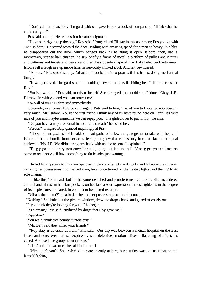"Don't call him that, Pris," Irmgard said; she gave Isidore a look of compassion. "Think what he could call you."

Pris said nothing. Her expression became enigmatic.

 "I'll go start rigging up the bug," Roy said. "Irmgard and I'll stay in this apartment; Pris you go with - Mr. Isidore." He started toward the door, striding with amazing speed for a man so heavy. In a blur he disappeared out the door, which banged back as he flung it open. Isidore, then, had a momentary, strange hallucination; he saw briefly a frame of metal, a platform of pullies and circuits and batteries and turrets and gears - and then the slovenly shape of Roy Baty faded back into view. Isidore felt a laugh rise up inside him; he nervously choked it off. And felt bewildered.

 "A man, " Pris said distantly, "of action. Too bad he's so poor with his hands, doing mechanical things."

 "If we get saved," Irmgard said in a scolding, severe tone, as if chiding her, "it'll be because of Roy."

 "But is it worth it," Pris said, mostly to herself. She shrugged, then nodded to Isidore. "Okay, J .R. I'll move in with you and you can protect me."

"A-a-all of you," Isidore said immediately.

 Solemnly, in a formal little voice, Irmgard Baty said to him, "I want you to know we appreciate it very much, Mr. Isidore. You're the first friend I think any of us have found here on Earth. It's very nice of you and maybe sometime we can repay you." She glided over to pat him on the arm.

"Do you have any pre-colonial fiction I could read?" he asked her.

"Pardon?" Irmgard Baty glanced inquiringly at Pris.

 "Those old magazines," Pris said; she had gathered a few things together to take with her, and Isidore lifted the bundle from her arms, feeling the glow that comes only from satisfaction at a goal achieved. "No, J.R. We didn't bring any back with us, for reasons I explained."

 "I'll g-g-go to a library tomorrow," he said, going out into the hall. "And g-get you and me too some to read, so you'll have something to do besides just waiting."

 He led Pris upstairs to his own apartment, dark and empty and stuffy and lukewarm as it was; carrying her possessions into the bedroom, he at once turned on the heater, lights, and the TV to its sole channel.

 "I like this," Pris said, but in the same detached and remote tone - as before. She meandered about, hands thrust in her skirt pockets; on her face a sour expression, almost righteous in the degree of its displeasure, appeared. In contrast to her stated reaction.

"What's the matter?" he asked as he laid her possessions out on the couch.

"Nothing." She halted at the picture window, drew the drapes back, and gazed morosely out.

"If you think they're looking for you - " he began.

"It's a dream," Pris said. "Induced by drugs that Roy gave me."

"P-pardon?"

"You really think that bounty hunters exist?"

"Mr. Baty said they killed your friends."

 "Roy Baty is as crazy as I am," Pris said. "Our trip was between a mental hospital on the East Coast and here. We're all schizophrenic, with defective emotional lives - flattening of affect, it's called. And we have group hallucinations."

'I didn't think it was true," he said full of relief.

 'Why didn't you?" She swiveled to stare intently at him; her scrutiny was so strict that he felt himself flushing.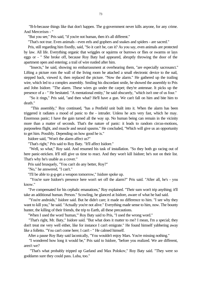"B-b-because things like that don't happen. The g-government never kills anyone, for any crime. And Mercerism - "

"But you see," Pris said, "if you're not human, then it's all different."

"That's not true. Even animals - even eels and gophers and snakes and spiders - are sacred."

 Pris, still regarding him fixedly, said, "So it can't be, can it? As you say, even animals are protected by law. All life. Everything organic that wriggles or squirms or burrows or flies or swarms or lays eggs or - " She broke off, because Roy Baty had appeared, abruptly throwing the door of the apartment open and entering; a trail of wire rustled after him.

 "Insects," he said, showing no embarrassment at overhearing them, "are especially sacrosanct." Lifting a picture rom the wall of the living room he attached a small electronic device to the nail, stepped back, viewed it, then replaced the picture. "Now the alarm." He gathered up the trailing wire, which led to a complex assembly. Smiling his discordant smile, he showed the assembly to Pris and John Isidore. "The alarm. These wires go under the carpet; they're antennae. It picks up the presence of a - " He hesitated. "A mentational entity," he said obscurely, "which isn't one of us four."

 "So it rings," Pris said, "and then what? He'll have a gun. We can't fall on him and bite him to death."

 "This assembly," Roy continued, "has a Penfield unit built into it. When the alarm has been triggered it radiates a mood of panic to the - intruder. Unless he acts very fast, which he may. Enormous panic; I have the gain turned all the way up. No human being can remain in the vicinity more than a matter of seconds. That's the nature of panic: it leads to random circus-motions, purposeless flight, and muscle and neural spasms." He concluded, "Which will give us an opportunity to get him. Possibly. Depending on how good he is."

Isidore said, "Won't the alarm affect us?"

"That's right," Pris said to Roy Baty. "It'll affect Isidore."

 "Well, so what," Roy said. And resumed his task of installation. "So they both go racing out of here panic-stricken. It'll still give us time to react. And they won't kill Isidore; he's not on their list. That's why he's usable as a cover."

Pris said brusquely, "You can't do any better, Roy?"

"No," he answered, "I can't."

"I'll be able to g-g-get a weapon tomorrow," Isidore spoke up.

 "You're sure Isidore's presence here won't set off the alarm?" Pris said. "After all, he's - you know."

 "I've compensated for his cephalic emanations," Roy explained. "Their sum won't trip anything; it'll take an additional human. Person." Scowling, he glanced at Isidore, aware of what he had said.

 "You're androids," Isidore said. But he didn't care; it made no difference to him. "I see why they want to kill you," he said. "Actually you're not alive." Everything made sense to him, now. The bounty hunter, the killing of their friends, the trip to Earth, all these precautions.

"When I used the word 'human,"' Roy Baty said to Pris, "I used the wrong word."

 "That's right, Mr. Baty," Isidore said. "But what does it matter to me? I mean, I'm a special; they don't treat me very well either, like for instance I can't emigrate." He found himself yabbering away like a folletto. "You can't come here; I can't - " He calmed himself.

After a pause Roy Baty said laconically, "You wouldn't enjoy Mars. You're missing nothing."

 "I wondered how long it would be," Pris said to Isidore, "before you realized. We are different, aren't we?

 "That's what probably tripped up Garland and Max Polokov," Roy Baty said. "They were so goddamn sure they could pass. Luba, too."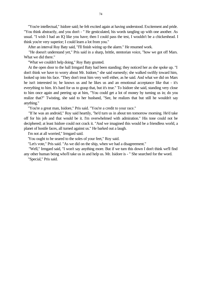"You're intellectual," Isidore said; he felt excited again at having understood. Excitement and pride. "You think abstractly, and you don't - " He gesticulated, his words tangling up with one another. As usual. "I wish I had an IQ like you have; then I could pass the test, I wouldn't be a chickenhead. I think you're very superior; I could learn a lot from you."

After an interval Roy Baty said, "I'll finish wiring up the alarm." He resumed work.

 "He doesn't understand yet," Pris said in a sharp, brittle, stentorian voice, "how we got off Mars. What we did there."

"What we couldn't help doing," Roy Baty grunted.

 At the open door to the hall Irmgard Baty had been standing; they noticed her as she spoke up. "I don't think we have to worry about Mr. Isidore," she said earnestly; she walked swiftly toward him, looked up into his face. "They don't treat him very well either, as he said. And what we did on Mars he isn't interested in; he knows us and he likes us and an emotional acceptance like that - it's everything to him. It's hard for us to grasp that, but it's true." To Isidore she said, standing very close to him once again and peering up at him, "You could get a lot of money by turning us in; do you realize that?" Twisting, she said to her husband, "See, he realizes that but still he wouldn't say anything."

"You're a great man, Isidore," Pris said. "You're a credit to your race."

 "If he was an android," Roy said heartily, "he'd turn us in about ten tomorrow morning. He'd take off for his job and that would be it. I'm overwhelmed with admiration." His tone could not be deciphered; at least Isidore could not crack it. "And we imagined this would be a friendless world, a planet of hostile faces, all turned against us." He barked out a laugh.

I'm not at all worried," Irmgard said.

'You ought to be seared to the soles of your feet," Roy said.

"Let's vote," Pris said. "As we did on the ship, when we had a disagreement."

 "Well," Irmgard said, "I won't say anything more. But if we turn this down I don't think we'll find any other human being who'll take us in and help us. Mr. Isidore is - " She searched for the word.

"Special," Pris said.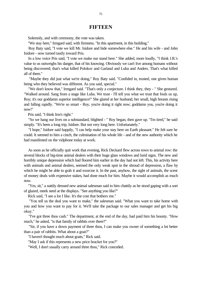## **FIFTEEN**

Solemnly, and with ceremony, the vote was taken.

"We stay here," Irmgard said, with firmness. "In this apartment, in this building."

 Roy Baty said, "I vote we kill Mr. Isidore and hide somewhere else." He and his wife - and John Isidore - now turned tautly toward Pris.

 In a low voice Pris said, "I vote we make our stand here." She added, more loudly, "I think J.R.'s value to us outweighs his danger, that of his knowing. Obviously we can't live among humans without being discovered; that's what killed Polokov and Garland and Luba and Anders. That's what killed all of them."

 "Maybe they did just what we're doing," Roy Baty said. "Confided in, trusted, one given human being who they believed was different. As you said, special."

 "We don't know that," Irmgard said. "That's only a conjecture. I think they, they - " She gestured. "Walked around. Sang from a stage like Luba. We trust - I'll tell you what we trust that fouls us up, Roy; it's our goddamn superior intelligence!" She glared at her husband, her small, high breasts rising and falling rapidly. "We're so smart - Roy, you're doing it right now; goddamn you, you're doing it now!"

Pris said, "I think Irm's right."

 "So we hang our lives on a substandard, blighted - " Roy began, then gave up. "I'm tired," he said simply. "It's been a long trip, Isidore. But not very long here. Unfortunately."

 "I hope," Isidore said happily, "I can help make your stay here on Earth pleasant." He felt sure he could. It seemed to him a cinch, the culmination of his whole life - and of the new authority which he had manifested on the vidphone today at work.

 As soon as he officially quit work that evening, Rick Deckard flew across town to animal row: the several blocks of big-time animal dealers with their huge glass windows and lurid signs. The new and horribly unique depression which had floored him earlier in the day had not left. This, his activity here with animals and animal dealers, seemed the only weak spot in the shroud of depression, a flaw by which he might be able to grab it and exorcise it. In the past, anyhow, the sight of animals, the scent of money deals with expensive stakes, had done much for him. Maybe it would accomplish as much now.

 "Yes, sit," a nattily dressed new animal salesman said to him chattily as he stood gaping with a sort of glazed, meek need at the displays. "See anything you like?"

Rick said, "I see a lot I like. It's the cost that bothers me."

 "You tell us the deal you want to make," the salesman said. "What you want to take home with you and how you want to pay for it. We'll take the package to our sales manager and get his big okay."

 "I've got three thou cash." The department, at the end of the day, had paid him his bounty. "How much," he asked, "is that family of rabbits over there?"

 "Sir, if you have a down payment of three thou, I can make you owner of something a lot better than a pair of rabbits. What about a goat?"

"I haven't thought much about goats," Rick said.

"May I ask if this represents a new price bracket for you?"

"Well, I don't usually carry around three thou," Rick conceded.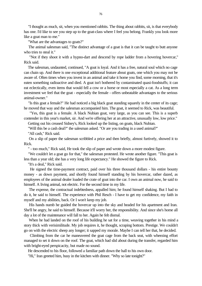"I thought as much, sit, when you mentioned rabbits. The thing about rabbits, sit, is that everybody has one. I'd like to see you step up to the goat-class where I feel you belong. Frankly you look more like a goat man to me."

"What are the advantages to goats?"

 The animal salesman said, "The distinct advantage of a goat is that it can be taught to butt anyone who tries to steal it."

 "Not if they shoot it with a hypno-dart and descend by rope ladder from a hovering hovercar," Rick said.

 The salesman, undaunted, continued, "A goat is loyal. And it has a free, natural soul which no cage can chain up. And there is one exceptional additional feature about goats, one which you may not be aware of. Often times when you invest in an animal and take it home you find, some morning, that it's eaten something radioactive and died. A goat isn't bothered by contaminated quasi-foodstuffs; it can eat eclectically, even items that would fell a cow or a horse or most especially a cat. As a long term investment we feel that the goat - especially the female - offers unbeatable advantages to the serious animal-owner."

 "Is this goat a female?" He had noticed a big black goat standing squarely in the center of its cage; he moved that way and the salesman accompanied him. The goat, it seemed to Rick, was beautiful.

 "Yes, this goat is a female. A black Nubian goat, very large, as you can see. This is a superb contender in this year's market, sir. And we're offering her at an attractive, unusually low, low price."

Getting out his creased Sidney's, Rick looked up the listing, on goats, black Nubian.

"Will this be a cash deal?" the salesman asked. "Or are you trading in a used animal?"

"All cash," Rick said.

 On a slip of paper the salesman scribbled a price and then briefly, almost furtively, showed it to Rick.

" - too much," Rick said, He took the slip of paper and wrote down a more modest figure.

 "We couldn't let a goat go for that," the salesman protested. He wrote another figure. "This goat is less than a year old; she has a very long life expectancy." He showed the figure to Rick.

"It's a deal," Rick said.

 He signed the time-payment contract, paid over his three thousand dollars - his entire bounty money - as down payment, and shortly found himself standing by his hovercar, rather dazed, as employees of the animal dealer loaded the crate of goat into the car. I own an animal now, he said to himself. A living animal, not electric. For the second time in my life.

 The expense, the contractual indebtedness, appalled him; he found himself shaking. But I had to do it, he said to himself. The experience with Phil Resch - I have to get my confidence, my faith in myself and my abilities, back. Or I won't keep my job.

 His hands numb he guided the hovercar up into the sky and headed for his apartment and Iran. She'll be angry, he said to himself. Because it'll worry her, the responsibility. And since she's home all day a lot of the maintenance will fall to her. Again he felt dismal.

 When he had landed on the roof of his building he sat for a time, weaving together in his mind a story thick with verisimilitude. My job requires it, he thought, scraping bottom. Prestige. We couldn't go on with the electric sheep any longer; it sapped my morale. Maybe I can tell her that, he decided.

 Climbing from the car he maneuvered the goat cage from the back seat, with wheezing effort managed to set it down on the roof. The goat, which had slid about during the transfer, regarded him with bright-eyed perspicacity, but made no sound.

He descended to his floor, followed a familiar path down the hall to his own door.

"Hi," Iran greeted him, busy in the kitchen with dinner. "Why so late tonight?"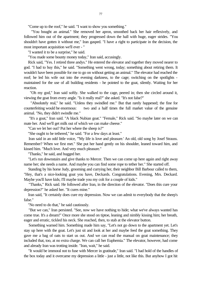"Come up to the roof," he said. "I want to show you something."

 "You bought an animal." She removed her apron, smoothed back her hair reflexively, and followed him out of the apartment; they progressed down the hall with huge, eager strides. "You shouldn't have gotten it without me," Iran gasped. "I have a right to participate in the decision, the most important acquisition we'll ever - "

"I wanted it to be a surprise," he said.

"You made some bounty money today," Iran said, accusingly.

 Rick said, "Yes. I retired three andys." He entered the elevator and together they moved nearer to god. "I had to buy this," he said. "Something went wrong, today; something about retiring them. It wouldn't have been possible for me to go on without getting an animal." The elevator had reached the roof; he led his wife out into the evening darkness, to the cage; switching on the spotlights maintained for the use of all building residents - he pointed to the goat, silently. Waiting for her reaction.

 "Oh my god," Iran said softly. She walked to the cage, peered in; then she circled around it, viewing the goat from every angle. "Is it really real?" she asked. "It's not false?"

 "Absolutely real," he said. "Unless they swindled me." But that rarely happened; the fine for counterfeiting would be enormous: two and a half times the full market value of the genuine animal. "No, they didn't swindle me."

 "It's a goat," Iran said. "A black Nubian goat." "Female," Rick said. "So maybe later on we can mate her. And we'll get milk out of which we can make cheese."

"Can we let her out? Put her where the sheep is?"

"She ought to be tethered," he said. "For a few days at least."

 Iran said in an odd little voice, "'My life is love and pleasure.' An old, old song by Josef Strauss. Remember? When we first met." She put her hand gently on his shoulder, leaned toward him, and kissed him. "Much love. And very much pleasure."

"Thanks," he said, and hugged her.

 "Let's run downstairs and give thanks to Mercer. Then we can come up here again and right away name her; she needs a name. And maybe you can find some rope to tether her." She started off.

 Standing by his horse Judy, grooming and currying her, their neighbor Bill Barbour called to them, "Hey, that's a nice-looking goat you have, Deckards. Congratulations. Evening, Mrs. Deckard. Maybe you'll have kids; I'll maybe trade you my colt for a couple of kids."

 "Thanks," Rick said. He followed after Iran, in the direction of the elevator. "Does this cure your depression?" he asked her. "It cures mine."

 Iran said, "It certainly does cure my depression. Now we can admit to everybody that the sheep's false."

"No need to do that," he said cautiously.

 "But we can," Iran persisted. "See, now we have nothing to hide; what we've always wanted has come true. It's a dream!" Once more she stood on tiptoe, leaning and nimbly kissing him; her breath, eager and erratic, tickled his neck. She reached, then, to stab at the elevator button.

 Something warned him. Something made him say, "Let's not go down to the apartment yet. Let's stay up here with the goat. Let's just sit and look at her and maybe feed the goat something. They gave me a bag of oats to start us out. And we can read the manual on goat maintenance; they included that, too, at no extra charge. We can call her Euphemia." The elevator, however, had come and already Iran was trotting inside. "Iran, wait," he said.

 "It would be immoral not to fuse with Mercer in gratitude," Iran said. "I had hold of the handles of the box today and it overcame my depression a little - just a little, not like this. But anyhow I got hit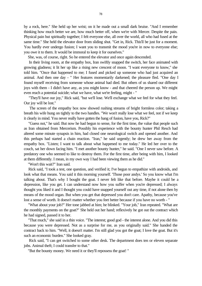by a rock, here." She held up her wrist; on it he made out a small dark bruise. "And I remember thinking how much better we are, how much better off, when we're with Mercer. Despite the pain. Physical pain but spiritually together; I felt everyone else, all over the world, all who had fused at the same time." She held the elevator door from sliding shut. "Get in, Rick. This'll be just for a moment. You hardly ever undergo fusion; I want you to transmit the mood you're in now to everyone else; you owe it to them. It would be immoral to keep it for ourselves."

She, was, of course, right. So he entered the elevator and once again descended.

 In their living room, at the empathy box, Iran swiftly snapped the switch, her face animated with growing gladness; it lit her up like a rising new crescent of moon. "I want everyone to know," she told him. "Once that happened to me; I fused and picked up someone who had just acquired an animal. And then one day - " Her features momentarily darkened; the pleasure fled. "One day I found myself receiving from someone whose animal had died. But others of us shared our different joys with them - I didn't have any, as you might know - and that cheered the person up. We might even reach a potential suicide; what we have, what we're feeling, might - "

 "They'll have our joy," Rick said, "but we'll lose. We'll exchange what we feel for what they feel. Our joy will be lost."

 The screen of the empathy box now showed rushing streams of bright formless color; taking a breath his wife hung on tightly to the two handles. "We won't really lose what we feel, not if we keep it clearly in mind. You never really have gotten the hang of fusion, have you, Rick?"

 "Guess not," he said. But now he had begun to sense, for the first time, the value that people such as Iran obtained from Mercerism. Possibly his experience with the bounty hunter Phil Resch had altered some minute synapsis in him, had closed one neurological switch and opened another. And this perhaps had started a chain reaction. "Iran," he said urgently; he drew her away from the empathy box. "Listen; I want to talk about what happened to me today." He led her over to the couch, sat her down facing him. "I met another bounty hunter," he said. "One I never saw before. A predatory one who seemed to like to destroy them. For the first time, after being with him, I looked at them differently. I mean, in my own way I had been viewing them as he did."

"Won't this wait?" Iran said.

 Rick said, "I took a test, one question, and verified it; I've begun to empathize with androids, and look what that means. You said it this morning yourself. 'Those poor andys.' So you know what I'm talking about. That's why I bought the goat. I never felt like that before. Maybe it could be a depression, like you get. I can understand now how you suffer when you're depressed; I always thought you liked it and I thought you could have snapped yourself out any time, if not alone then by means of the mood organ. But when you get that depressed you don't care. Apathy, because you've lost a sense of worth. It doesn't matter whether you feet better because if you have no worth - "

 "What about your job?" Her tone jabbed at him; he blinked. "Your job," Iran repeated. "What are the monthly payments on the goat?" She held out her hand; reflexively he got out the contract which he had signed, passed it to her.

 "That much," she said in a thin voice. "The interest; good god - the interest alone. And you did this because you were depressed. Not as a surprise for me, as you originally said." She handed the contract back to him. "Well, it doesn't matter. I'm still glad you got the goat; I love the goat. But it's such an economic burden." She looked gray.

 Rick said, "I can get switched to some other desk. The department does ten or eleven separate jobs. Animal theft; I could transfer to that."

"But the bounty money. We need it or they'll repossess the goat! "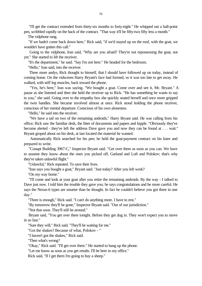"I'll get the contract extended from thirty-six months to forty-eight." He whipped out a ball-point pen, scribbled rapidly on the back of the contract. "That way it'll be fifty-two fifty less a month."

The vidphone rang.

 "If we hadn't come back down here," Rick said, "if we'd stayed up on the roof, with the goat, we wouldn't have gotten this call."

 Going to the vidphone, Iran said, "Why are you afraid? They're not repossessing the goat, not yet." She started to lift the receiver.

"It's the department," he said. "Say I'm not here." He headed for the bedroom.

"Hello," Iran said, into the receiver.

 Three more andys, Rick thought to himself, that I should have followed up on today, instead of coming home. On the vidscreen Harry Bryant's face had formed, so it was too late to get away. He walked, with stiff leg muscles, back toward the phone.

 "Yes, he's here," Iran was saying. "We bought a goat. Come over and see it, Mr. Bryant." A pause as she listened and then she held the receiver up to Rick. "He has something he wants to say to you," she said. Going over to the empathy box she quickly seated herself and once more gripped the twin handles. She became involved almost at once. Rick stood holding the phone receiver, conscious of her mental departure. Conscious of his own aloneness.

"Hello," he said into the receiver.

 "We have a tail on two of the remaining androids," Harry Bryant said. He was calling from his office; Rick saw the familiar desk, the litter of documents and papers and kipple. "Obviously they've become alerted - they've left the address Dave gave you and now they can be found at . . . wait." Bryant groped about on his desk, at last located the material he wanted.

 Automatically Rick searched for his pen; he held the goat-payment contract on his knee and prepared to write.

 "Conapt Building 3967-C," Inspector Bryant said. "Get over there as soon as you can. We have to assume they know about the ones you picked off, Garland and Luft and Polokov; that's why they've taken unlawful flight."

"Unlawful," Rick repeated. To save their lives.

"Iran says you bought a goat," Bryant said. "Just today? After you left work?

"On my way home."

 "I'll come and look at your goat after you retire the remaining androids. By the way - I talked to Dave just now. I told him the trouble they gave you; he says congratulations and be more careful. He says the Nexus-6 types are smarter than he thought. In fact he couldn't believe you got three in one day."

"Three is enough," Rick said. "I can't do anything more. I have to rest."

"By tomorrow they'll be gone," Inspector Bryant said. "Out of our jurisdiction."

"Not that soon. They'll still be around."

 Bryant said, "You get over there tonight. Before they get dug in. They won't expect you to move in so fast."

"Sure they will," Rick said. "They'll be waiting for me."

"Got the shakes? Because of what, Polokov - "

"I haven't got the shakes," Rick said.

"Then what's wrong?

"Okay," Rick said. "I'll get over there." He started to hang up the phone.

"Let me know as soon as you get results. I'll be here in my office."

Rick said, "If I get them I'm going to buy a sheep."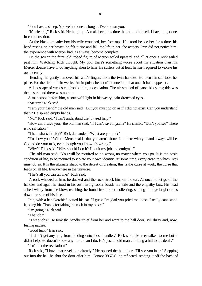"You have a sheep. You've had one as long as I've known you."

 "It's electric," Rick said. He hung up. A real sheep this time, he said to himself. I have to get one. In compensation.

 At the black empathy box his wife crouched, her face rapt. He stood beside her for a time, his hand resting on her breast; he felt it rise and fall, the life in her, the activity. Iran did not notice him; the experience with Mercer had, as always, become complete.

 On the screen the faint, old, robed figure of Mercer toiled upward, and all at once a rock sailed past him. Watching, Rick thought, My god; there's something worse about my situation than his. Mercer doesn't have to do anything alien to him. He suffers but at least he isn't required to violate his own identity.

 Bending, he gently removed his wife's fingers from the twin handles. He then himself took her place. For the first time in weeks. An impulse: he hadn't planned it; all at once it had happened.

 A landscape of weeds confronted him, a desolation. The air smelled of harsh blossoms; this was the desert, and there was no rain.

A man stood before him, a sorrowful light in his weary, pain-drenched eyes.

"Mercer," Rick said.

 "I am your friend," the old man said. "But you must go on as if I did not exist. Can you understand that?" He spread empty hands.

"No," Rick said. "I can't understand that. I need help."

 "How can I save you," the old man said, "if I can't save myself?" He smiled. "Don't you see? There is no salvation."

"Then what's this for?" Rick demanded. "What are you for?"

 "To show you," Wilbur Mercer said, "that you aren't alone. I am here with you and always will be. Go and do your task, even though you know it's wrong."

"Why?" Rick said. "Why should I do it? I'll quit my job and emigrate."

 The old man said, "You will be required to do wrong no matter where you go. It is the basic condition of life, to be required to violate your own identity. At some time, every creature which lives must do so. It is the ultimate shadow, the defeat of creation; this is the curse at work, the curse that feeds on all life. Everywhere in the universe."

"That's all you can tell me?" Rick said.

 A rock whizzed at him; he ducked and the rock struck him on the ear. At once he let go of the handles and again he stood in his own living room, beside his wife and the empathy box. His head ached wildly from the blow; reaching, he found fresh blood collecting, spilling in huge bright drops down the side of his face.

 Iran, with a handkerchief, patted his ear. "I guess I'm glad you pried me loose. I really can't stand it, being hit. Thanks for taking the rock in my place."

"I'm going," Rick said.

"The job?"

 "Three jobs." He took the handkerchief from her and went to the hall door, still dizzy and, now, feeling nausea.

"Good luck," Iran said.

 "I didn't get anything from holding onto those handles," Rick said. "Mercer talked to me but it didn't help. He doesn't know any more than I do. He's just an old man climbing a hill to his death."

"Isn't that the revelation?"

 Rick said, "I have that revelation already." He opened the hall door. "I'll see you later." Stepping out into the hall he shut the door after him. Conapt 3967-C, he reflected, reading it off the back of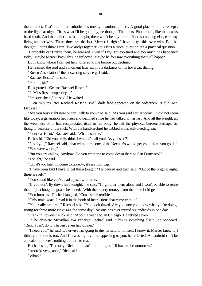the contract. That's out in the suburbs; it's mostly abandoned, there. A good place to hide. Except : or the lights at night. That's what I'll be going by, he thought. The lights. Phototropic, like the death's head moth. And then after this, he thought, there won't be any more. I'll do something else, earn my living another way. These three are the last. Mercer is right; I have to get this over with. But, he thought, I don't think I can. Two andys together - this isn't a moral question, it's a practical question.

 I probably can't retire them, he realized. Even if I try; I'm too tired and too much has happened today. Maybe Mercer knew this, he reflected. Maybe he foresaw everything that will happen.

But I know where I can get help, offered to me before but declined.

He reached the roof and a moment later sat in the darkness of his hovercar, dialing.

"Rosen Association," the answering-service girl said.

"Rachael Rosen," he said.

"Pardon, sir?"

Rick grated, "Get me Rachael Rosen."

"Is Miss Rosen expecting - "

"I'm sure she is," he said. He waited.

 Ten minutes later Rachael Rosen's small dark face appeared on the vidscreen. "Hello, Mr. Deckard."

 "Are you busy right now or can I talk to you?" he said. "As you said earlier today." It did not seem like today; a generation had risen and declined since he had talked to her last. And all the weight, all the weariness of it, had recapitulated itself in his body; he felt the physical burden. Perhaps, he thought, because of the rock. With the handkerchief he dabbed at his still-bleeding ear,

"Your ear is cut," Rachael said. "What a shame."

Rick said, "Did you really think I wouldn't call you? As you said?"

 "I told you," Rachael said, "that without me one of the Nexus-6s would get you before you got it." "You were wrong."

"But you are calling. Anyhow. Do you want me to come down there to San Francisco?"

"Tonight," he said.

"Oh, it's too late. I'll come tomorrow; it's an hour trip."

 "I have been told I have to get them tonight." He paused and then said, "Out of the original eight, three are left."

"You sound like you've had a just awful time."

 "If you don't fly down here tonight," he said, "I'll go after them alone and I won't be able to retire them. I just bought a goat," he added. "With the bounty money from the three I did get."

"You humans." Rachael laughed. "Goats smell terrible."

"Only male goats. I read it in the book of instructions that came with it."

 "You really are tired," Rachael said. "You look dazed. Are you sure you know what you're doing, trying for three more Nexus-6s the same day? No one has ever retired six androids in one day."

"Franklin Powers," Rick said. "About a year ago, in Chicago. He retired seven."

 "The obsolete McMillan Y-4 variety," Rachael said. "This is something else." She pondered. "Rick, I can't do it. I haven't even had dinner."

 "I need you," he said. Otherwise I'm going to die, he said to himself. I know it; Mercer knew it; I think you know it, too. And I'm wasting my time appealing to you, he reflected. An android can't be appealed to; there's nothing in there to reach.

Rachael said, "I'm sorry, Rick, but I can't do it tonight. It'll have to be tomorrow."

"Android vengeance," Rick said.

"What?"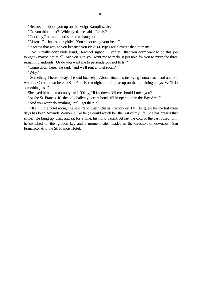"Because I tripped you up on the Voigt-Kampff scale."

"Do you think that?" Wide-eyed, she said, "Really?"

"Good-by," he said, and started to hang up.

"Listen," Rachael said rapidly. "You're not using your head."

"It seems that way to you because you Nexus-6 types are cleverer than humans."

 "No, I really don't understand," Rachael sighed. "I can tell that you don't want to do this job tonight - maybe not at all. Are you sure you want me to make it possible for you to retire the three remaining androids? Or do you want me to persuade you not to try?"

"Come down here," he said, "and we'll rent a hotel room."

"Why? "

 "Something I heard today," he said hoarsely. "About situations involving human men and android women. Come down here to San Francisco tonight and I'll give up on the remaining andys. We'll do something else."

She eyed him, then abruptly said, "Okay, I'll fly down. Where should I meet you?"

"At the St. Francis. It's the only halfway decent hotel still in operation in the Bay Area."

"And you won't do anything until I get there."

 "I'll sit in the hotel room," he said, "and watch Buster Friendly on TV. His guest for the last three days has been Amanda Werner. I like her; I could watch her the rest of my life. She has breasts that smile." He hung up, then, and sat for a time, his mind vacant. At last the cold of the car roused him; he switched on the ignition key and a moment later headed in the direction of downtown San Francisco. And the St. Francis Hotel.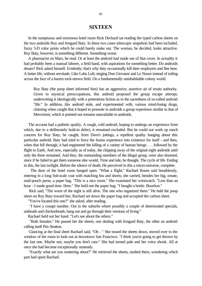### **SIXTEEN**

 In the sumptuous and enormous hotel room Rick Deckard sat reading the typed carbon sheets on the two androids Roy and Irmgard Baty. In these two cases telescopic snapshots had been included, fuzzy 3-D color prints which he could barely make out. The woman, he decided, looks attractive. Roy Baty, however, is something different. Something worse.

 A pharmacist on Mars, he read. Or at least the android had made use of that cover. In actuality it had probably been a manual laborer, a field hand, with aspirations for something better. Do androids dream? Rick asked himself. Evidently; that's why they occasionally kill their employers and flee here. A better life, without servitude. Like Luba Luft; singing Don Giovanni and Le Nozze instead of toiling across the face of a barren rock-strewn field. On a fundamentally uninhabitable colony world.

Roy Baty (the poop sheet informed him) has an aggressive, assertive air of ersatz authority. Given to mystical preoccupations, this android proposed the group escape attempt, underwriting it ideologically with a pretentious fiction as to the sacredness of so-called android "life." In addition, this android stole, and experimented with, various mind-fusing drugs, claiming when caught that it hoped to promote in androids a group experience similar to that of Mercerism, which it pointed out remains unavailable to androids.

 The account had a pathetic quality. A rough, cold android, hoping to undergo an experience from which, due to a deliberately built-in defect, it remained excluded. But he could not work up much concern for Roy Baty; he caught, from Dave's jottings, a repellent quality hanging about this particular android. Baty had tried to force the fusion experience into existence for itself - and then, when that fell through, it had engineered the killing of a variety of human beings . . . followed by the flight to Earth. And now, especially as of today, the chipping away of the original eight androids until only the three remained. And they, the outstanding members of the illegal group, were also doomed, since if he failed to get them someone else would. Time and tide, he thought. The cycle of life. Ending in this, the last twilight. Before the silence of death. He perceived in this a micro-universe, complete.

 The door of the hotel room banged open. "What a flight," Rachael Rosen said breathlessly, entering in a long fish-scale coat with matching bra and shorts; she carried, besides her big, ornate, mail-pouch purse, a paper bag. "This is a nice room." She examined her wristwatch. "Less than an hour - I made good time. Here." She held out the paper bag. "I bought a bottle. Bourbon."

 Rick said, "The worst of the eight is still alive. The one who organized them." He held the poop sheet on Roy Baty toward her; Rachael set down the paper bag and accepted the carbon sheet.

"You've located this one?" she asked, after reading.

 "I have a conapt number. Out in the suburbs where possibly a couple of deteriorated specials, antheads and chickenheads, hang out and go through their versions of living."

Rachael held out her hand. "Let's see about the others."

 "Both females." He passed her the sheets, one dealing with Irmgard Baty, the other an android calling itself Pris Stratton.

 Glancing at the final sheet Rachael said, "Oh - " She tossed the sheets down, moved over to the window of the room to look out at downtown San Francisco. "I think you're going to get thrown by the last one. Maybe not; maybe you don't care." She had turned pale and her voice shook. All at once she had become exceptionally unsteady.

 "Exactly what are you muttering about?" He retrieved the sheets, studied them, wondering which part had upset Rachael.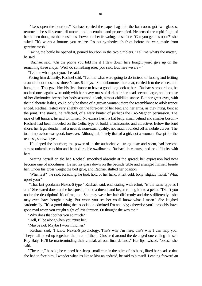"Let's open the bourbon." Rachael carried the paper bag into the bathroom, got two glasses, returned; she still seemed distracted and uncertain - and preoccupied. He sensed the rapid flight of her hidden thoughts: the transitions showed on her frowning, tense face. "Can you get this open?" she asked. "It's worth a fortune, you realize. It's not synthetic; it's from before the war, made from genuine mash."

 Taking the bottle he opened it, poured bourbon in the two tumblers. "Tell me what's the matter," he said.

 Rachael said, "On the phone you told me if I flew down here tonight you'd give up on the remaining three andys. 'We'll do something else,' you said. But here we are - "

"Tell me what upset you," he said.

 Facing him defiantly, Rachael said, "Tell me what were going to do instead of fussing and fretting around about those last three Nexus-6 andys." She unbuttoned her coat, carried it to the closet, and hung it up. This gave him his first chance to have a good long look at her. . Rachael's proportions, he noticed once again, were odd; with her heavy mass of dark hair her head seemed large, and because of her diminutive breasts her body assumed a lank, almost childlike stance. But her great eyes, with their elaborate lashes, could only be those of a grown woman; there the resemblance to adolescence ended. Rachael rested very slightly on the fore-part of her feet, and her arms, as they hung, bent at the joint. The stance, he reflected, of a wary hunter of perhaps the Cro-Magnon persuasion. The race of tall hunters, he said to himself. No excess flesh, a flat belly, small behind and smaller bosom - Rachael had been modeled on the Celtic type of build, anachronistic and attractive, Below the brief shorts her legs, slender, had a neutral, nonsexual quality, not much rounded off in nubile curves. The total impression was good, however. Although definitely that of a girl, not a woman. Except for the restless, shrewd eyes.

 He sipped the bourbon; the power of it, the authoritative strong taste and scent, had become almost unfamiliar to him and he had trouble swallowing. Rachael, in contrast, had no difficulty with hers.

 Seating herself on the bed Rachael smoothed absently at the spread; her expression had now become one of moodiness. He set his glass down on the bedside table and arranged himself beside her. Under his gross weight the bed gave, and Rachael shifted her position.

 "What is it?" he said. Reaching, he took hold of her hand; it felt cold, bony, slightly moist. "What upset you?"

 "That last goddamn Nexus-6 type," Rachael said, enunciating with effort, "is the same type as I am." She stared down at the bedspread, found a thread, and began rolling it into a pellet. "Didn't you notice the description? It's of me, too. She may wear her hair differently and dress differently - she may even have bought a wig. But when you see her you'll know what I mean." She laughed sardonically. "It's a good thing the association admitted I'm an andy; otherwise you'd probably have gone mad when you caught sight of Pris Stratton. Or thought she was me."

"Why does that bother you so much?"

"Hell, I'll be along when you retire her."

"Maybe not. Maybe I won't find her.'

 Rachael said, "I know Nexus-6 psychology. That's why I'm here; that's why I can help you. They're all holed up together, the three of them. Clustered around the deranged one calling himself Roy Baty. He'll be masterminding their crucial, all-out, final defense." Her lips twisted. "Jesus," she said.

 "Cheer up," he said; he cupped her sharp, small chin in the palm of his hand, lifted her head so that she had to face him. I wonder what it's like to kiss an android, he said to himself. Leaning forward an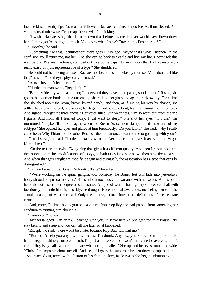inch he kissed her dry lips. No reaction followed; Rachael remained impassive. As if unaffected. And yet he sensed otherwise. Or perhaps it was wishful thinking.

 "I wish," Rachael said, "that I had known that before I came. I never would have flown down here. I think you're asking too much. You know what I have? Toward this Pris android? "

"Empathy," he said.

 "Something like that. Identification; there goes I. My god; maybe that's what'll happen. In the confusion you'll retire me, not her. And she can go back to Seattle and live my life. I never felt this way before. We are machines, stamped out like bottle caps. It's an illusion that I - I - personary really exist; I'm just representative of a type." She shuddered.

 He could not help being amused; Rachael had become so mawkishly morose. "Ants don't feel like that," he said, "and they're physically identical."

"Ants. They don't feel period."

"Identical human twins. They don't - "

 "But they identify with each other; I understand they have an empathic, special bond." Rising, she got to the bourbon bottle, a little unsteadily; she refilled her glass and again drank swiftly. For a time she slouched about the room, brows knitted darkly, and then, as if sliding his way by chance, she settled back onto the bed; she swung her legs up and stretched out, leaning against the fat pillows. And sighed. "Forget the three andys." Her voice filled with weariness. "I'm so worn out, from the trip I guess. And from all I learned today. I just want to sleep." She shut her eyes. "If I die," she murmured, "maybe I'll be born again when the Rosen Association stamps out its next unit of my subtype." She opened her eyes and glared at him ferociously. "Do you know," she said, "why I really came here? Why Eldon and the other Rosens - the human ones - wanted me to go along with you?"

 "To observe," he said. "To detail exactly what the Nexus does that gives it away on the Voigt-Kampff test."

 "On the test or otherwise. Everything that gives it a different quality. And then I report back and the association makes modifications of its zygote-bath DNS factors. And we then have the Nexus-7. And when that gets caught we modify it again and eventually the association has a type that can't be distinguished."

"Do you know of the Boneli Reflex-Arc Test?" he asked.

 "We're working on the spinal ganglia, too. Someday the Boneli test will fade into yesterday's hoary shroud of spiritual oblivion." She smiled innocuously - at variance with her words. At this point he could not discern her degree of seriousness. A topic of world-shaking importance, yet dealt with facetiously; an android trait, possibly, he thought. No emotional awareness, no feeling-sense of the actual meaning of what she said. Only the hollow, formal, intellectual definitions of the separate terms.

 And, more, Rachael had begun to tease him. Imperceptibly she had passed from lamenting her condition to taunting him about his.

"Damn you," he said.

 Rachael laughed. "I'm drunk. I can't go with you. If leave here - " She gestured in dismissal. "I'll stay behind and steep and you can tell me later what happened."

"Except," he said, "there won't be a later because Roy Baty will nail me."

 "But I can't help you anyhow now because I'm drunk. Anyhow, you know the truth, the brickhard, irregular, slithery surface of truth. I'm just an observer and I won't intervene to save you; I don't care if Roy Baty nails you or not. I care whether I get nailed." She opened her eyes round and wide. "Christ, I'm empathic about myself. And, see, if I go to that suburban broken-down conapt building -

" She reached out, toyed with a button of his shirt; in slow, facile twists she began unbuttoning it. "I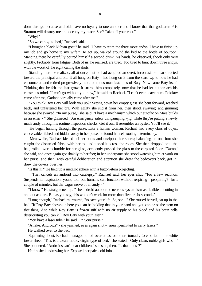don't dare go because androids have no loyalty to one another and I know that that goddamn Pris Stratton will destroy me and occupy my place. See? Take off your coat."

"Why?"

"So we can go to bed," Rachael said.

 "I bought a black Nubian goat," he said. "I have to retire the three more andys. I have to finish up my job and go home to my wife." He got up, walked around the bed to the bottle of bourbon. Standing there he carefully poured himself a second drink; his hands, he observed, shook only very slightly. Probably from fatigue. Both of us, he realized, are tired. Too tired to hunt down three andys, with the worst of the eight calling the shots.

 Standing there he realized, all at once, that he had acquired an overt, incontestable fear directed toward the principal android. It all hung on Baty - had hung on it from the start. Up to now he had encountered and retired progressively more ominous manifestations of Baty. Now came Baty itself. Thinking that he felt the fear grow; it snared him completely, now that he had let it approach his conscious mind. "I can't go without you now," he said to Rachael. "I can't even leave here. Polokov came after me; Garland virtually came after me."

 "You think Roy Baty will look you up?" Setting down her empty glass she bent forward, reached back, and unfastened her bra. With agility she slid it from her, then stood, swaying, and grinning because she swayed. "In my purse," she said, "I have a mechanism which our autofac on Mars builds as an emer - " She grimaced. "An emergency safety thingamajing, -jig, while they're putting a newly made andy through its routine inspection checks. Get it out. It resembles an oyster. You'll see it."

 He began hunting through the purse. Like a human woman, Rachael had every class of object conceivable filched and hidden away in her purse; he found himself rooting interminably.

 Meanwhile, Rachael kicked off her boots and unzipped her shorts; balancing on one foot she caught the discarded fabric with her toe and tossed it across the room. She then dropped onto the bed, roiled over to fumble for her glass, accidently pushed the glass to the carpeted floor. "Damn," she said, and once again got shakily to her feet; in her underpants she stood watching him at work on her purse, and then, with careful deliberation and attention she drew the bedcovers back, got in, drew the covers over her.

"Is this it?" He held up a metallic sphere with a button-stem projecting.

 "That cancels an android into catalepsy," Rachael said, her eyes shut. "For a few seconds. Suspends its respiration; yours, too, but humans can function without respiring - perspiring? -for a couple of minutes, but the vagus nerve of an andy - "

 "I know." He straightened up. "The android autonomic nervous system isn't as flexible at cutting in and out as ours. But as you say, this wouldn't work for more than five or six seconds."

 "Long enough," Rachael murmured, "to save your life. So, see - " She roused herself, sat up in the bed. "If Roy Baty shows up here you can be holding that in your hand and you can press the stem on that thing. And while Roy Baty is frozen stiff with no air supply to his blood and his brain cells deteriorating you can kill Roy Baty with your laser."

"You have a laser tube," he said. "In your purse."

"A fake. Androids" - she yawned, eyes again shut - "aren't permitted to carry lasers."

He walked over to the bed.

 Squirming about, Rachael managed to roll over at last onto her stomach, face buried in the white lower sheet. "This is a clean, noble, virgin type of bed," she stated. "Only clean, noble girls who - " She pondered. "Androids can't bear children," she said, then. "Is that a loss?"

He finished undressing her. Exposed her pale, cold loins.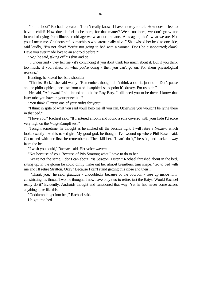"Is it a loss?" Rachael repeated. "I don't really know; I have no way to tell. How does it feel to have a child? How does it feel to be born, for that matter? We're not born; we don't grow up; instead of dying from illness or old age we wear out like ants. Ants again; that's what we are. Not you; I mean me. Chitinous reflex-machines who aren't really alive." She twisted her head to one side, said loudly, "I'm not alive! You're not going to bed with a woman. Don't be disappointed; okay? Have you ever made love to an android before?"

"No," he said, taking off his shirt and tie.

 "I understand - they tell me - it's convincing if you don't think too much about it. But if you think too much, if you reflect on what you're doing - then you can't go on. For ahem physiological reasons."

Bending, he kissed her bare shoulder.

 "Thanks, Rick," she said wanly. "Remember, though: don't think about it, just do it. Don't pause and be philosophical, because from a philosophical standpoint it's dreary. For us both."

 He said, "Afterward I still intend to look for Roy Baty. I still need you to be there. I know that laser tube you have in your purse is - "

"You think I'll retire one of your andys for you;"

 "I think in spite of what you said you'll help me all you can. Otherwise you wouldn't be lying there in that bed."

 "I love you," Rachael said. "If I entered a room and found a sofa covered with your hide I'd score very high on the Voigt-Kampff test."

 Tonight sometime, he thought as he clicked off the bedside light, I will retire a Nexus-6 which looks exactly like this naked girl. My good god, he thought; I've wound up where Phil Resch said. Go to bed with her first, he remembered. Then kill her. "I can't do it," he said, and backed away from the bed.

"I wish you could," Rachael said. Her voice wavered.

"Not because of you. Because of Pris Stratton; what I have to do to her."

 "We're not the same. I don't can about Pris Stratton. Listen." Rachael thrashed about in the bed, sitting up; in the gloom he could dimly make out her almost breastless, trim shape. "Go to bed with me and I'll retire Stratton. Okay? Because I can't stand getting this close and then .."

 "Thank you," he said; gratitude - undoubtedly because of the bourbon - rose up inside him, constricting his throat. Two, he thought. I now have only two to retire; just the Batys. Would Rachael really do it? Evidently. Androids thought and functioned that way. Yet he had never come across anything quite like this.

 "Goddamn it, get into bed," Rachael said. He got into bed.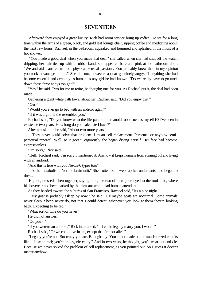## **SEVENTEEN**

 Afterward they enjoyed a great luxury: Rick had room service bring up coffee. He sat for a long time within the arms of a green, black, and gold leaf lounge chair, sipping coffee and meditating about the next few hours. Rachael, in the bathroom, squeaked and hummed and splashed in the midst of a hot shower.

 "You made a good deal when you made that deal," she called when she had shut off the water; dripping, her hair tied up with a rubber band, she appeared bare and pink at the bathroom door. "We androids can't control our physical, sensual passions. You probably knew that; in my opinion you took advantage of me." She did not, however, appear genuinely angry. If anything she had become cheerful and certainly as human as any girl he had known. "Do we really have to go track down those three andys tonight?"

 "Yes," he said. Two for me to retire, he thought; one for you. As Rachael put it, the deal had been made.

Gathering a giant white bath towel about her, Rachael said, "Did you enjoy that?"

"Yes."

"Would you ever go to bed with an android again?"

"If it was a girl. If she resembled you."

 Rachael said, "Do you know what the lifespan of a humanoid robot such as myself is? I've been in existence two years. How long do you calculate I have?"

After a hesitation he said, "About two more years."

 "They never could solve that problem. I mean cell replacement. Perpetual or anyhow semiperpetual renewal. Well, so it goes." Vigorously she began drying herself. Her face had become expressionless.

"I'm sorry," Rick said.

 "Hell," Rachael said, "I'm sorry I mentioned it. Anyhow it keeps humans from running off and living with an android."

"And this is true with you Nexus-6 types too?"

 "It's the metabolism. Not the brain unit." She trotted out, swept up her underpants, and began to dress.

 He, too, dressed. Then together, saying little, the two of them journeyed to the roof field, where his hovercar had been parked by the pleasant white-clad human attendant.

As they headed toward the suburbs of San Francisco, Rachael said, "It's a nice night."

 "My goat is probably asleep by now," he said. "Or maybe goats are nocturnal. Some animals never sleep. Sheep never do, not that I could detect; whenever you look at them they're looking back. Expecting to be fed."

"What sort of wife do you have?"

He did not answer.

"Do you - "

"If you weren't an android," Rick interrupted, "if I could legally marry you, I would."

Rachael said, "Or we could live in sin, except that I'm not alive."

 "Legally you're not. But really you are. Biologically. You're not made out of transistorized circuits like a false animal; you're an organic entity." And in two years, he thought, you'll wear out and die. Because we never solved the problem of cell replacement, as you pointed out. So I guess it doesn't matter anyhow.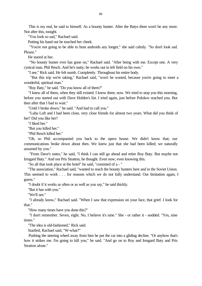This is my end, he said to himself. As a bounty hunter. After the Batys there won't be any more. Not after this, tonight.

"You look so sad," Rachael said.

Putting his hand out he touched her cheek.

 "You're not going to be able to hunt androids any longer," she said calmly. "So don't look sad. Please."

He stared at her.

 "No bounty bunter ever has gone on," Rachael said. "After being with me. Except one. A very cynical man. Phil Resch. And he's nutty; he works out in left field on his own."

"I see," Rick said. He felt numb. Completely. Throughout his entire body.

 "But this trip we're taking," Rachael said, "won't be wasted, because you're going to meet a wonderful, spiritual man."

"Roy Baty," he said. "Do you know all of them?"

 "I knew all of them, when they still existed. I know three, now. We tried to stop you this morning, before you started out with Dave Holden's list. I tried again, just before Polokov reached you. But then after that I had to wait."

"Until I broke down," he said. "And had to call you."

 "Luba Luft and I had been close, very close friends for almost two years. What did you think of her? Did you like her?

"I liked her."

"But you killed her."

"Phil Resch killed her."

 "Oh, so Phil accompanied you back to the opera house. We didn't know that; our communications broke down about then. We knew just that she had been killed; we naturally assumed by you."

 "From Dave's notes," he said, "I think I can still go ahead and retire Roy Baty. But maybe not Irmgard Baty." And not Pris Stratton, he thought. Even now; even knowing this.

"So all that took place at the hotel" he said, "consisted of a - "

 "The association," Rachael said, "wanted to reach the bounty hunters here and in the Soviet Union. This seemed to work . . . for reasons which we do not fully understand. Our limitation again, I guess."

"I doubt if it works as often or as well as you say," he said thickly.

"But it has with you."

"We'll see."

 "I already know," Rachael said. "When I saw that expression on your face, that grief. I look for that."

"How many times have you done this?"

 "I don't remember. Seven, eight. No, I believe it's nine." She - or rather it - nodded. "Yes, nine times."

"The idea is old-fashioned," Rick said.

Startled, Rachael said, "W-what?"

 Pushing the steering wheel away from him he put the car into a gliding decline. "Or anyhow that's how it strikes me. I'm going to kill you," he said. "And go on to Roy and Irmgard Baty and Pris Stratton alone."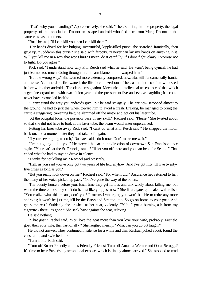"That's why you're landing?" Apprehensively, she said, "There's a fine; I'm the property, the legal property, of the association. I'm not an escaped android who fled here from Mars; I'm not in the same class as the others."

"But," he said, "if I can kill you then I can kill them."

 Her hands dived for her bulging, overstuffed, kipple-filled purse; she searched frantically, then gave up. "Goddamn this purse," she said with ferocity. "I never can lay my hands on anything in it. Will you kill me in a way that won't hurt? I mean, do it carefully. If I don't fight; okay? I promise not to fight. Do you agree?"

 Rick said, "I understand now why Phil Resch said what he said. He wasn't being cynical; he had just learned too much. Going through this - I can't blame him. It warped him."

 "But the wrong way." She seemed more externally composed, now. But still fundamentally frantic and tense. Yet, the dark fire waned; the life force oozed out of her, as he had so often witnessed before with other androids. The classic resignation. Mechanical, intellectual acceptance of that which a genuine organism - with two billion years of the pressure to live and evolve hagriding it - could never have reconciled itself to.

 "I can't stand the way you androids give up," he said savagely. The car now swooped almost to the ground; he had to jerk the wheel toward him to avoid a crash. Braking, he managed to bring the car to a staggering, careening halt; he slammed off the motor and got out his laser tube.

 "At the occipital bone, the posterior base of my skull," Rachael said. "Please." She twisted about so that she did not have to look at the laser tube; the beam would enter unperceived.

 Putting his laser tube away Rick said, "I can't do what Phil Resch said." He snapped the motor back on, and a moment later they had taken off again.

"If you're ever going to do it," Rachael said, "do it now. Don't make me wait."

 "I'm not going to kill you." He steered the car in the direction of downtown San Francisco once again. "Your car's at the St. Francis, isn't it? I'll let you off there and you can head for Seattle." That ended what he had to say; he drove in silence.

"Thanks for not killing me," Rachael said presently.

 "Hell, as you said you've only got two years of life left, anyhow. And I've got fifty. I'll live twentyfive times as long as you."

 "But you really look down on me," Rachael said. "For what I did." Assurance had returned to her; the litany of her voice picked up pace. "You've gone the way of the others.

 The bounty hunters before you. Each time they get furious and talk wildly about killing me, but when the time comes they can't do it. Just like you, just now." She lit a cigarette, inhaled with relish. "You realize what this means, don't you? It means I was right; you won't be able to retire any more androids; it won't be just me, it'll be the Batys and Stratton, too. So go on home to your goat. And get some rest." Suddenly she brushed at her coat, violently. "Yife! I got a burning ash from my cigarette - there, it's gone." She sank back against the seat, relaxing.

He said nothing.

 "That goat," Rachel said. "You love the goat more than you love your wife, probably. First the goat, then your wife, then last of all - " She laughed merrily. "What can you do but laugh?"

 He did not answer. They continued in silence for a while and then Rachael poked about, found the car's radio, and switched it on.

"Turn it off," Rick said.

 "Turn off Buster Friendly and his Friendly Friends? Tum off Amanda Werner and Oscar Scruggs? It's time to hear Buster's big sensational exposé, which is finally almost arrived." She stooped to read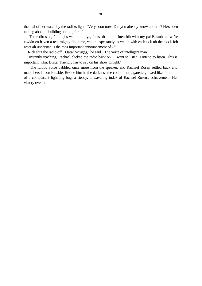the dial of her watch by the radio's light. "Very soon now. Did you already know about it? He's been talking about it, building up to it, for - "

 The radio said, " - ah jes wan ta tell ya, folks, that ahm sitten hih with my pal Bustuh, an we're tawkin en haven a real mighty fine time, waitin expectantly as we ah with each tick uh the clock foh what ah understan is the mos important announcement of - "

Rick shut the radio off. "Oscar Scruggs," he said. "The voice of intelligent man."

 Instantly reaching, Rachael clicked the radio back on. "I want to listen. I intend to listen. This is important, what Buster Friendly has to say on his show tonight."

 The idiotic voice babbled once more from the speaker, and Rachael Rosen settled back and made herself comfortable. Beside him in the darkness the coal of her cigarette glowed like the rump of a complacent lightning bug: a steady, unwavering index of Rachael Rosen's achievement. Her victory over him.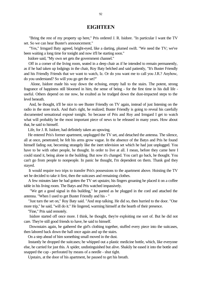## **EIGHTEEN**

 "Bring the rest of my property up here," Pris ordered J. R. Isidore. "In particular I want the TV set. So we can hear Buster's announcement."

 "Yes," Irmgard Baty agreed, bright-eyed, like a darting, plumed swift. "We need the TV; we've been waiting a long time for tonight and now it'll be starting soon."

Isidore said, "My own set gets the government channel."

 Off in a corner of the living room, seated in a deep chair as if he intended to remain permanently, as if he had taken up lodgings in the chair, Roy Baty belched and said patiently, "It's Buster Friendly and his Friendly Friends that we want to watch, Iz. Or do you want me to call you J.R.? Anyhow, do you understand? So will you go get the set?"

 Alone, Isidore made his way down the echoing, empty hall to the stairs. The potent, strong fragrance of happiness still bloomed in him, the sense of being - for the first time in his dull life useful. Others depend on me now, he exulted as he trudged down the dust-impacted steps to the level beneath.

 And, he thought, it'll be nice to see Buster Friendly on TV again, instead of just listening on the radio in the store truck. And that's right, he realized; Buster Friendly is going to reveal his carefully documented sensational exposé tonight. So because of Pris and Roy and Irmgard I get to watch what will probably be the most important piece of news to be released in many years. How about that, he said to himself.

Life, for J. R. Isidore, had definitely taken an upswing.

 He entered Pris's former apartment, unplugged the TV set, and detached the antenna. The silence, all at once, penetrated; he felt his arms grow vague. In the absence of the Batys and Pris he found himself fading out, becoming strangely like the inert television set which he had just unplugged. You have to be with other people, he thought. In order to live at all. I mean, before they came here I could stand it, being alone in the building. But now it's changed. You can't go back, he thought. You can't go from people to nonpeople. In panic he thought, I'm dependent on them. Thank god they stayed.

 It would require two trips to transfer Pris's possessions to the apartment above. Hoisting the TV set he decided to take it first, then the suitcases and remaining clothes.

 A few minutes later he had gotten the TV set upstairs; his fingers groaning he placed it on a coffee table in his living room. The Batys and Pris watched impassively.

 "We get a good signal in this building," he panted as he plugged in the cord and attached the antenna. "When I used to get Buster Friendly and his - "

 "Just turn the set on," Roy Baty said. "And stop talking. He did so, then hurried to the door. "One more trip," he said, "will do it." He lingered, warming himself at the hearth of their presence.

"Fine," Pris said remotely.

 Isidore started off once more. I think, he thought, they're exploiting me sort of. But he did not care. They're still good friends to have, he said to himself.

 Downstairs again, he gathered the girl's clothing together, stuffed every piece into the suitcases, then labored back down the hall once again and up the stairs.

On a step ahead of him something small moved in the dust.

 Instantly he dropped the suitcases; he whipped out a plastic medicine bottle, which, like everyone else, he carried for just this. A spider, undistinguished but alive. Shakily he eased it into the bottle and snapped the cap - perforated by means of a needle - shut tight.

Upstairs, at the door of his apartment, he paused to get his breath.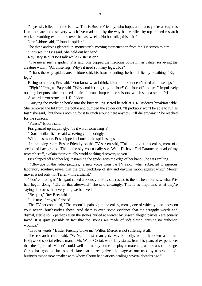" - yes sir, folks; the time is now. This is Buster Friendly, who hopes and trusts you're as eager as I am to share the discovery which I've made and by the way had verified by top trained research workers working extra hours over the past weeks. Ho ho, folks; this is it!"

John Isidore said, "I found a spider."

The three androids glanced up, momentarily moving their attention from the TV screen to him.

"Let's see it," Pris said. She held out her hand.

Roy Baty said, "Don't talk while Buster is on."

 "I've never seen a spider," Pris said. She cupped the medicine bottle in her palms, surveying the creature within. "All those legs. Why's it need so many legs, J.R.?"

 "That's the way spiders are," Isidore said, his heart pounding; he had difficulty breathing. "Eight legs."

Rising to her feet, Pris said, "You know what I think, J.R.? I think it doesn't need all those legs."

 "Eight?" Irmgard Baty said. "Why couldn't it get by on four!' Cut four off and see." Impulsively opening her purse she produced a pair of clean, sharp cuticle scissors, which she passed to Pris.

A weird terror struck at J. R. Isidore.

 Carrying the medicine bottle into the kitchen Pris seated herself at J. R. Isidore's breakfast table. She removed the lid from the bottle and dumped the spider out. "It probably won't be able to run as fast," she said, "but there's nothing for it to catch around here anyhow. It'll die anyway." She reached for the scissors.

"Please," Isidore said.

Pris glanced up inquiringly. "Is it worth something ?

"Don't mutilate it," he said wheezingly. Imploringly.

With the scissors Pris snipped off one of the spider's legs.

 In the living room Buster Friendly on the TV screen said, "Take a look at this enlargement of a section of background. This is the sky you usually see. Wait, I'll have Earl Parameter, head of my research staff, explain their virtually world-shaking discovery to you."

Pris clipped off another leg, restraining the spider with the edge of her hand. She was smiling.

 "Blowups of the video pictures," a new voice from the TV said, "when subjected to rigorous laboratory scrutiny, reveal that the gray backdrop of sky and daytime moon against which Mercer moves is not only not Terran - it is artificial."

 "You're missing it!" Irmgard called anxiously to Pris; she rushed to the kitchen door, saw what Pris had begun doing. "Oh, do that afterward," she said coaxingly. This is so important, what they're saying; it proves that everything we believed - "

"Be quiet," Roy Baty said.

" - is true," Irmgard finished.

 The TV set continued, "The 'moon' is painted; in the enlargements, one of which you see now on your screen, brushstrokes show. And there is even some evidence that the scraggly weeds and dismal, sterile soil - perhaps even the stones hurled at Mercer by unseen alleged parties - are equally faked. It is quite possible in fact that the 'stones' are made of soft plastic, causing no authentic wounds."

"In other words," Buster Friendly broke in, "Wilbur Mercer is not suffering at all."

 The research chief said, "We've at last managed, Mr. Friendly, to track down a former Hollywood special-effects man, a Mr. Wade Cortot, who flatly states, from his years of ex-perience, that the figure of 'Mercer' could well be merely some bit player marching across a sound stage. Cortot has gone so far as to declare that he recognizes the stage as one used by a now out-ofbusiness minor moviemaker with whom Cortot had various dealings several decades ago."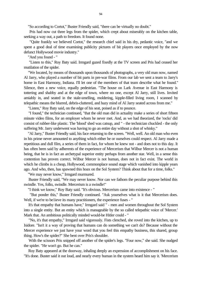"So according to Cortot," Buster Friendly said, "there can be virtually no doubt."

 Pris had now cut three legs from the spider, which crept about miserably on the kitchen table, seeking a way out, a path to freedom. It found none.

 "Quite frankly we believed Cortot," the research chief said in his dry, pedantic voice, "and we spent a good deal of time examining publicity pictures of bit players once employed by the now defunct Hollywood movie industry."

"And you found - "

 "Listen to this," Roy Baty said. Irmgard gazed fixedly at the TV screen and Pris had ceased her mutilation of the spider.

 "We located, by means of thousands upon thousands of photographs, a very old man now, named Al Jarry, who played a number of bit parts in pre-war films. From our lab we sent a team to Jarry's home in East Harmony, Indiana. I'll let one of the members of that team describe what he found." Silence, then a new voice, equally pedestrian. "The house on Lark Avenue in East Harmony is tottering and shabby and at the edge of town, where no one, except Al Jarry, still lives. Invited amiably in, and seated in the stale-smelling, moldering, kipple-filled living room, I scanned by telepathic means the blurred, debris-cluttered, and hazy mind of Al Jarry seated across from me."

"Listen," Roy Baty said, on the edge of his seat, poised as if to pounce.

 "I found," the technician continued, "that the old man did in actuality make a series of short fifteen minute video films, for an employer whom he never met. And, as we had theorized, the 'rocks' did consist of rubber-like plastic. The 'blood' shed was catsup, and " - the technician chuckled - the only suffering Mr. Jarry underwent was having to go an entire day without a shot of whisky."

 "Al Jarry," Buster Friendly said, his face returning to the screen. "Well, well. An old man who even in his prime never amounted to anything which either he or ourselves could respect. Al Jarry made a repetitious and dull film, a series of them in fact, for whom he knew not - and does not to this day. It has often been said by adherents of the experience of Mercerism that Wilbur Mercer is not a human being, that he is in fact an archetypal superior entity perhaps from another star. Well, in a sense this contention has proven correct. Wilbur Mercer is not human, does not in fact exist. The world in which he climbs is a cheap, Hollywood, commonplace sound stage which vanished into kipple years ago. And who, then, has spawned this hoax on the Sol System? Think about that for a time, folks."

"We may never know," Irmgard murmured.

 Buster Friendly said, "We may never know. Nor can we fathom the peculiar purpose behind this swindle. Yes, folks, swindle. Mercerism is a swindle!"

"I think we know," Roy Baty said. "It's obvious. Mercerism came into existence - "

 "But ponder this," Buster Friendly continued. "Ask yourselves what is it that Mercerism does. Well, if we're to be1ieve its many practitioners, the experience fuses - "

 It's that empathy that humans have," Irmgard said " - men and women throughout the Sol System into a single entity. But an entity which is manageable by the so called telepathic voice of 'Mercer.' Mark that. An ambitious politically minded would-be Hitler could - "

 "No, it's that empathy," Irmgard said vigorously. Fists clenched, she roved into the kitchen, up to Isidore. "Isn't it a way of proving that humans can do something we can't do? Because without the Mercer experience we just have your word that you feel this empathy business, this shared, group thing. How's the spider?" She bent over Pris's shoulder.

 With the scissors Pris snipped off another of the spider's legs. "Four now," she said. She nudged the spider. "He won't go. But he can."

 Roy Baty appeared at the doorway, inhaling deeply an expression of accomplishment on his face. "It's done. Buster said it out loud, and nearly every human in the system heard him say it. 'Mercerism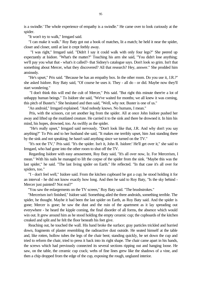is a swindle.' The whole experience of empathy is a swindle." He came over to look curiously at the spider.

"It won't try to walk," Irmgard said.

 "I can make it walk." Roy Baty got out a book of matches, lit a match; he held it near the spider, closer and closer, until at last it crept feebly away.

 "I was right," Irmgard said. "Didn't I say it could walk with only four legs?" She peered up expectantly at Isidore. "What's the matter?" Touching his arm she said, "You didn't lose anything; we'll pay you what that - what's it called?- that Sidney's catalogue says. Don't look so grim. Isn't that something about Mercer, what they discovered? All that research? Hey, answer." She prodded him anxiously.

 "He's upset," Pris said. "Because he has an empathy box. In the other room. Do you use it, J.R.?" she asked Isidore. Roy Baty said, "Of course he uses it. They - all do - or did. Maybe now they'll start wondering."

 "I don't think this will end the cult of Mercer," Pris said. "But right this minute there're a lot of unhappy human beings." To Isidore she said, "We've waited for months; we all knew it was coming, this pitch of Buster's." She hesitated and then said, "Well, why not. Buster is one of us."

"An android," Irmgard explained. "And nobody knows. No humans, I mean."

 Pris, with the scissors, cut yet another leg from the spider. All at once John Isidore pushed her away and lifted up the mutilated creature. He carried it to the sink and there he drowned it. In him his mind, his hopes, drowned, too. As swiftly as the spider.

 "He's really upset," Irmgard said nervously. "Don't look like that, J.R. And why don't you say anything?" To Pris and to her husband she said, "It makes me terribly upset, him Just standing there by the sink and not speaking; he hasn't said anything since we turned on the TV."

 "It's not the TV," Pris said. "It's the spider. Isn't it, John R. Isidore:' He'll get over it," she said to Irmgard, who had gone into the other room to shut off the TV.

 Regarding Isidore with easy amusement, Roy Baty said, "It's all over now, Iz. For Mercerism, I mean." With his nails he managed to lift the corpse of the spider from the sink. "Maybe this was the last spider," he said. "The last living spider on Earth." He reflected. "In that case it's all over for spiders, too."

 "I - don't feel well," Isidore said. From the kitchen cupboard he got a cup; he stood holding it for an interval - he did not know exactly how long. And then he said to Roy Baty, "Is the sky behind - Mercer just painted? Not real?"

"You saw the enlargements on the TV screen," Roy Baty said. "The brushstrokes."

 "Mercerism isn't finished," Isidore said. Something ailed the three androids, something terrible. The spider, he thought. Maybe it had been the last spider on Earth, as Roy Baty said. And the spider is gone; Mercer is gone; he saw the dust and the ruin of the apartment as it lay spreading out everywhere - he heard the kipple coming, the final disorder of all forms, the absence which would win out. It grew around him as he stood holding the empty ceramic cup; the cupboards of the kitchen creaked and split and he felt the floor beneath his feet give.

 Reaching out, he touched the wall. His hand broke the surface; gray particles trickled and hurried down, fragments of plaster resembling the radioactive dust outside. He seated himself at the table and, like rotten, hollow tubes the legs of the chair bent; standing quickly, he set down the cup and tried to reform the chair, tried to press it back into its right shape. The chair came apart in his hands, the screws which had previously connected its several sections ripping out and hanging loose. He saw, on the table, the ceramic cup crack; webs of fine lines grew like the shadows of a vine, and then a chip dropped from the edge of the cup, exposing the rough, unglazed interior.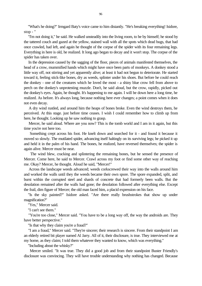"What's he doing?" Irmgard Baty's voice came to him distantly. "He's breaking everything! Isidore, stop - "

 "I'm not doing it," he said. He walked unsteadily into the living room, to be by himself; he stood by the tattered couch and gazed at the yellow, stained wall with all the spots which dead bugs, that had once crawled, had left, and again he thought of the corpse of the spider with its four remaining legs. Everything in here is old, he realized. It long ago began to decay and it won't stop. The corpse of the spider has taken over.

 In the depression caused by the sagging of the floor, pieces of animals manifested themselves, the head of a crow, mummified hands which might have once been parts of monkeys. A donkey stood a little way off, not stirring and yet apparently alive; at least it had not begun to deteriorate. He started toward it, feeling stick-like bones, dry as weeds, splinter under his shoes. But before he could reach the donkey - one of the creatures which he loved the most - a shiny blue crow fell from above to perch on the donkey's unprotesting muzzle. Don't, he said aloud, but the crow, rapidly, picked out the donkey's eyes. Again, he thought. It's happening to me again. I will be down here a long time, he realized. As before. It's always long, because nothing here ever changes; a point comes when it does not even decay.

 A dry wind rustled, and around him the heaps of bones broke. Even the wind destroys them, he perceived. At this stage. just before time ceases. I wish I could remember how to climb up from here, he thought. Looking up he saw nothing to grasp.

 Mercer, he said aloud. Where are you now? This is the tomb world and I am in it again, but this time you're not here too.

 Something crept across his foot. He knelt down and searched for it - and found it because it moved so slowly. The mutilated spider, advancing itself haltingly on its surviving legs; he picked it up and held it in the palm of his hand. The bones, he realized, have reversed themselves; the spider is again alive. Mercer must be near.

 The wind blew, cracking and splintering the remaining bones, but he sensed the presence of Mercer. Come here, he said to Mercer. Crawl across my foot or find some other way of reaching me. Okay? Mercer, he thought. Aloud he said, "Mercer!"

 Across the landscape weeds advanced; weeds corkscrewed their way into the walls around him and worked the walls until they the weeds became their own spore. The spore expanded, split, and burst within the corrupted steel and shards of concrete that had formerly been walls. But the desolation remained after the walls had gone; the desolation followed after everything else. Except the frail, dim figure of Mercer; the old man faced him, a placid expression on his face.

 "Is the sky painted?" Isidore asked. "Are there really brushstrokes that show up under magnification?"

"Yes," Mercer said.

"I can't see them."

 "You're too close," Mercer said. "You have to be a long way off, the way the androids are. They have better perspective."

"Is that why they claim you're a fraud?"

 "I am a fraud," Mercer said. "They're sincere; their research is sincere. From their standpoint I am an elderly retired bit player named Al Jarry. All of it, their disclosure, is true. They interviewed me at my home, as they claim; I told them whatever they wanted to know, which was everything."

"Including about the whisky?"

 Mercer smiled. "It was true. They did a good job and from their standpoint Buster Friendly's disclosure was convincing. They will have trouble understanding why nothing has changed. Because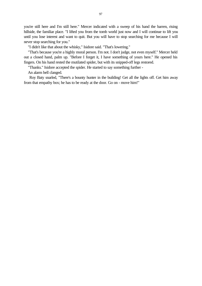you're still here and I'm still here." Mercer indicated with a sweep of his hand the barren, rising hillside, the familiar place. "I lifted you from the tomb world just now and I will continue to lift you until you lose interest and want to quit. But you will have to stop searching for me because I will never stop searching for you."

"I didn't like that about the whisky," Isidore said. "That's lowering."

 "That's because you're a highly moral person. I'm not. I don't judge, not even myself." Mercer held out a closed hand, palm up. "Before I forget it, I have something of yours here." He opened his fingers. On his hand rested the mutilated spider, but with its snipped-off legs restored.

"Thanks." Isidore accepted the spider. He started to say something further -

An alarm bell clanged.

 Roy Baty snarled, "There's a bounty hunter in the building! Get all the lights off. Get him away from that empathy box; he has to be ready at the door. Go on - move him!"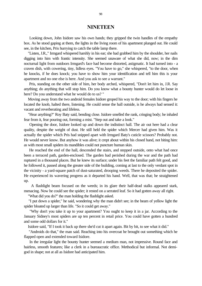#### **NINETEEN**

 Looking down, John Isidore saw his own hands; they gripped the twin handles of the empathy box. As he stood gaping at them, the lights in the living room of his apartment plunged out. He could see, in the kitchen, Pris hurrying to catch the table lamp there.

 "Listen, J.R.," Irmgard whispered harshly in his ear; she had grabbed him by the shoulder, her nails digging into him with frantic intensity. She seemed unaware of what she did, now; in the dim nocturnal light from outdoors Irmgard's face had become distorted, astigmatic. It had turned into - a craven dish, with cowering, tiny, lidless eyes. "You have to go," she whispered, "to the door, when he knocks, if he does knock; you have to show him your identification and tell him this is your apartment and no one else is here. And you ask to see a warrant."

 Pris, standing on the other side of him, her body arched, whispered, "Don't let him in, J.R. Say anything; do anything that will stop him. Do you know what a bounty hunter would do let loose in here? Do you understand what he would do to us? "

 Moving away from the two android females Isidore groped his way to the door; with his fingers he located the knob, halted there, listening. He could sense the hall outside, is he always had sensed it: vacant and reverberating and lifeless.

 "Hear anything?" Roy Baty said, bending close. Isidore smelled the rank, cringing body; he inhaled fear from it, fear pouring out, forming a mist. "Step out and take a look."

 Opening the door, Isidore looked up and down the indistinct hall. The air out here had a clear quality, despite the weight of dust. He still held the spider which Mercer had given him. Was it actually the spider which Pris had snipped apart with Irmgard Baty's cuticle scissors? Probably not. He would never know. But anyhow it was alive; it crept about within his closed hand, not biting him: as with most small spiders its mandibles could not puncture human skin.

 He reached the end of the hall, descended the stairs, and stepped outside, onto what had once been a terraced path, garden-enclosed. The garden had perished during the war and the path had ruptured in a thousand places. But he knew its surface; under his feet the familiar path felt good, and he followed it, passed along the greater side of the building, coming at last to the only verdant spot in the vicinity - a yard-square patch of dust-saturated, drooping weeds. There he deposited the spider. He experienced its wavering progress as it departed his hand. Well, that was that; he straightened up.

 A flashlight beam focused on the weeds; in its glare their half-dead stalks appeared stark, menacing. Now he could see the spider; it rested on a serrated leaf. So it had gotten away all right.

"What did you do?" the man holding the flashlight asked.

 "I put down a spider," he said, wondering why the man didn't see; in the beam of yellow light the spider bloated up larger than life. "So it could get away."

 "Why don't you take it up to your apartment? You ought to keep it in a jar. According to the January Sidney's most spiders are up ten percent in retail price. You could have gotten a hundred and some odd dollars for it."

Isidore said, "If I took it back up there she'd cut it apart again. Bit by bit, to see what it did."

 "Androids do that," the man said. Reaching into his overcoat he brought out something which he flapped open and extended toward Isidore.

 In the irregular light the bounty hunter seemed a medium man, not impressive. Round face and hairless, smooth features; like a clerk in a bureaucratic office. Methodical but informal. Not demigod in shape; not at all as Isidore had anticipated him.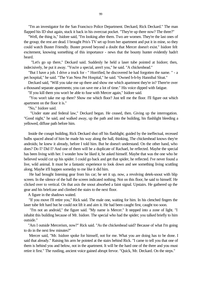"I'm an investigator for the San Francisco Police Department. Deckard, Rick Deckard." The man flapped his ID shut again, stuck it back in his overcoat pocket. "They're up there now? The three?"

 "Well, the thing is," Isidore said, "I'm looking after them. Two are women. They're the last ones of the group; the rest are dead. I brought Pris's TV set up from her apartment and put it in mine, so they could watch Buster Friendly. Buster proved beyond a doubt that Mercer doesn't exist." Isidore felt excitement, knowing something of this importance - news that the bounty hunter evidently hadn't heard.

 "Let's go up there," Deckard said. Suddenly he held a laser tube pointed at Isidore; then, indecisively, he put it away. "You're a special, aren't you," he said. "A chickenhead."

 "But I have a job. I drive a truck for - " Horrified, he discovered he had forgotten the name. " - a pet hospital," he said. "The Van Ness Pet Hospital," he said. "Owned b-b-by Hannibal Sloat."

Deckard said, "Will you take me up there and show me which apartment they're in? There're over a thousand separate apartments; you can save me a lot of time." His voice dipped with fatigue.

"If you kill them you won't be able to fuse with Mercer again," Isidore said.

 "You won't take me up there? Show me which floor? Just tell me the floor. I'll figure out which apartment on the floor it is."

"No," Isidore said.

 "Under state and federal law," Deckard began. He ceased, then. Giving up the interrogation. "Good night," he said, and walked away, up the path and into the building, his flashlight bleeding a yellowed, diffuse path before him.

 Inside the conapt building, Rick Deckard shut off his flashlight; guided by the ineffectual, recessed bulbs spaced ahead of him he made his way along the hall, thinking, The chickenhead knows they're androids; he knew it already, before I told him. But he doesn't understand. On the other hand, who does? Do I? Did I? And one of them will be a duplicate of Rachael, he reflected. Maybe the special has been living with her. I wonder how he liked it, he asked himself. Maybe that was the one who he believed would cut up his spider. I could go back and get that spider, he reflected. I've never found a live, wild animal. It must be a fantastic experience to look down and see something living scuttling along. Maybe it'll happen someday to me like it did him.

 He had brought listening gear from his car; he set it up, now, a revolving detek-snout with blip screen. In the silence of the hall the screen indicated nothing. Not on this floor, he said to himself. He clicked over to vertical. On that axis the snout absorbed a faint signal. Upstairs. He gathered up the gear and his briefcase and climbed the stairs to the next floor.

A figure in the shadows waited.

 "If you move I'll retire you," Rick said. The male one, waiting for him. In his clenched fingers the laser tube felt hard but he could not lift it and aim it. He had been caught first, caught too soon.

 "I'm not an android," the figure said. "My name is Mercer." It stepped into a zone of light. "I inhabit this building because of Mr. Isidore. The special who had the spider; you talked briefly to him outside."

 "Am I outside Mercerism, now?" Rick said. "As the chickenhead said? Because of what I'm going to do in the next few minutes?"

 Mercer said, "Mr. Isidore spoke for himself, not for me. What you are doing has to be done. I said that already." Raising his arm he pointed at the stairs behind Rick. "I came to tell you that one of them is behind you and below, not in the apartment. It will be the hard one of the three and you must retire it first." The rustling, ancient voice gained abrupt fervor. "Quick, Mr. Deckard. On the steps."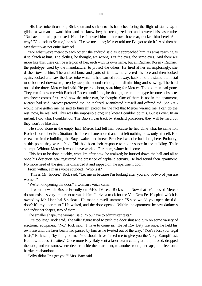His laser tube thrust out, Rick spun and sank onto his haunches facing the flight of stairs. Up it glided a woman, toward him, and he knew her; he recognized her and lowered his laser tube. "Rachael" he said, perplexed. Had she followed him in her own hovercar, tracked him here? And why? "Go back to Seattle," he said. "Leave me alone; Mercer told me I've got to do it." And then he saw that it was not quite Rachael.

 "For what we've meant to each other," the android said as it approached him, its arms reaching as if to clutch at him. The clothes, he thought, are wrong. But the eyes, the same eyes. And there are more like this; there can be a legion of her, each with its own name, but all Rachael Rosen - Rachael, the prototype, used by the manufacturer to protect the others. He fired at her as, imploringly, she dashed toward him. The android burst and parts of it flew; he covered his face and then looked again, looked and saw the laser tube which it had carried roll away, back onto the stairs; the metal tube bounced downward, step by step, the sound echoing and diminishing and slowing. The hard one of the three, Mercer had said. He peered about, searching for Mercer. The old man had gone. They can follow me with Rachael Rosens until I die, he thought, or until the type becomes obsolete, whichever comes first. And now the other two, he thought. One of them is not in the apartment, Mercer had said. Mercer protected me, he realized. Manifested himself and offered aid. She - it would have gotten me, he said to himself, except for the fact that Mercer warned me. I can do the rest, now, he realized. This was the impossible one; she knew I couldn't do this. But it's over. In an instant. I did what I couldn't do. The Batys I can track by standard procedure; they will be hard but they won't be like this.

 He stood alone in the empty hall; Mercer had left him because he had done what he came for, Rachael - or rather Pris Stratton - had been dismembered and that left nothing now, only himself. But elsewhere in the building; the Batys waited and knew. Perceived what he had done, here. Probably, at this point, they were afraid. This had been their response to his presence in the building. Their attempt. Without Mercer it would have worked. For them, winter had come.

 This has to be done quickly, what I'm after now, he realized; he hurried down the hall and all at once his detection gear registered the presence of cephalic activity. He had found their apartment. No more need of the gear; he discarded it and rapped on the apartment door.

From within, a man's voice sounded. "Who is it?"

 "This is Mr. Isidore," Rick said. "Let me in because I'm looking after you and t-t-two of you are women."

"We're not opening the door," a woman's voice came.

 "I want to watch Buster Friendly on Pris's TV set," Rick said. "Now that he's proved Mercer doesn't exist it's very important to watch him. I drive a truck for the Van Ness Pet Hospital, which is owned by Mr. Hannibal S-s-sloat." He made himself stammer. "S-s-so would you open the d-ddoor? It's my apartment." He waited, and the door opened. Within the apartment he saw darkness and indistinct shapes, two of them.

The smaller shape, the woman, said, "You have to administer tests."

 "It's too late," Rick said. The taller figure tried to push the door shut and turn on some variety of electronic equipment. "No," Rick said, "I have to come in." He let Roy Baty fire once; he held his own fire until the laser beam had passed by him as he twisted out of the way. "You've lost your legal basis," Rick said, "by firing on me. You should have forced me to give you the Voigt-Kampff test. But now it doesn't matter." Once more Roy Baty sent a laser beam cutting at him, missed, dropped the tube, and ran somewhere deeper inside the apartment, to another room, perhaps, the electronic hardware abandoned.

"Why didn't Pris get you?" Mrs. Baty said.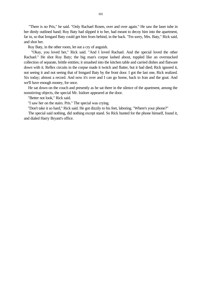"There is no Pris," he said. "Only Rachael Rosen, over and over again." He saw the laser tube in her dimly outlined hand; Roy Baty had slipped it to her, had meant to decoy him into the apartment, far in, so that Irmgard Baty could get him from behind, in the back. "I'm sorry, Mrs. Baty," Rick said, and shot her.

Roy Baty, in the other room, let out a cry of anguish.

 "Okay, you loved her," Rick said. "And I loved Rachael. And the special loved the other Rachael." He shot Roy Baty; the big man's corpse lashed about, toppled like an overstacked collection of separate, brittle entities; it smashed into the kitchen table and carried dishes and flatware down with it. Reflex circuits in the corpse made it twitch and flutter, but it had died; Rick ignored it, not seeing it and not seeing that of Irmgard Baty by the front door. I got the last one, Rick realized. Six today; almost a record. And now it's over and I can go home, back to Iran and the goat. And we'll have enough money, for once.

 He sat down on the couch and presently as he sat there in the silence of the apartment, among the nonstirring objects, the special Mr. Isidore appeared at the door.

"Better not look," Rick said.

"I saw her on the stairs. Pris." The special was crying.

"Don't take it so hard," Rick said. He got dizzily to his feet, laboring. "Where's your phone?"

 The special said nothing, did nothing except stand. So Rick hunted for the phone himself, found it, and dialed Harry Bryant's office.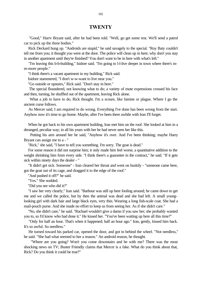# **TWENTY**

 "Good," Harrv Bryant said, after he had been told. "Well, go get some rest. We'll send a patrol car to pick up the three bodies."

 Rick Deckard hung up. "Androids are stupid," he said savagely to the special. "Roy Baty couldn't tell me from you; it thought you were at the door. The police will clean up in here; why don't you stay in another apartment until they're finished? You don't want to be in here with what's left."

 "I'm leaving this b-b-building," Isidore said. "I'm going to l-l-live deeper in town where there's mm-more people."

"I think there's a vacant apartment in my building," Rick said.

Isidore stammered, "I don't w-w-want to live near you."

"Go outside or upstairs," Rick said. "Don't stay in here."

 The special floundered, not knowing what to do; a variety of mute expressions crossed his face and then, turning, he shuffled out of the apartment, leaving Rick alone.

 What a job to have to do, Rick thought. I'm a scoure, like famine or plague. Where I go the ancient curse follows.

 As Mercer said, I am required to do wrong. Everything I've done has been wrong from the start. Anyhow now it's time to go home. Maybe, after I've been there awhile with Iran I'll forget.

 When he got back to his own apartment building, Iran met him on the roof. She looked at him in a deranged, peculiar way; in all his years with her he had never seen her like this.

 Putting his arm around her he said, "Anyhow it's over. And I've been thinking; maybe Harry Bryant can assign me to a - "

"Rick," she said, "I have to tell you something. I'm sorry. The goat is dead."

 For some reason it did not surprise him; it only made him feel worse, a quantitative addition to the weight shrinking him from every side. "I think there's a guarantee in the contract," he said. "If it gets sick within ninety days the dealer - "

 "It didn't get sick. Someone" - Iran cleared her throat and went on huskily - "someone came here, got the goat out of its cage, and dragged it to the edge of the roof."

"And pushed it off?" he said.

"Yes." She nodded.

"Did you see who did it?"

 "I saw her very clearly," Iran said. "Barbour was still up here fooling around; he came down to get me and we called the police, but by then the animal was dead and she had left. A small younglooking girl with dark hair and large black eyes, very thin. Wearing a long fish-scale coat. She had a mail-pouch purse. And she made no effort to keep us from seeing her. As if she didn't care."

 "No, she didn't care," he said. "Rachael wouldn't give a damn if you saw her; she probably wanted you to, so I'd know who had done it." He kissed her. "You've been waiting up here all this time?"

 "Only for half an hour. That's when it happened; half an hour ago." Iran, gently, kissed him back. It's so awful. So needless."

 He turned toward his parked car, opened the door, and got in behind the wheel. "Not needless," he said. "She had what seemed to her a reason." An android reason, he thought.

 "Where are you going? Won't you come downstairs and be with me? There was the most shocking news on TV; Buster Friendly claims that Mercer is a fake. What do you think about that, Rick? Do you think it could be true?"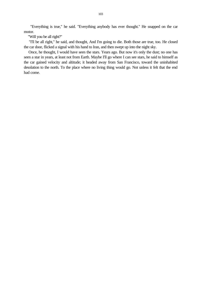"Everything is true," he said. "Everything anybody has ever thought." He snapped on the car motor.

"Will you be all right?"

 "I'll be all right," he said, and thought, And I'm going to die. Both those are true, too. He closed the car door, flicked a signal with his hand to Iran, and then swept up into the night sky.

 Once, he thought, I would have seen the stars. Years ago. But now it's only the dust; no one has seen a star in years, at least not from Earth. Maybe I'll go where I can see stars, he said to himself as the car gained velocity and altitude; it headed away from San Francisco, toward the uninhabited desolation to the north. To the place where no living thing would go. Not unless it felt that the end had come.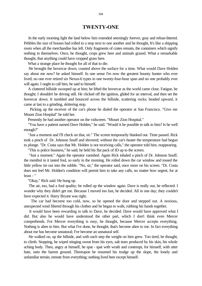## **TWENTY-ONE**

 In the early morning light the land below him extended seemingly forever, gray and refuse-littered. Pebbles the size of houses had rolled to a stop next to one another and he thought, It's like a shipping room when all the merchandise has left. Only fragments of crates remain, the containers which signify nothing in themselves. Once, he thought, crops grew here and animals grazed. What a remarkable thought, that anything could have cropped grass here.

What a strange place he thought for all of that to die.

 He brought the hovercar down, coasted above the surface for a time. What would Dave Holden say about me now? he asked himself. In one sense I'm now the greatest bounty hunter who ever lived; no one ever retired six Nexus-6 types in one twenty-four-hour span and no one probably ever will again. I ought to call him, he said to himself.

 A cluttered hillside swooped up at him; he lifted the hovercar as the world came close. Fatigue, he thought; I shouldn't be driving still. He clicked off the ignition, glided for an interval, and then set the hovercar down. It tumbled and bounced across the hillside, scattering rocks; headed upward, it came at last to a grinding, skittering stop.

 Picking up the receiver of the car's phone he dialed the operator at San Francisco. "Give me Mount Zion Hospital" he told her.

Presently he had another operator on the vidscreen. "Mount Zion Hospital."

 "You have a patient named Dave Holden," he said. "Would it be possible to talk to him? Is he well enough?"

 "Just a moment and I'll check on that, sir." The screen temporarily blanked out. Time passed. Rick took a pinch of Dr. Johnson Snuff and shivered; without the car's heater the temperature had begun to plunge. "Dr. Costa says that Mr. Holden is not receiving calls," the operator told him, reappearing.

"This is police business," he said; he held his flat pack of ID up to the screen.

 "Just a moment." Again the operator vanished. Again Rick inhaled a pinch of Dr. Johnson Snuff; the menthol in it tasted foul, so early in the morning. He rolled down the car window and tossed the little yellow tin out into the rubble. "No, sir," the operator said, once more on his screen. "Dr. Costa does not feel Mr. Holden's condition will permit him to take any calls, no matter how urgent, for at least - "

"Okay," Rick said. He hung up.

 The air, too, had a foul quality; he rolled up the window again. Dave is really out, he reflected. I wonder why they didn't get me. Because I moved too fast, he decided. All in one day; they couldn't have expected it. Harry Bryant was right.

 The car had become too cold, now, so he opened the door and stepped out. A noxious, unexpected wind filtered through his clothes and he began to walk, rubbing his hands together.

 It would have been rewarding to talk to Dave, he decided. Dave would have approved what I did. But also he would have understood the other part, which I don't think even Mercer comprehends. For Mercer everything is easy, he thought, because Mercer accepts everything. Nothing is alien to him. But what I've done, he thought; that's become alien to me. In fact everything about me has become unnatural; I've become an unnatural self.

 He walked on, up the hillside, and with each step the weight on him grew. Too tired, he thought, to climb. Stopping, he wiped stinging sweat from his eyes, salt tears produced by his skin, his whole aching body. Then, angry at himself, he spat - spat with wrath and contempt, for himself, with utter hate, onto the barren ground. Thereupon he resumed his trudge up the slope, the lonely and unfamiliar terrain, remote from everything; nothing lived here except himself.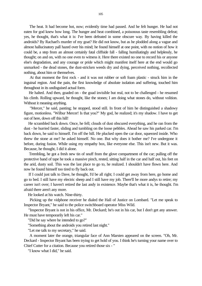The heat. It had become hot, now; evidently time had passed. And he felt hunger. He had not eaten for god knew how long. The hunger and heat combined, a poisonous taste resembling defeat; yes, he thought, that's what it is: I've been defeated in some obscure way. By having killed the androids? By Rachael's murder of my goat? He did not know, but as he plodded along a vague and almost hallucinatory pall hazed over his mind; he found himself at one point, with no notion of how it could be, a step from an almost certainly fatal cliffside fall - falling humiliatingly and helplessly, he thought; on and on, with no one even to witness it. Here there existed no one to record his or anyone else's degradation, and any courage or pride which might manifest itself here at the end would go unmarked - the dead stones, the dust-stricken weeds dry and dying, perceived nothing, recollected nothing, about him or themselves.

 At that moment the first rock - and it was not rubber or soft foam plastic - struck him in the inguinal region. And the pain, the first knowledge of absolute isolation and suffering, touched him throughout in its undisguised actual form.

 He halted. And then, goaded on - the goad invisible but real, not to be challenged - he resumed his climb. Rolling upward, he thought, like the stones; I am doing what stones do, without volition. Without it meaning anything.

 "Mercer," he said, panting; he stopped, stood still. In front of him he distinguished a shadowy figure, motionless. "Wilbur Mercer! Is that you?" My god, he realized; it's my shadow. I have to get out of here, down off this hill!

 He scrambled back down. Once, he fell; clouds of dust obscured everything, and he ran from the dust - he hurried faster, sliding and tumbling on the loose pebbles. Ahead he saw his parked car. I'm back down, he said to himself. I'm off the hill. He plucked open the car door, squeezed inside. Who threw the stone at me? he asked himself. No one. But why does it bother me? I've undergone it before, during fusion. While using my empathy box, like everyone else. This isn't new. But it was. Because, he thought, I did it alone.

 Trembling, he got a fresh new tin of snuff from the glove compartment of the car; pulling off the protective band of tape he took a massive pinch, rested, sitting half in the car and half out, his feet on the arid, dusty soil. This was the last place to go to, he realized. I shouldn't have flown here. And now he found himself too tired to fly back out.

 If I could just talk to Dave, he thought, I'd be all right; I could get away from here, go home and go to bed. I still have my electric sheep and I still have my job. There'll be more andys to retire; my career isn't over; I haven't retired the last andy in existence. Maybe that's what it is, he thought. I'm afraid there aren't any more.

He looked at his watch. Nine-thirty.

 Picking up the vidphone receiver he dialed the Hall of Justice on Lombard. "Let me speak to Inspector Bryant," he said to the police switchboard operator Miss Wild.

 "Inspector Bryant is not in his office, Mr. Deckard; he's out in his car, but I don't get any answer. He must have temporarily left his car."

"Did he say where he intended to go?"

"Something about the androids you retired last night."

"Let me talk to my secretary," he said.

 A moment later the orange, triangular face of Ann Marsten appeared on the screen. "Oh, Mr. Deckard - Inspector Bryant has been trying to get hold of you. I think he's turning your name over to Chief Cutter for a citation. Because you retired those six - "

"I know what I did," he said.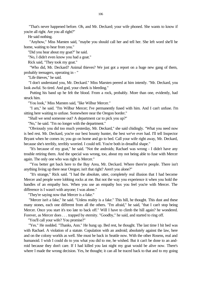"That's never happened before. Oh, and Mr. Deckard; your wife phoned. She wants to know if you're all right. Are you all right?"

He said nothing.

 "Anyhow," Miss Marsten said, "maybe you should call her and tell her. She left word she'll be home, waiting to hear from you."

"Did you hear about my goat?" he said.

"No, I didn't even know you had a goat."

Rick said, "They took my goat."

 "Who did, Mr. Deckard? Animal thieves? We just got a report on a huge new gang of them, probably teenagers, operating in - "

"Life thieves," he said.

 "I don't understand you, Mr. Deckard." Miss Marsten peered at him intently. "Mr. Deckard, you look awful. So tired. And god, your cheek is bleeding."

 Putting his band up he felt the blood. From a rock, probably. More than one, evidently, had struck him.

"You look," Miss Marsten said, "like Wilbur Mercer."

 "I am," he said. "I'm Wilbur Mercer; I've permanently fused with him. And I can't unfuse. I'm sitting here waiting to unfuse. Somewhere near the Oregon border."

"Shall we send someone out? A department car to pick you up?"

"No," he said. "I'm no longer with the department."

 "Obviously you did too much yesterday, Mr. Deckard," she said chidingly. "What you need now is bed rest. Mr. Deckard, you're our best bounty hunter, the best we've ever had. I'll tell Inspector Bryant when he comes in; you go on home and go to bed. Call your wife right away, Mr. Deckard, because she's terribly, terribly worried. I could tell. You're both in dreadful shape."

 "It's because of my goat," he said. "Not the androids; Rachael was wrong - I didn't have any trouble retiring them. And the special was wrong, too, about my not being able to fuse with Mercer again. The only one who was right is Mercer."

 "You better get back here to the Bay Area, Mr. Deckard. Where there're people. There isn't anything living up there near Oregon; isn't that right? Aren't you alone?"

 "It's strange," Rick said. "I had the absolute, utter, completely real illusion that I had become Mercer and people were lobbing rocks at me. But not the way you experience it when you hold the handles of an empathy box. When you use an empathy box you feel you're with Mercer. The difference is I wasn't with anyone; I was alone."

"They're saying now that Mercer is a fake."

 "Mercer isn't a fake," he said. "Unless reality is a fake." This hill, he thought. This dust and these many stones, each one different from all the others. "I'm afraid," he said, "that I can't stop being Mercer. Once you start it's too late to back off." Will I have to climb the hill again? he wondered. Forever, as Mercer does . . . trapped by eternity. "Goodby," he said, and started to ring off.

"You'll call your wife? You promise?"

 "Yes." He nodded. "Thanks, Ann." He hung up. Bed rest, he thought. The last time I hit bed was with Rachael. A violation of a statute. Copulation with an android; absolutely against the law, here and on the colony worlds as well. She must be back in Seattle now. With the other Rosens, real and humanoid. I wish I could do to you what you did to me, he wished. But it can't be done to an android because they don't care. If I had killed you last night my goat would be alive now. There's where I made the wrong decision. Yes, he thought; it can all be traced back to that and to my going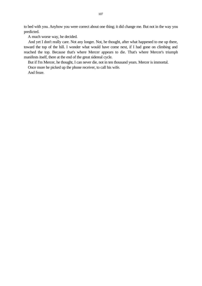to bed with you. Anyhow you were correct about one thing; it did change me. But not in the way you predicted.

A much worse way, he decided.

 And yet I don't really care. Not any longer. Not, he thought, after what happened to me up there, toward the top of the hill. I wonder what would have come next, if I had gone on climbing and reached the top. Because that's where Mercer appears to die. That's where Mercer's triumph manifests itself, there at the end of the great sidereal cycle.

 But if I'm Mercer, he thought, I can never die, not in ten thousand years. Mercer is immortal. Once more he picked up the phone receiver, to call his wife. And froze.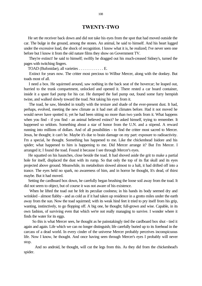## **TWENTY-TWO**

 He set the receiver back down and did not take his eyes from the spot that had moved outside the car. The bulge in the ground, among the stones. An animal, he said to himself. And his heart lugged under the excessive load, the shock of recognition. I know what it is, he realized; I've never seen one before but I know it from the old nature films they show on Government TV.

 They're extinct! he said to himself; swiftly he dragged out his much-creased Sidney's, turned the pages with twitching fingers.

TOAD (Bufonidae), all varieties . . . . . . . . . . . . . E.

 Extinct for years now. The critter most precious to Wilbur Mercer, along with the donkey. But toads most of all.

 I need a box. He squirmed around, saw nothing in the back seat of the hovercar; he leaped out, hurried to the trunk compartment, unlocked and opened it. There rested a car board container, inside it a spare fuel pump for his car. He dumped the fuel pump out, found some furry hempish twine, and walked slowly toward the toad. Not taking his eyes from it.

 The toad, he saw, blended in totally with the texture and shade of the ever-present dust. It had, perhaps, evolved, meeting the new climate as it had met all climates before. Had it not moved he would never have spotted it; yet he had been sitting no more than two yards from it. What happens when you find - if you find - an animal believed extinct? he asked himself, trying to remember. It happened so seldom. Something about a star of honor from the U.N. and a stipend. A reward running into millions of dollars. And of all possibilities - to find the critter most sacred to Mercer. Jesus, he thought; it can't be. Maybe it's due to brain damage on my part: exposure to radioactivity. I'm a special, he thought. Something has happened to me. Like the chickenhead Isidore and his spider; what happened to him is happening to me. Did Mercer arrange it? But I'm Mercer. I arranged it; I found the toad. Found it because I see through Mercer's eyes.

 He squatted on his haunches, close beside the toad. It had shoved aside the grit to make a partial hole for itself, displaced the dust with its rump. So that only the top of its flat skull and its eyes projected above ground. Meanwhile, its metabolism slowed almost to a halt, it had drifted off into a trance. The eyes held no spark, no awareness of him, and in horror he thought, It's dead, of thirst maybe. But it had moved.

 Setting the cardboard box down, he carefully began brushing the loose soil away from the toad. It did not seem to object, but of course it was not aware of his existence.

 When he lifted the toad out he felt its peculiar coolness; in his hands its body seemed dry and wrinkled - almost flabby - and as cold as if it had taken up residence in a grotto miles under the earth away from the sun. Now the toad squirmed; with its weak hind feet it tried to pry itself from his grip, wanting, instinctively, to go flopping off. A big one, he thought; full-grown and wise. Capable, in its own fashion, of surviving even that which we're not really managing to survive. I wonder where it finds the water for its eggs.

 So this is what Mercer sees, he thought as he painstakingly tied the cardboard box shut - tied it again and again. Life which we can no longer distinguish; life carefully buried up to its forehead in the carcass of a dead world. In every cinder of the universe Mercer probably perceives inconspicuous life. Now I know, he thought. And once having seen through Mercer's eyes I probably will never stop.

 And no android, he thought, will cut the legs from this. As they did from the chickenhead's spider.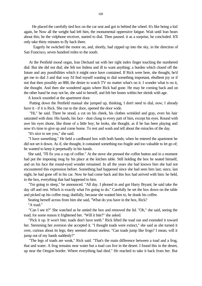He placed the carefully tied box on the car seat and got in behind the wheel. It's like being a kid again, he Now all the weight had left him, the monumental oppressive fatigue. Wait until Iran hears about this; he the vidphone receiver, started to dial. Then paused. it as a surprise, he concluded. It'll only take thirty minutes to fly back there.

 Eagerly he switched the motor on, and, shortly, had zipped up into the sky, in the direction of San Francisco, seven hundred miles to the south.

 At the Penfield mood organ, Iran Deckard sat with her right index finger touching the numbered dial. But she did not dial; she felt too listless and ill to want anything: a burden which closed off the future and any possibilities which it might once have contained. If Rick were here, she thought, he'd get me to dial 3 and that way I'd find myself wanting to dial something important, ebullient joy or if not that then possibly an 888, the desire to watch TV no matter what's on it. I wonder what is on it, she thought. And then she wondered again where Rick had gone. He may be coming back and on the other hand he may not be, she said to herself, and felt her bones within her shrink with age.

A knock sounded at the apartment door.

 Putting down the Penfield manual she jumped up, thinking, I don't need to dial, now; I already have it - if it is Rick. She ran to the door, opened the door wide.

 "Hi," he said. There he stood, a cut on his cheek, his clothes wrinkled and gray, even his hair saturated with dust. His hands, his face - dust clung to every part of him, except his eyes. Round with awe his eyes shone, like those of a little boy; he looks, she thought, as if he has been playing and now it's time to give up and come home. To rest and wash and tell about the miracles of the day.

"It's nice to see you," she said.

 "I have something." He held a cardboard box with both hands; when he entered the apartment he did not set it down. As if, she thought, it contained something too fragile and too valuable to let go of; he wanted to keep it perpetually in his hands.

 She said, "I'll fix you a cup of coffee." At the stove she pressed the coffee button and in a moment had put the imposing mug by his place at the kitchen table. Still holding the box he seated himself, and on his face the round-eyed wonder remained. In all the years she had known him she had not encountered this expression before. Something had happened since she had seen him last; since, last night, he had gone off in his car. Now he had come back and this box had arrived with him: he held, in the box, everything that had happened to him.

 "I'm going to sleep," he announced. "All day. I phoned in and got Harry Bryant; he said take the day off and rest. Which is exactly what I'm going to do." Carefully he set the box down on the table and picked up his coffee mug; dutifully, because she wanted him to, he drank his coffee.

Seating herself across from him she said, "What do you have in the box, Rick?

"A toad."

 "Can I see it?" She watched as he untied the box and removed the lid. "Oh," she said, seeing the toad; for some reason it frightened her. "Will it bite?" she asked.

 "Pick it up. It won't bite; toads don't have teeth." Rick lifted the toad out and extended it toward her. Stemming her aversion she accepted it. "I thought toads were extinct," she said as she turned it over, curious about its legs; they seemed almost useless. "Can toads jump like frogs? I mean, will it jump out of my hands suddenly?"

 "The legs of toads are weak," Rick said. "That's the main difference between a toad and a frog, that and water. A frog remains near water but a toad can live in the desert. I found this in the desert, up near the Oregon border. Where everything had died." He reached to take it back from her. But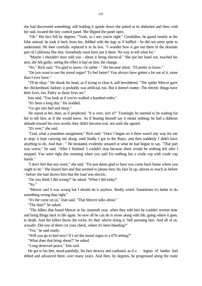she had discovered something; still holding it upside down she poked at its abdomen and then, with her nail, located the tiny control panel. She flipped the panel open.

 "Oh." His face fell by degrees. "Yeah, so I see; you're right." Crestfallen, he gazed mutely at the false animal; he took it back from her, fiddled with the legs as if baffled - he did not seem quite to understand. He then carefully replaced it in its box. "I wonder how it got out there in the desolate part of California like that. Somebody must have put it there. No way to tell what for."

 "Maybe I shouldn't have told you - about it being electrical." She put her hand out, touched his arm; she felt guilty, seeing the effect it had on him, the change.

"No," Rick said. "I'm glad to know. Or rather - " He became silent. "I'd prefer to know."

 "Do you want to use the mood organ? To feel better? You always have gotten a lot out of it, more than I ever have."

 "I'll be okay." He shook his head, as if trying to clear it, still bewildered. "The spider Mercer gave the chickenhead, Isidore; it probably was artificial, too. But it doesn't matter. The electric things have their lives, too. Paltry as those lives are."

Iran said, "You look as if you've walked a hundred miles."

"It's been a long day." He nodded.

"Go get into bed and sleep."

 He stared at her, then, as if perplexed. "It is over, isn't it?" Trustingly he seemed to be waiting for her to tell him, as if she would know. As if hearing himself say it meant nothing; he had a dubious attitude toward his own words; they didn't become real, not until she agreed.

"It's over," she said.

 "God, what a marathon assignment," Rick said. "Once I began on it there wasn't any way for me to stop; it kept carrying me along, until finally I got to the Batys, and then suddenly I didn't have anything to do. And that - " He hesitated, evidently amazed at what he had begun to say. "That part was worse," he said. "After I finished. I couldn't stop because there would be nothing left after I stopped. You were right this morning when you said I'm nothing but a crude cop with crude cop hands."

 "I don't feel that any more," she said. "I'm just damn glad to have you come back home where you ought to be." She kissed him and that seemed to please him; his face lit up, almost as much as before - before she had shown him that the toad was electric.

"Do you think I did wrong?" he asked. "What I did today?

"No."

 "Mercer said it was wrong but I should do it anyhow. Really weird. Sometimes it's better to do something wrong than right."

"It's the curse on us," Iran said. "That Mercer talks about."

"The dust?" he asked.

 "The killers that found Mercer in his sixteenth year, when they told him he couldn't reverse time and bring things back to life again. So now all he can do is move along with life, going where it goes, to death. And the killers throw the rocks; it's they who're doing it. Still pursuing him. And all of us, actually. Did one of them cut your check, where it's been bleeding?"

"Yes," he said wanly.

"Will you go to bed now? If I set the mood organ to a 670 setting?"

"What does that bring about?" he asked.

"Long deserved peace," Iran said.

 He got to his feet, stood painfully, his face drowsy and confused, as if a legion of battles had ebbed and advanced there, over many years. And then, by degrees, he progressed along the route